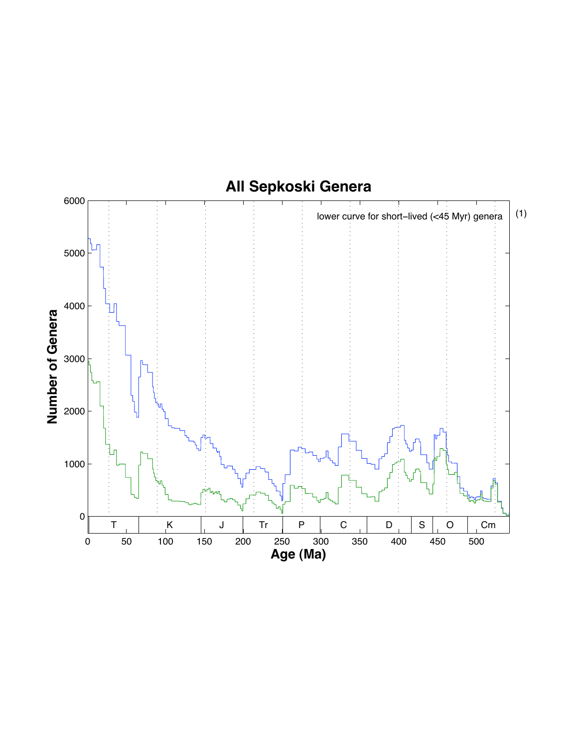## **All Sepkoski Genera**

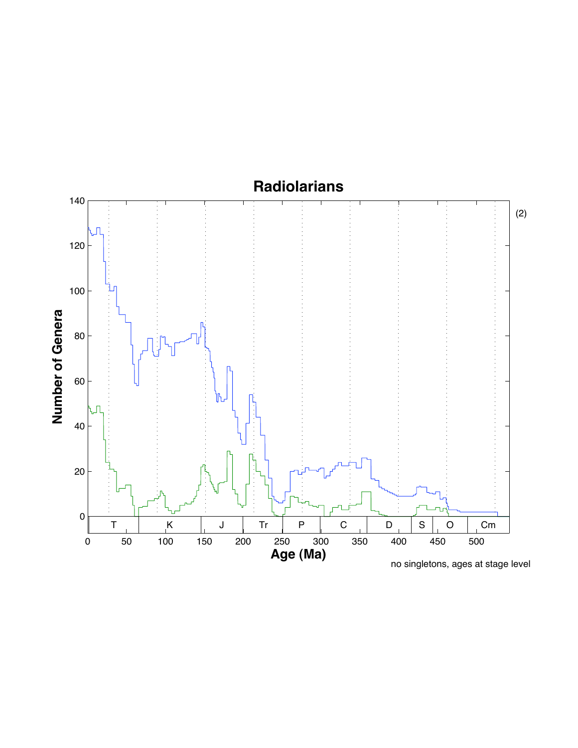#### **Radiolarians**



(2)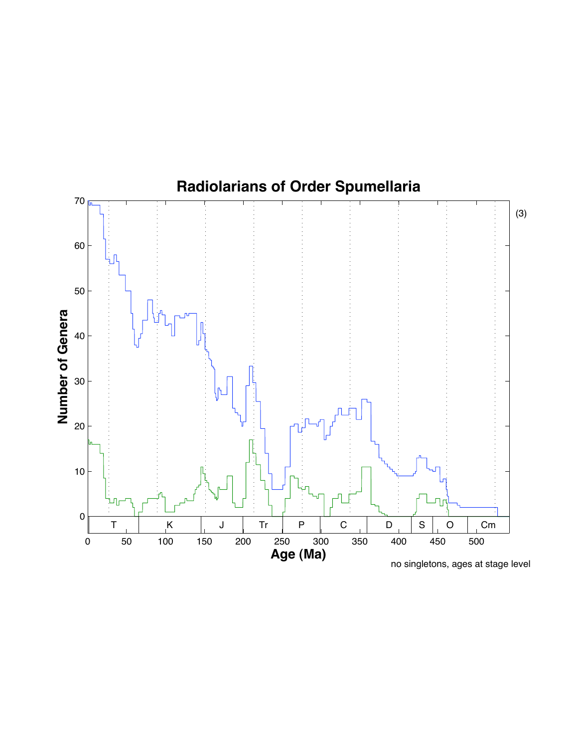

no singletons, ages at stage level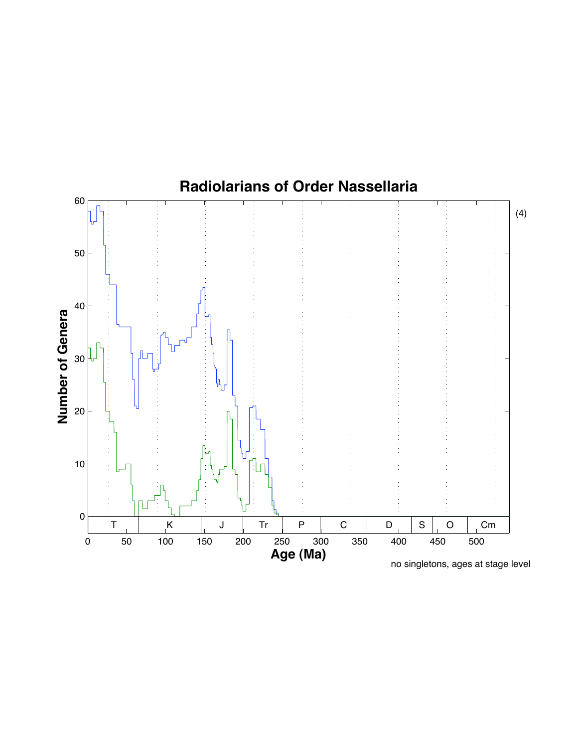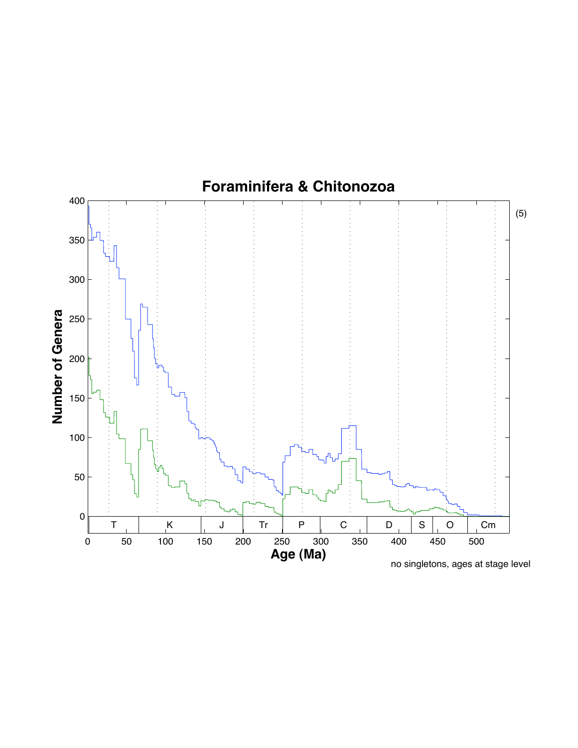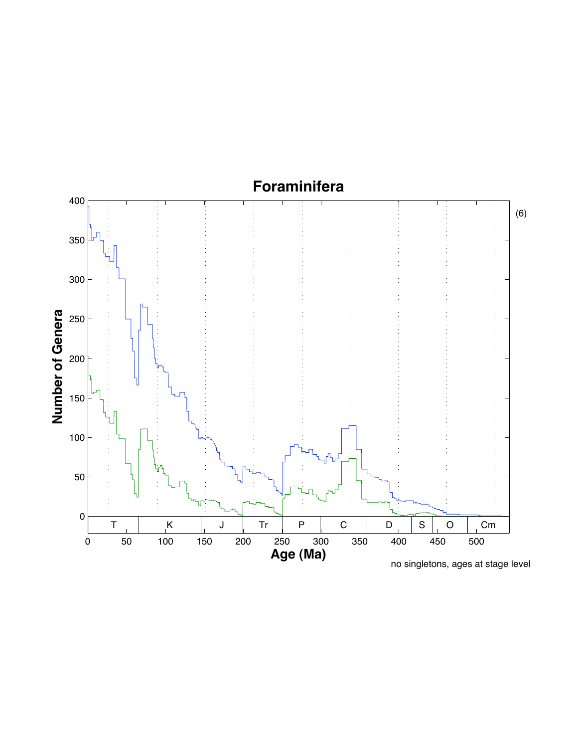# **Foraminifera**

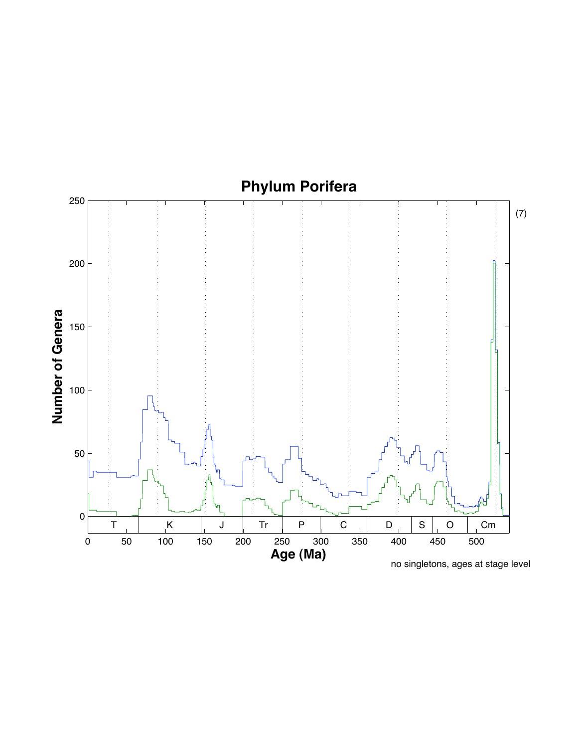

no singletons, ages at stage level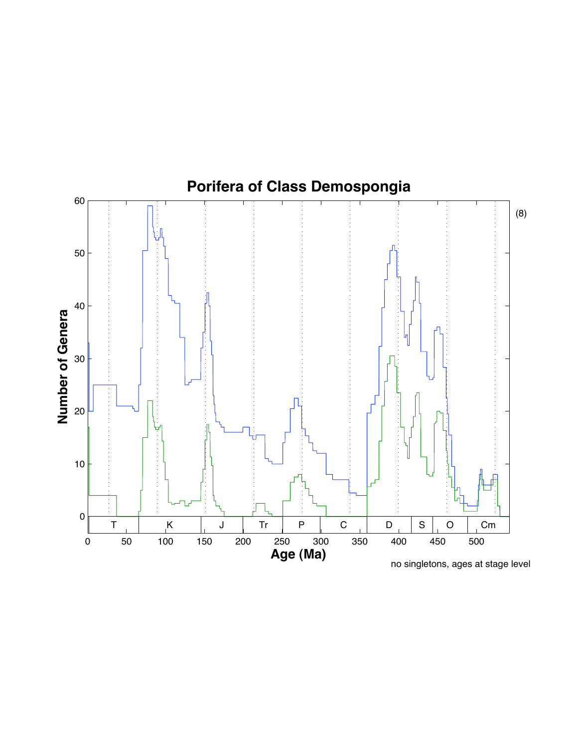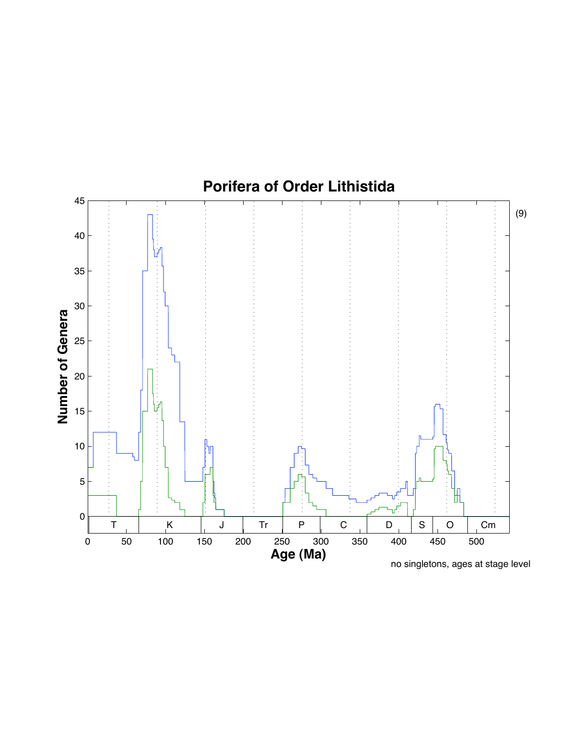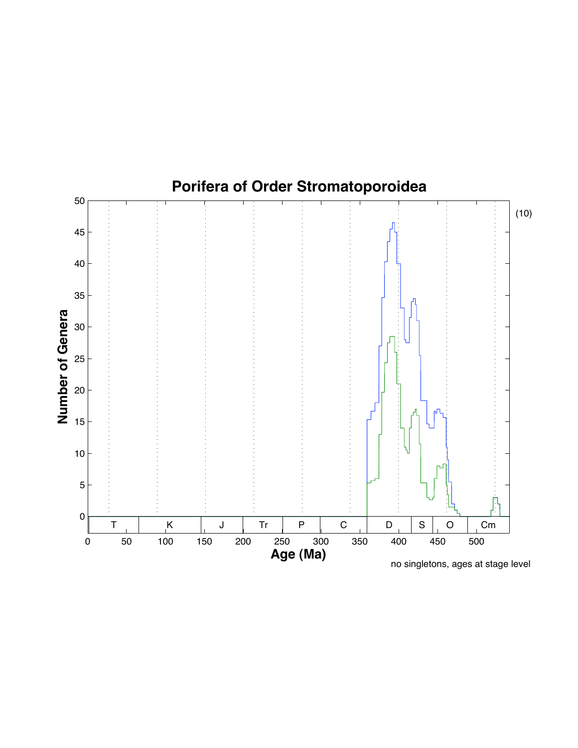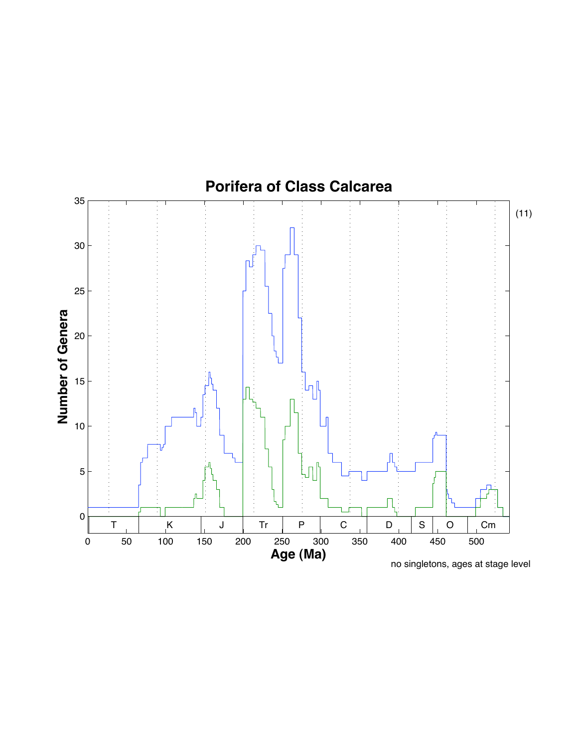

no singletons, ages at stage level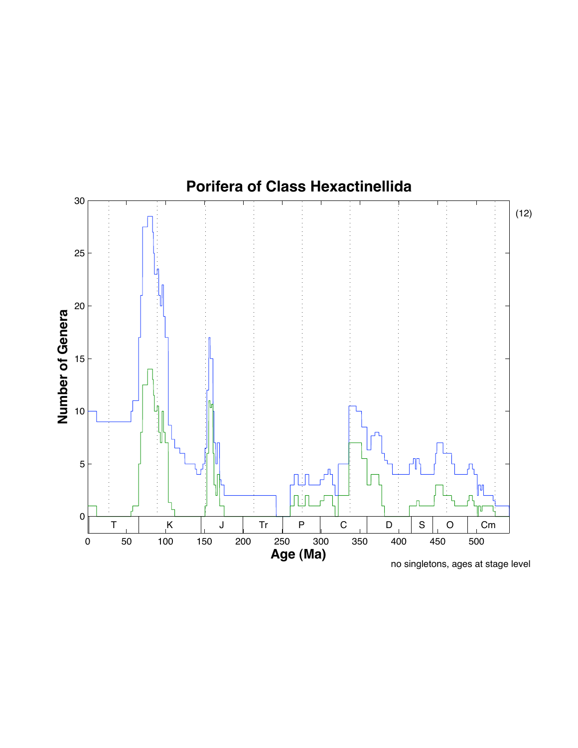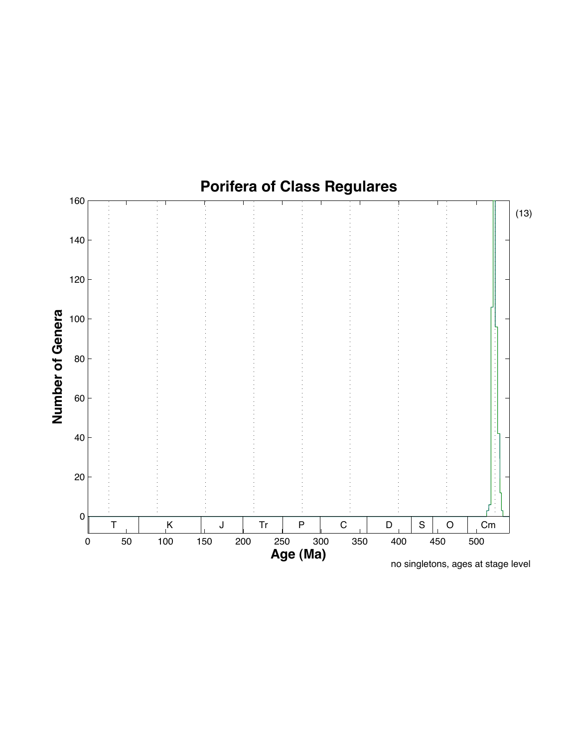

no singletons, ages at stage level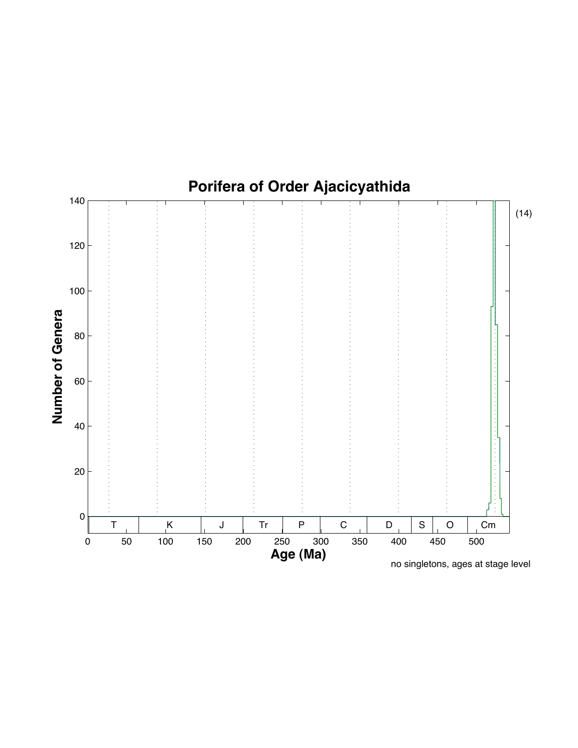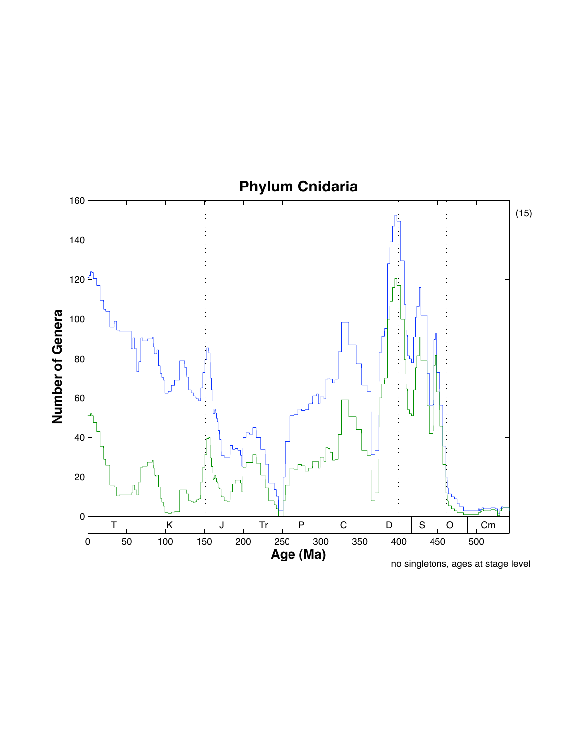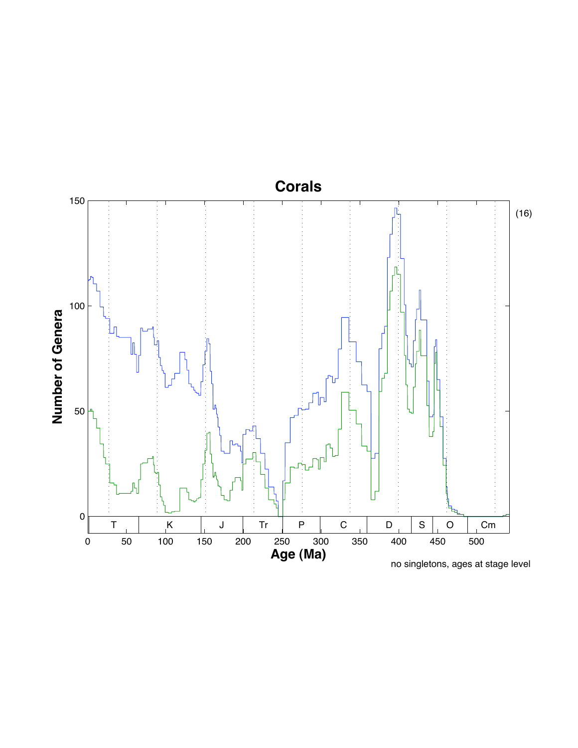

no singletons, ages at stage level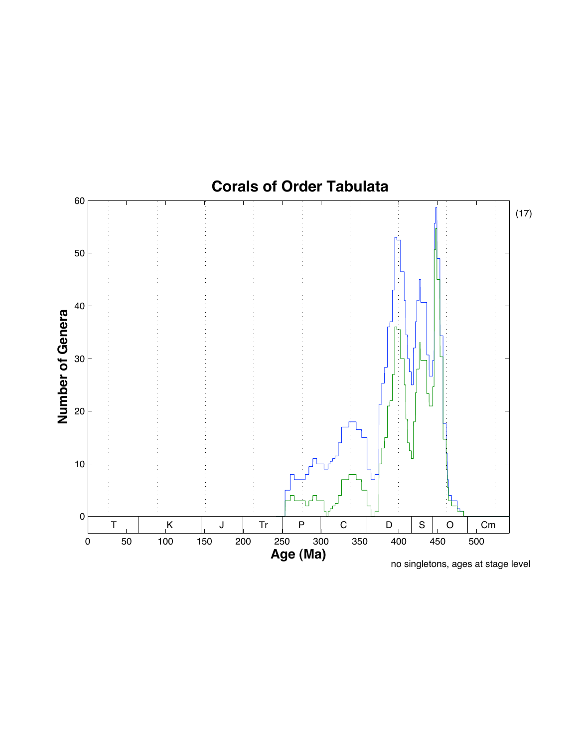

no singletons, ages at stage level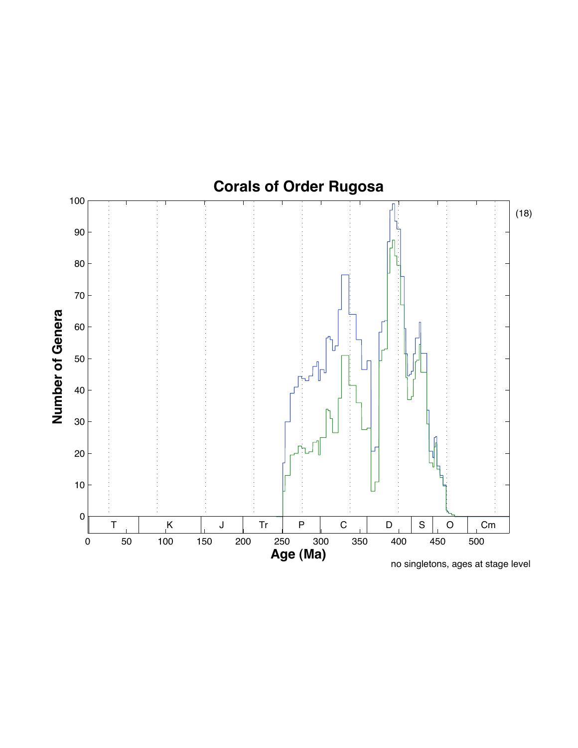

**Number of Genera**

no singletons, ages at stage level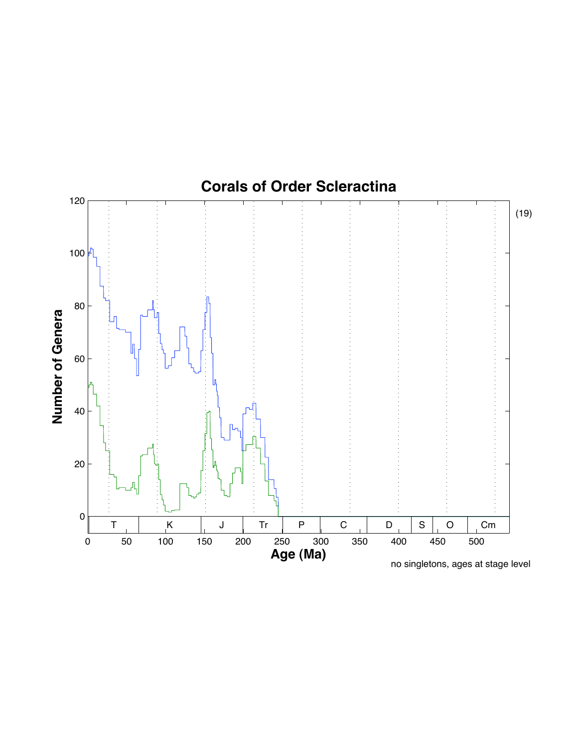

no singletons, ages at stage level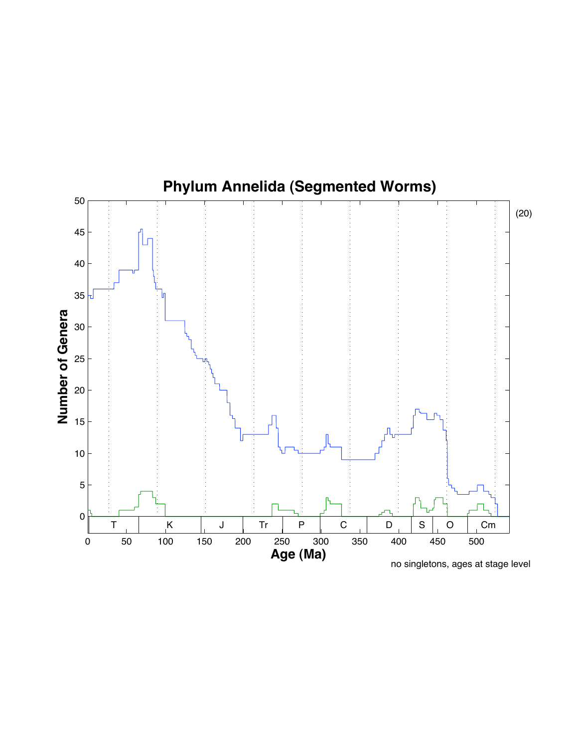

no singletons, ages at stage level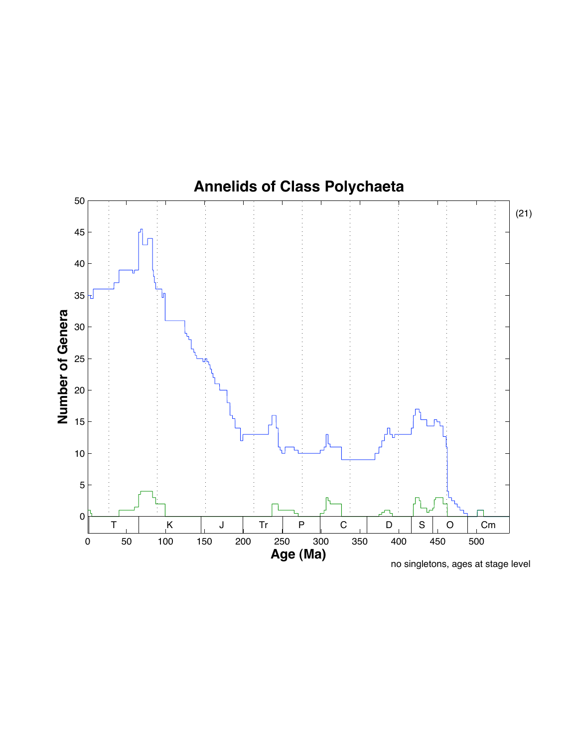

no singletons, ages at stage level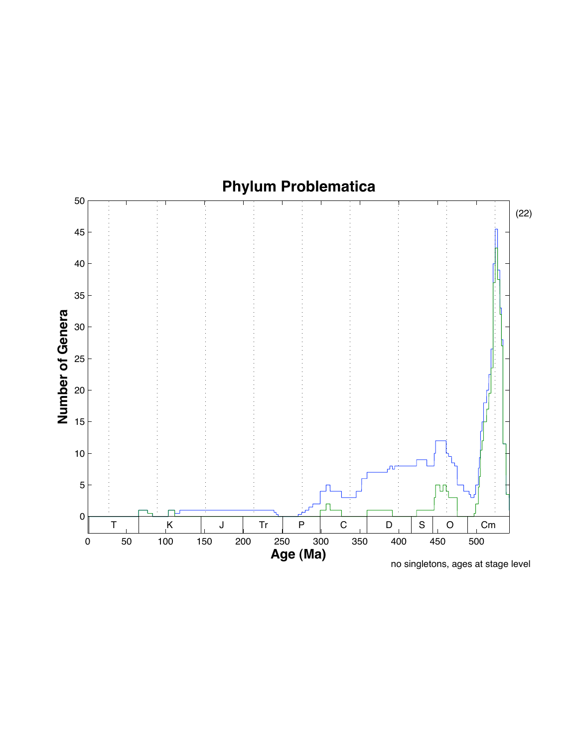

no singletons, ages at stage level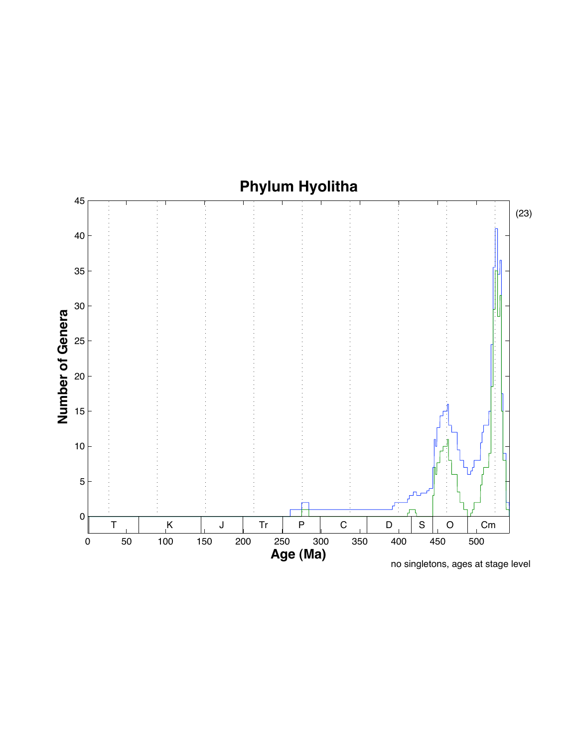

**Phylum Hyolitha**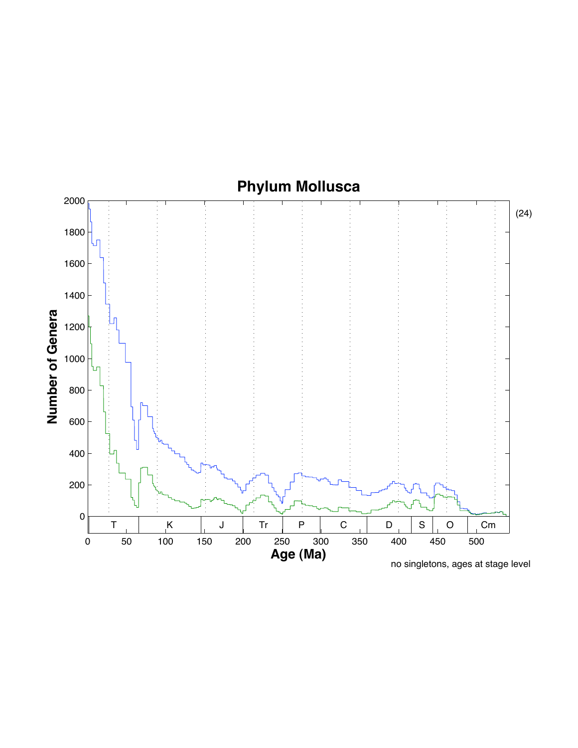# **Phylum Mollusca**

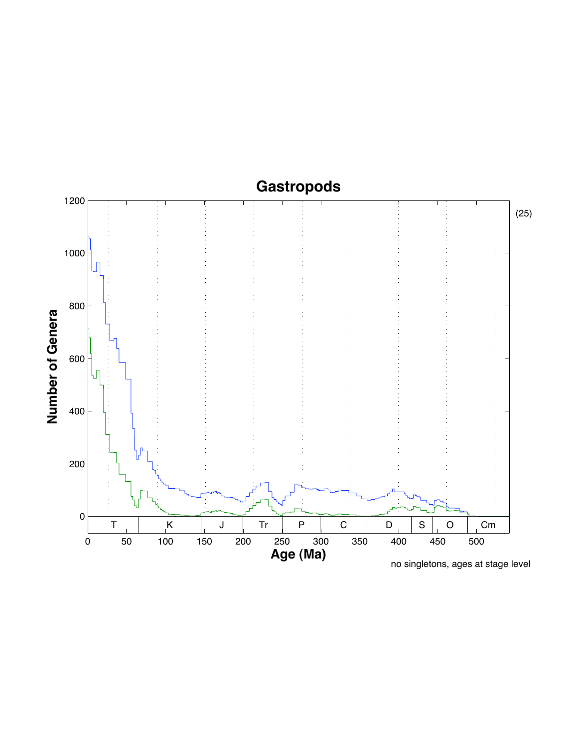## **Gastropods**

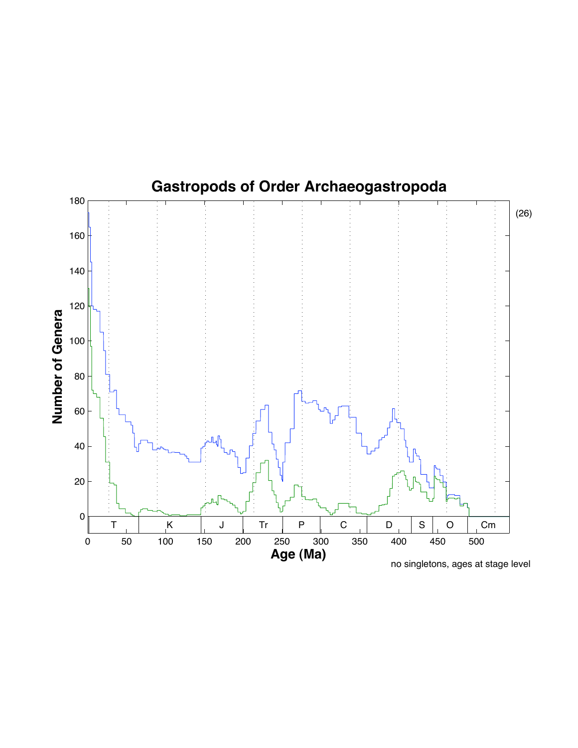

no singletons, ages at stage level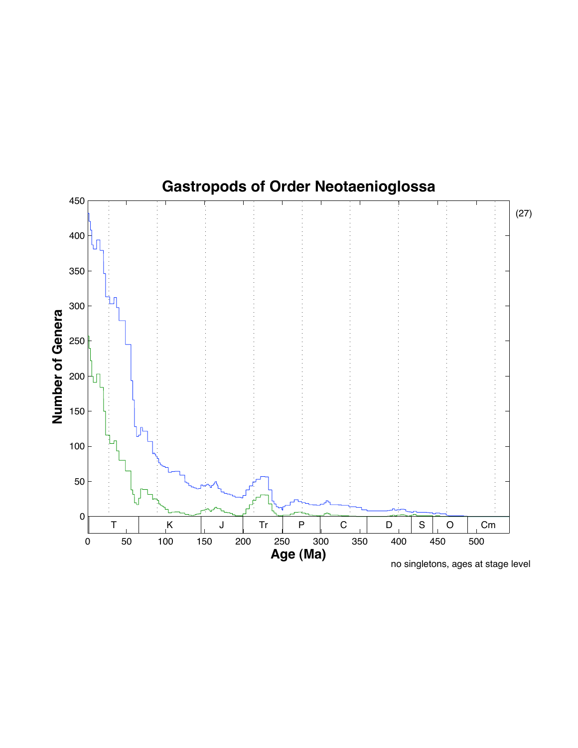

no singletons, ages at stage level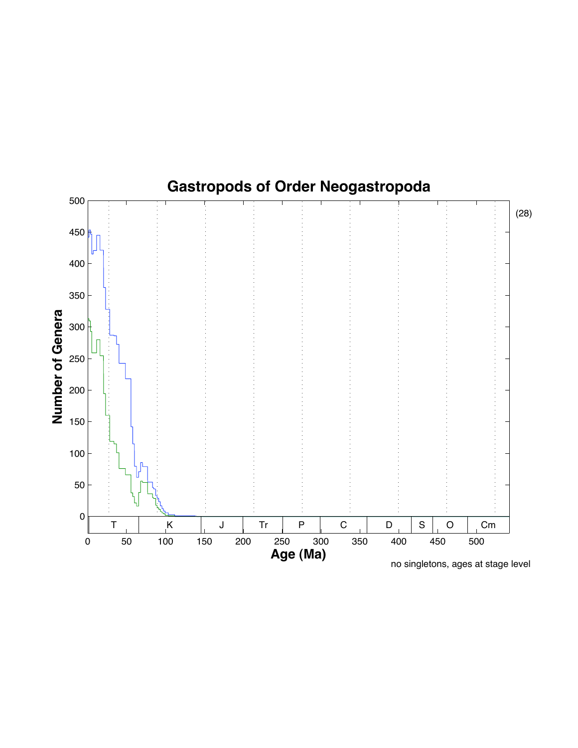

no singletons, ages at stage level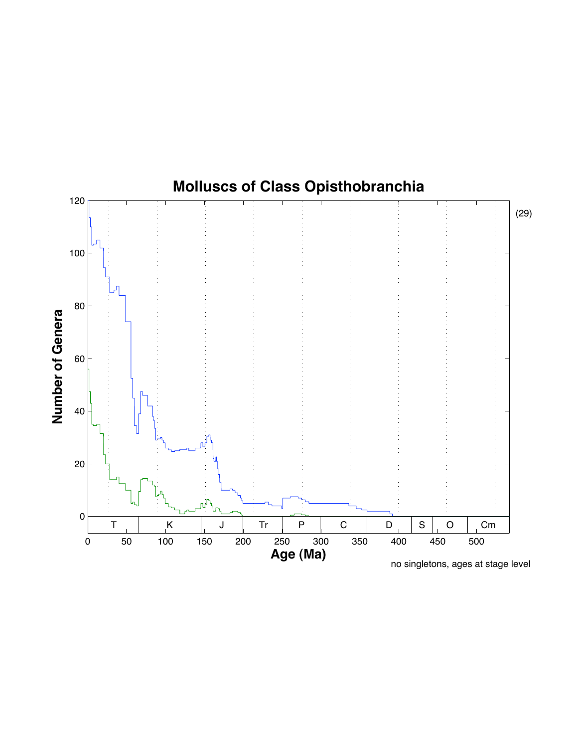

no singletons, ages at stage level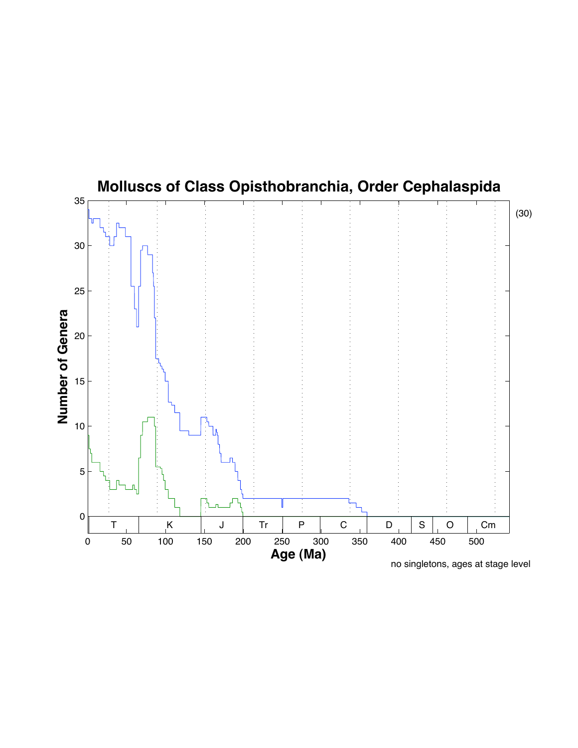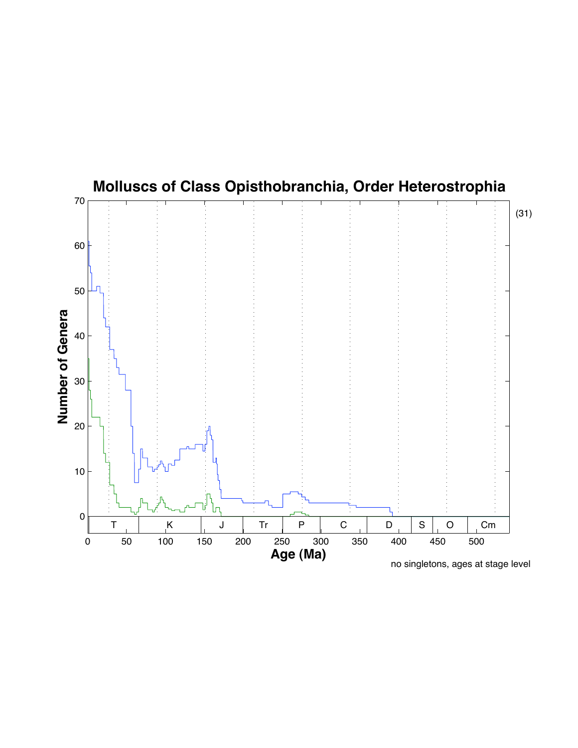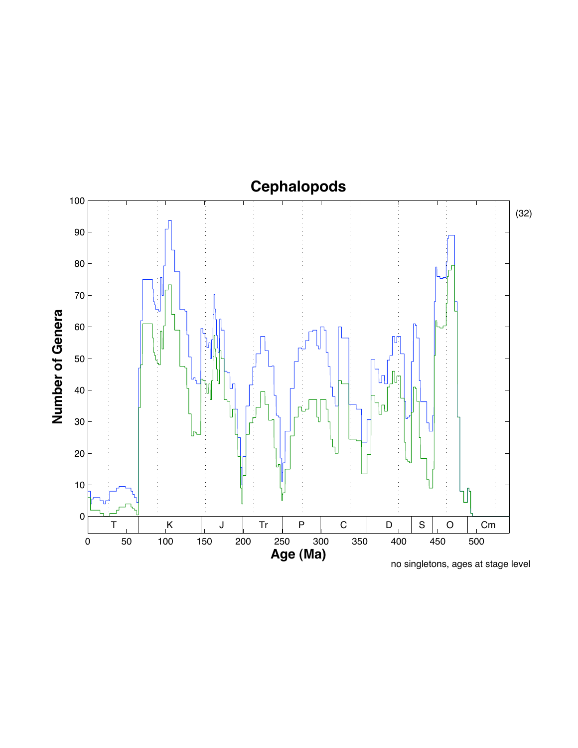

**Number of Genera**

no singletons, ages at stage level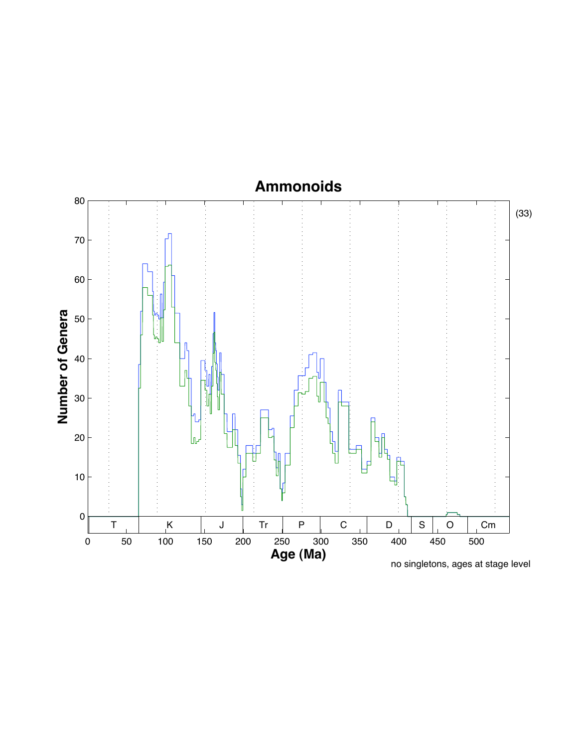#### **Ammonoids**



no singletons, ages at stage level

(33)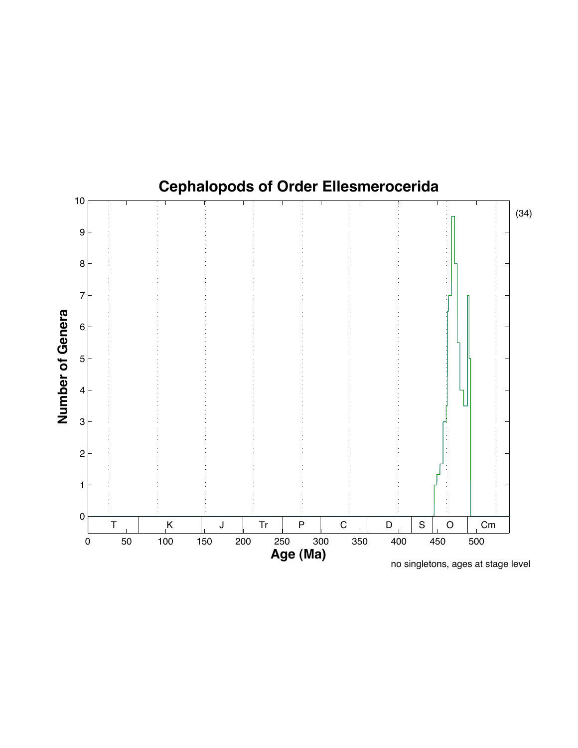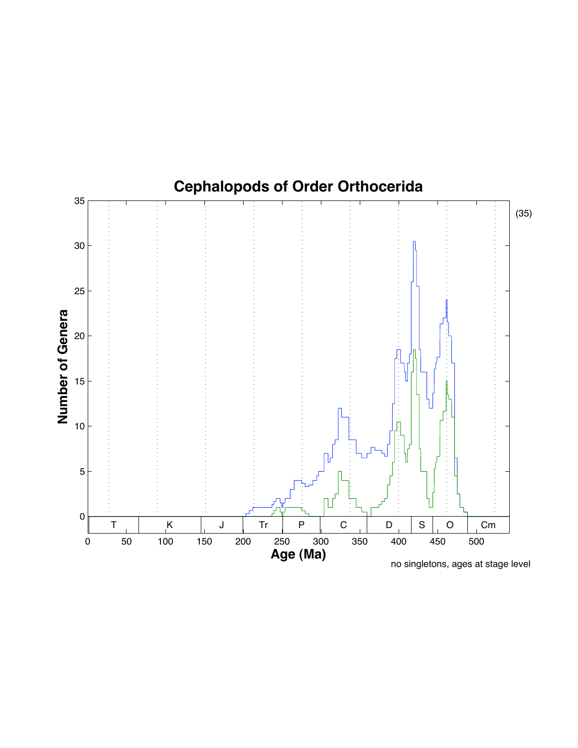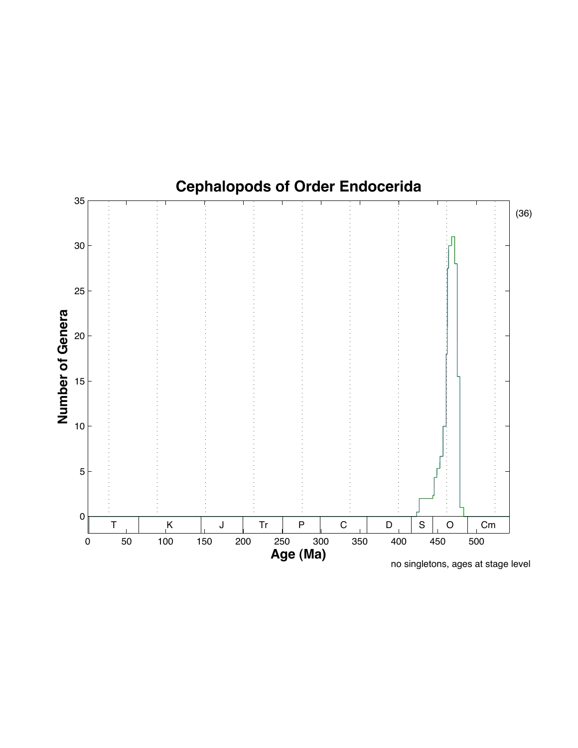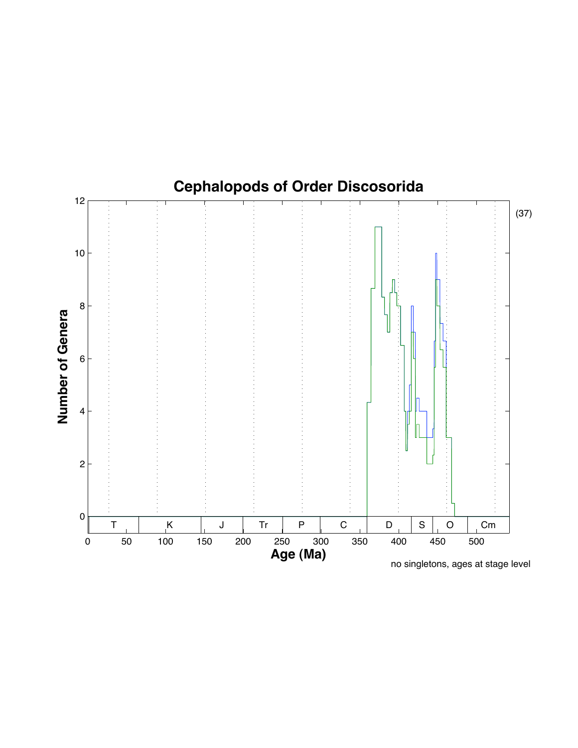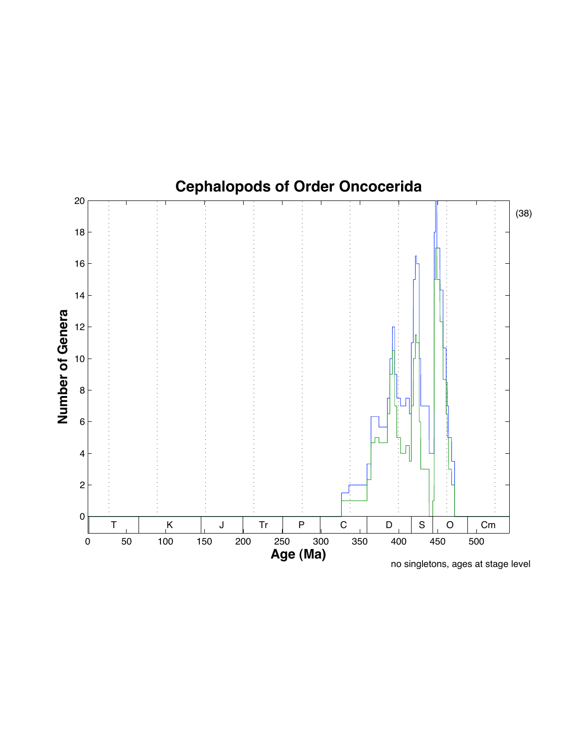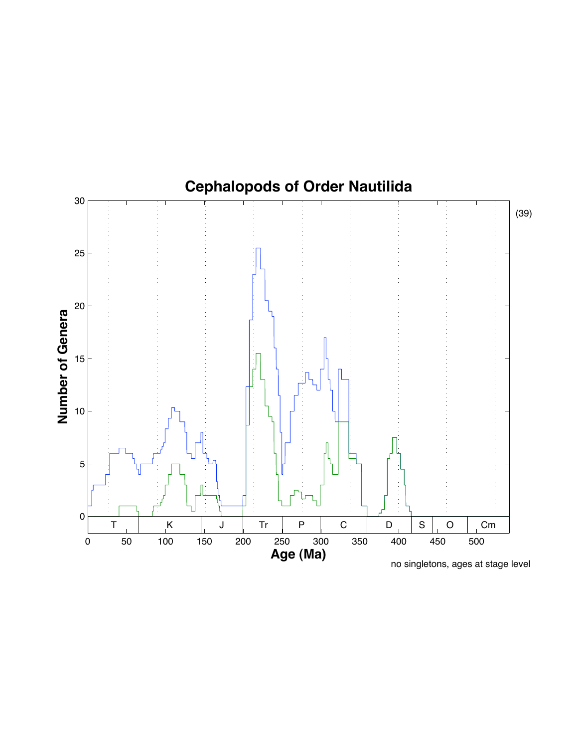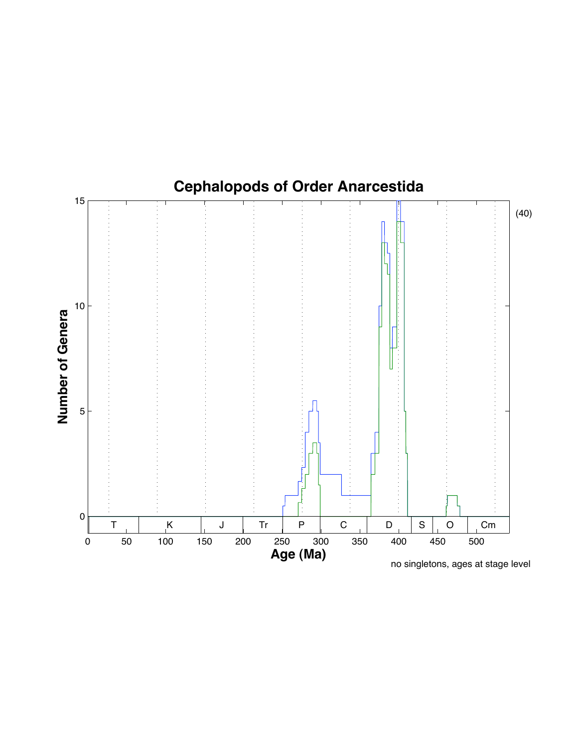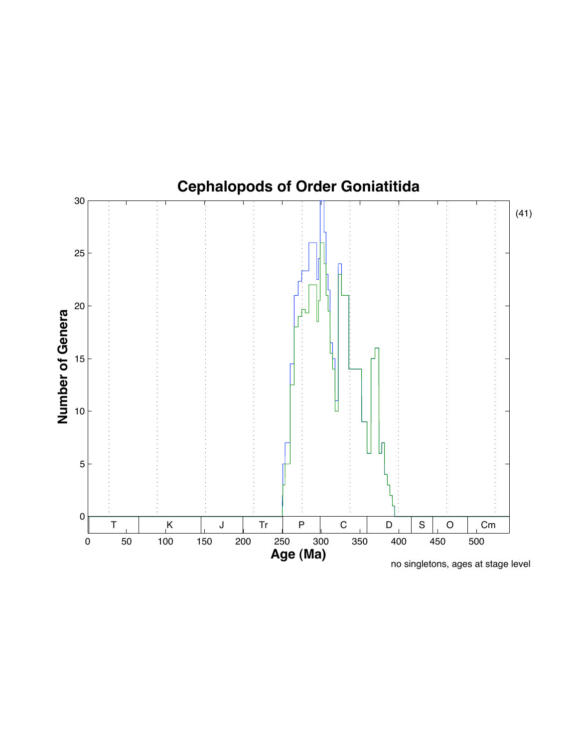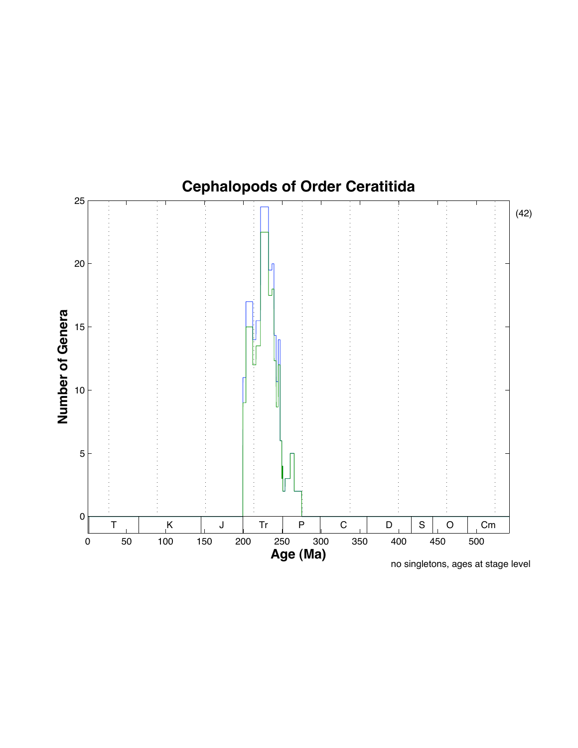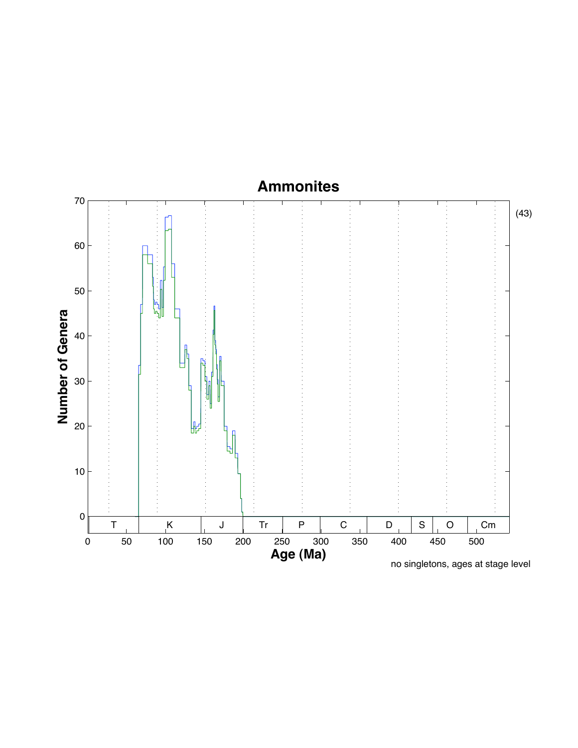#### **Ammonites**

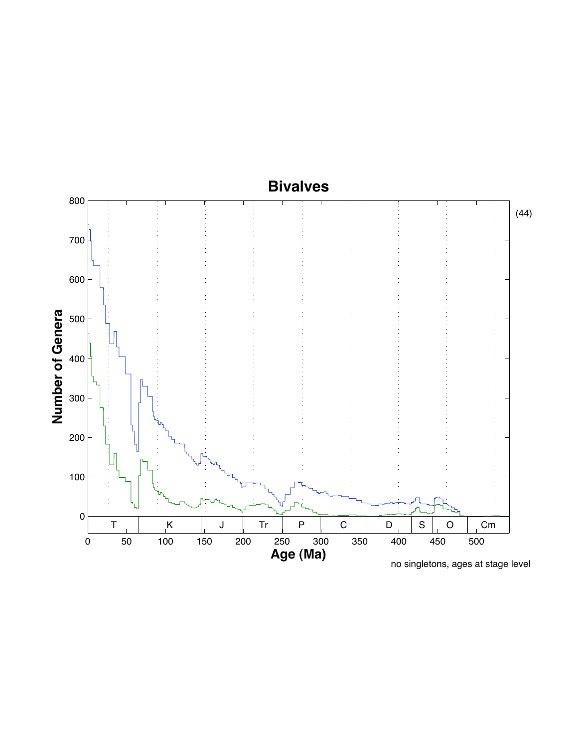# **Bivalves**

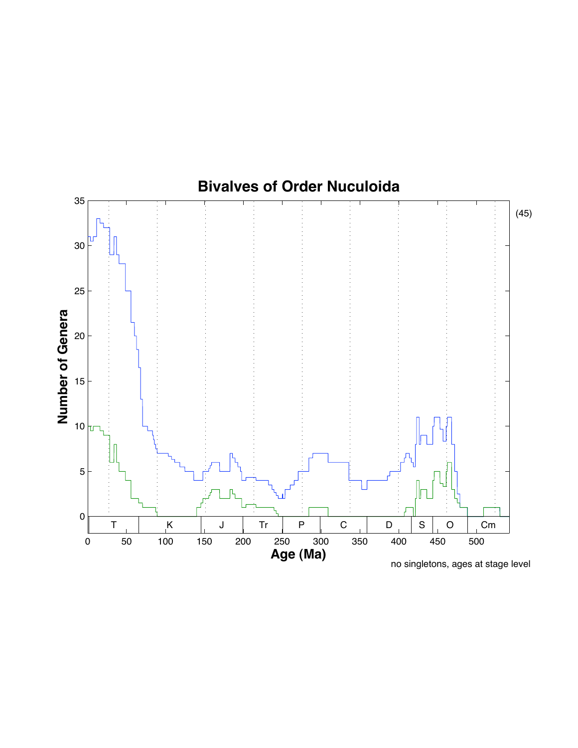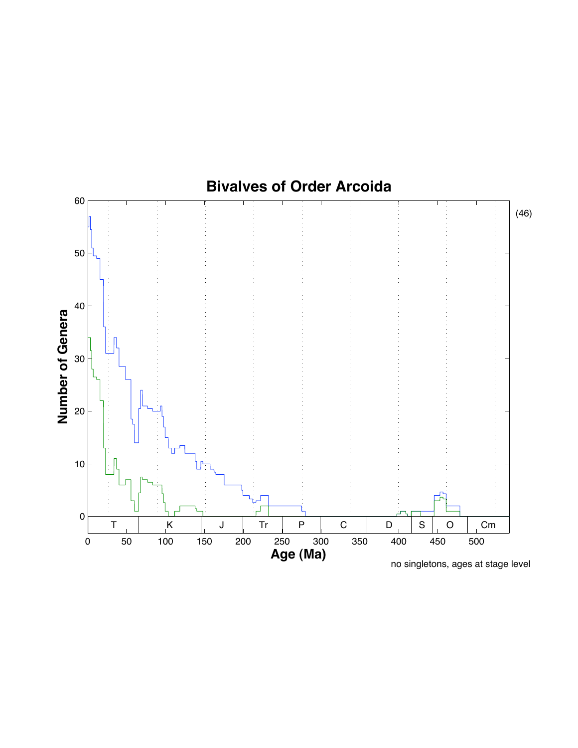

no singletons, ages at stage level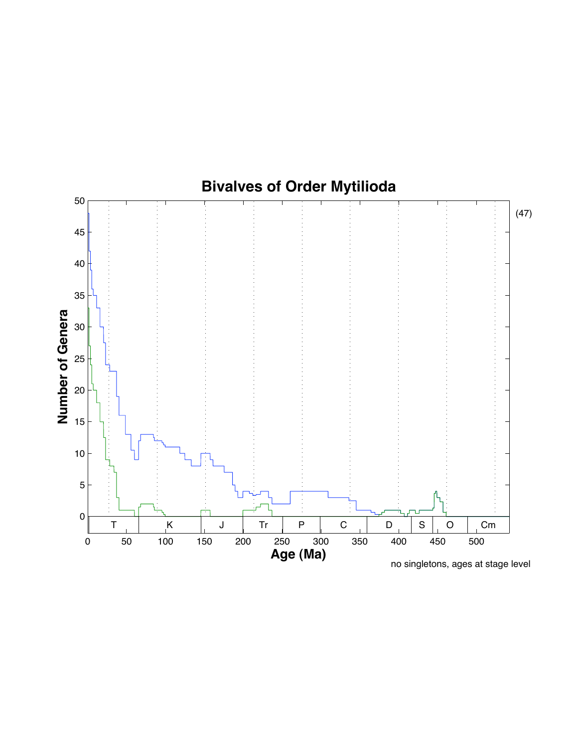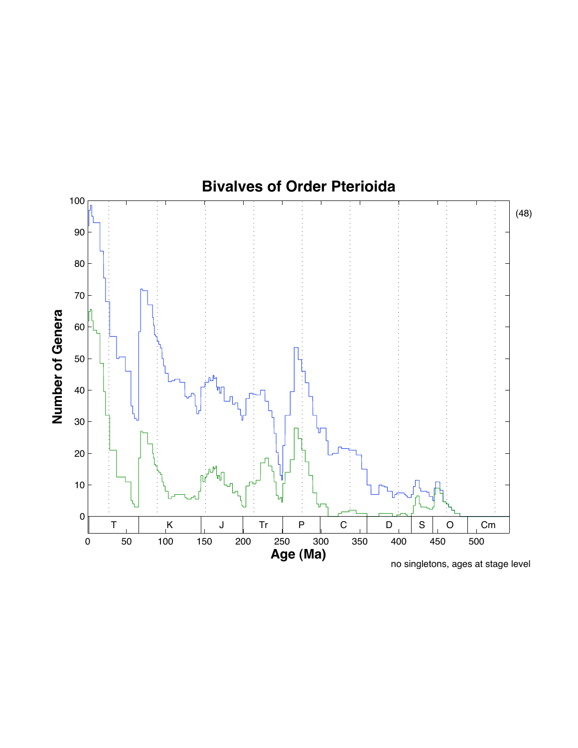

no singletons, ages at stage level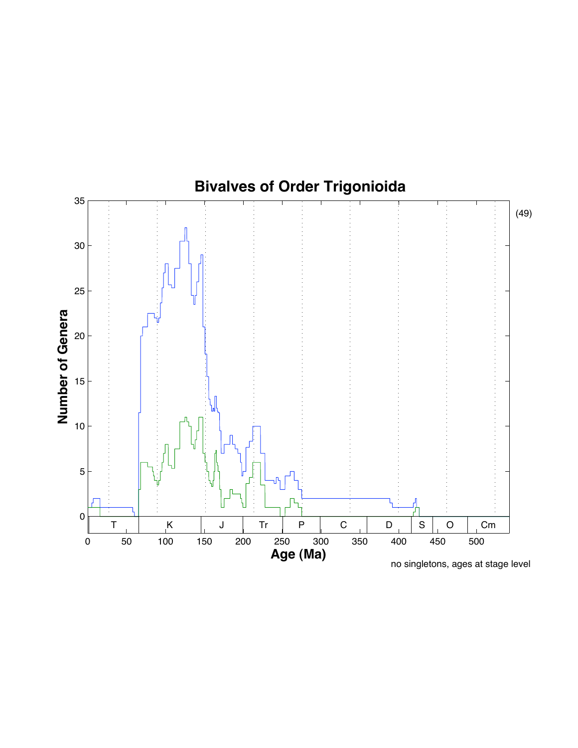

no singletons, ages at stage level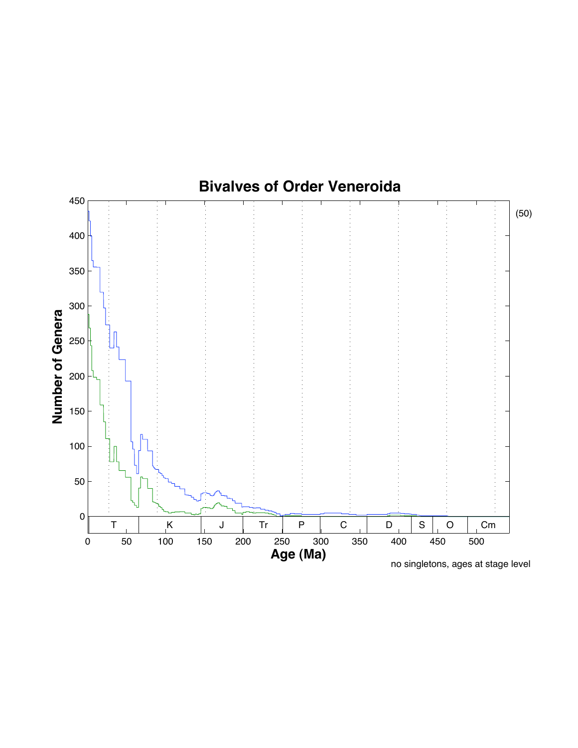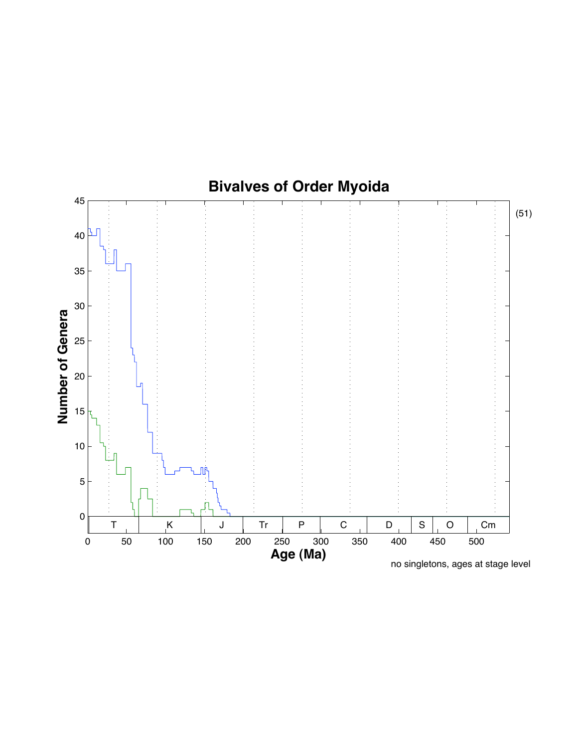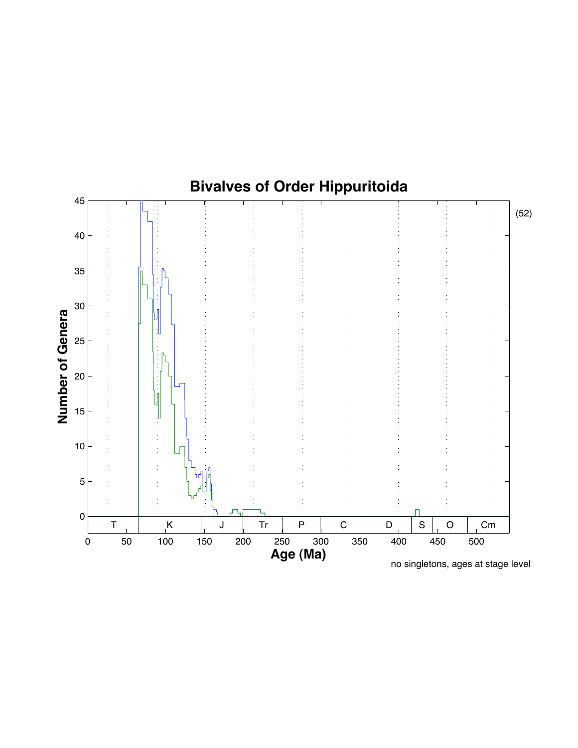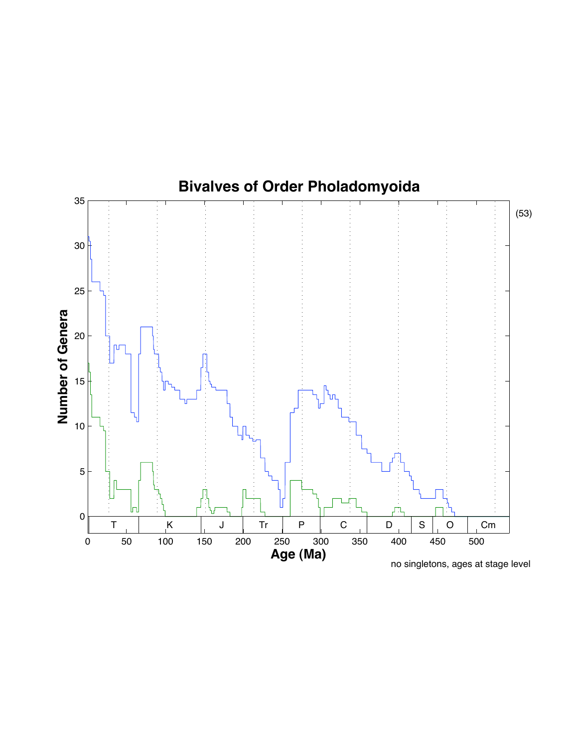

no singletons, ages at stage level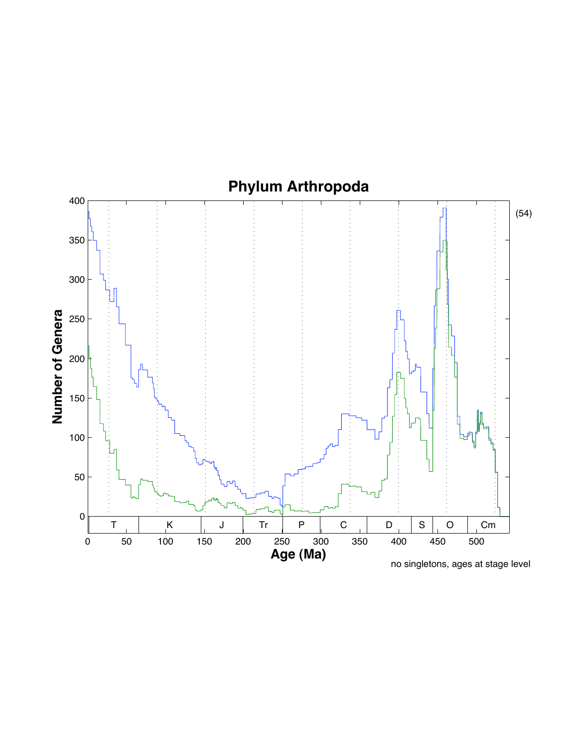# **Phylum Arthropoda**

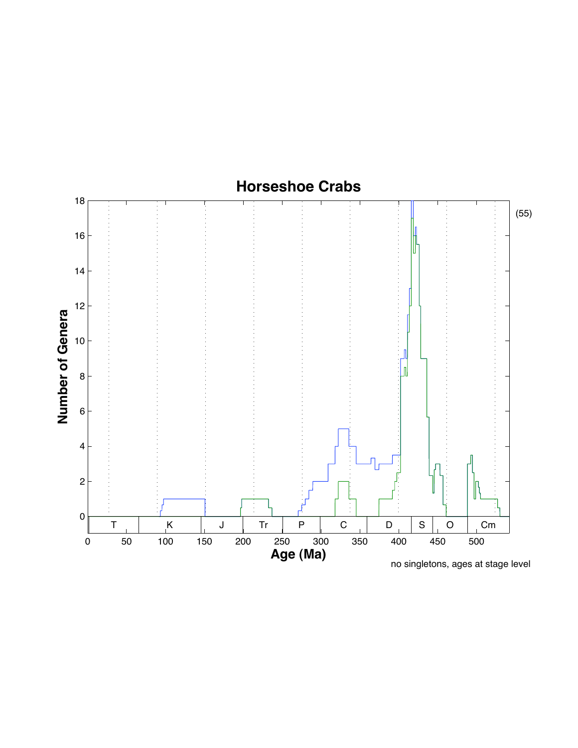

no singletons, ages at stage level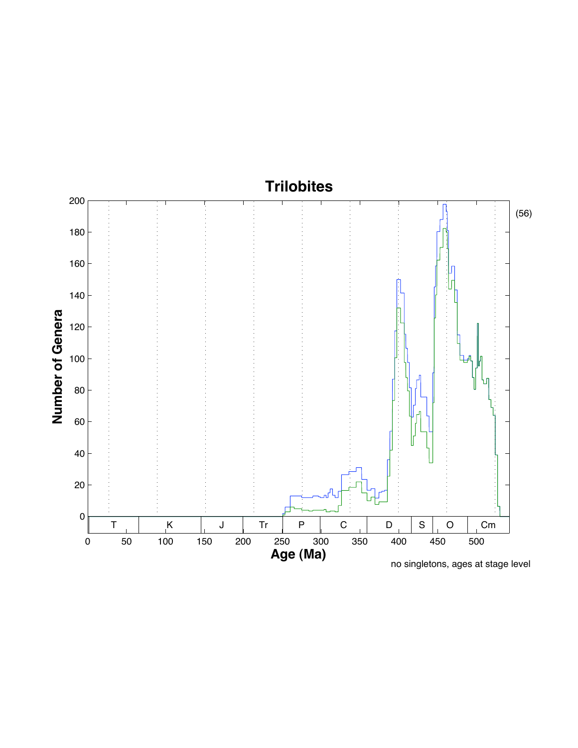# **Trilobites**

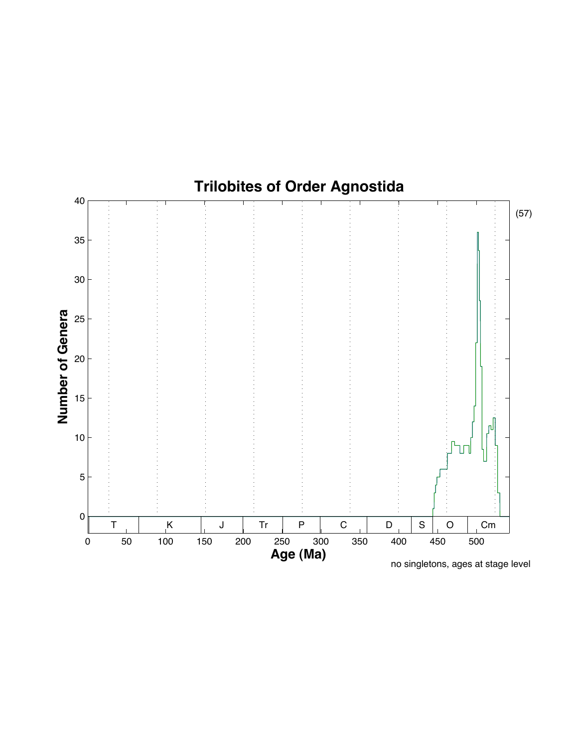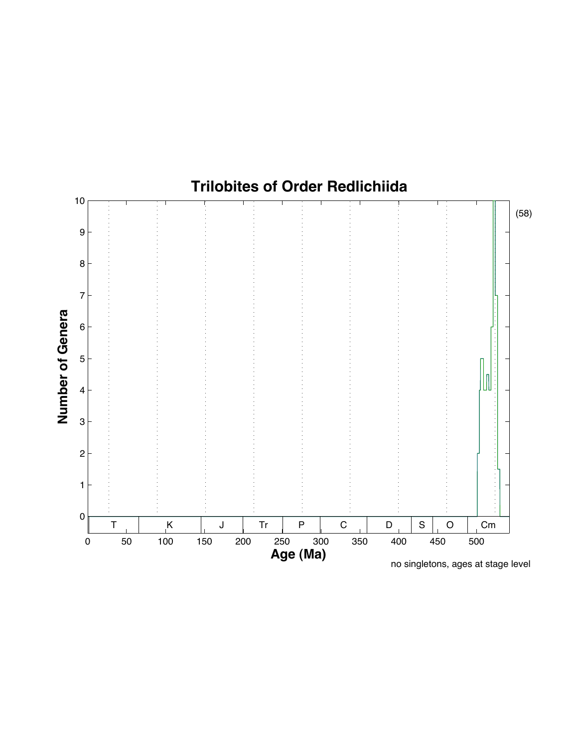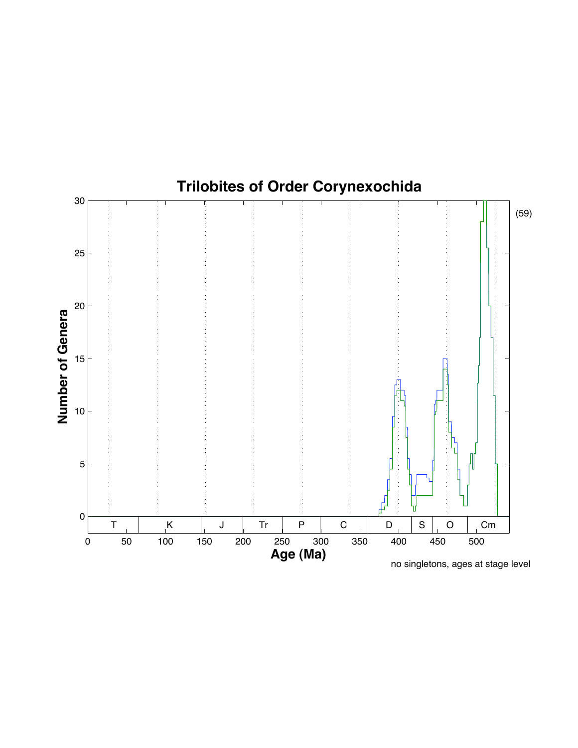

# **Trilobites of Order Corynexochida**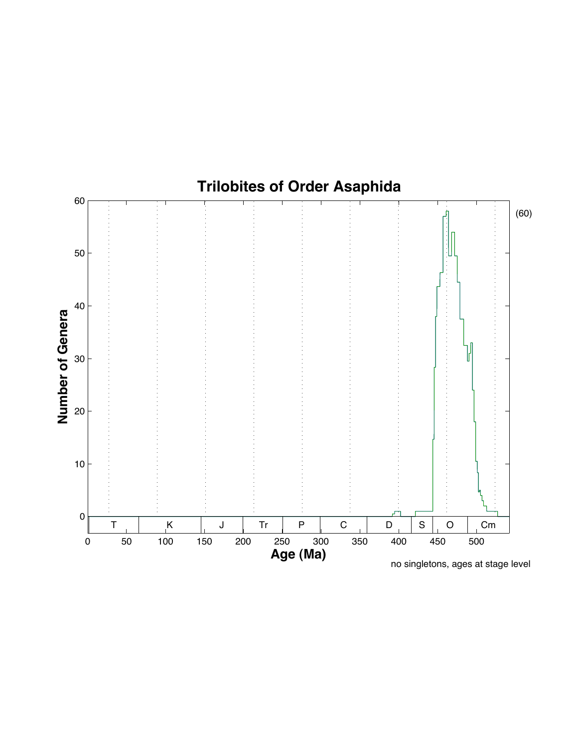

no singletons, ages at stage level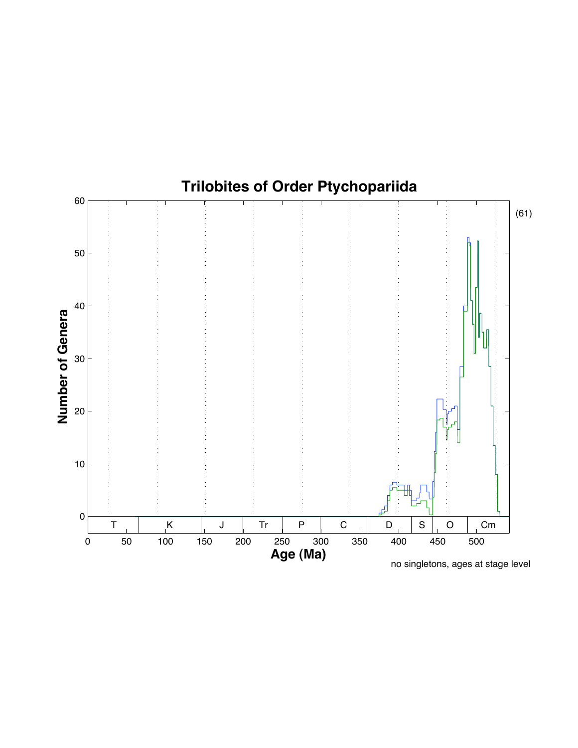

no singletons, ages at stage level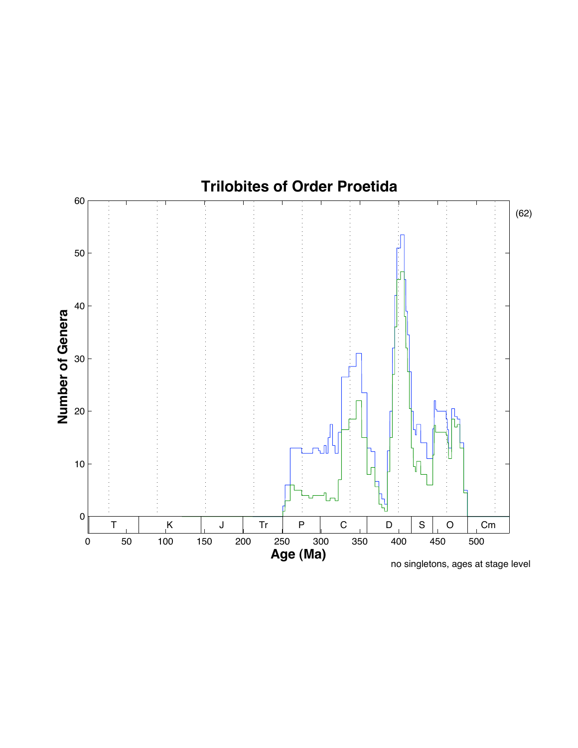

no singletons, ages at stage level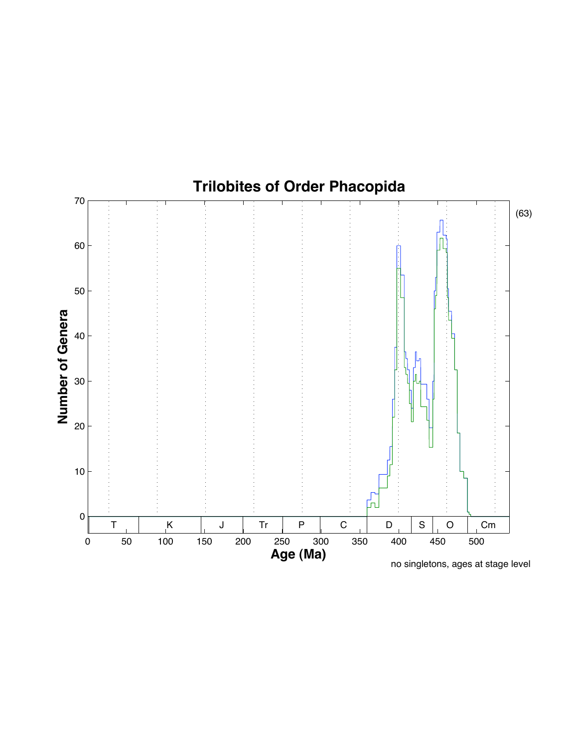

no singletons, ages at stage level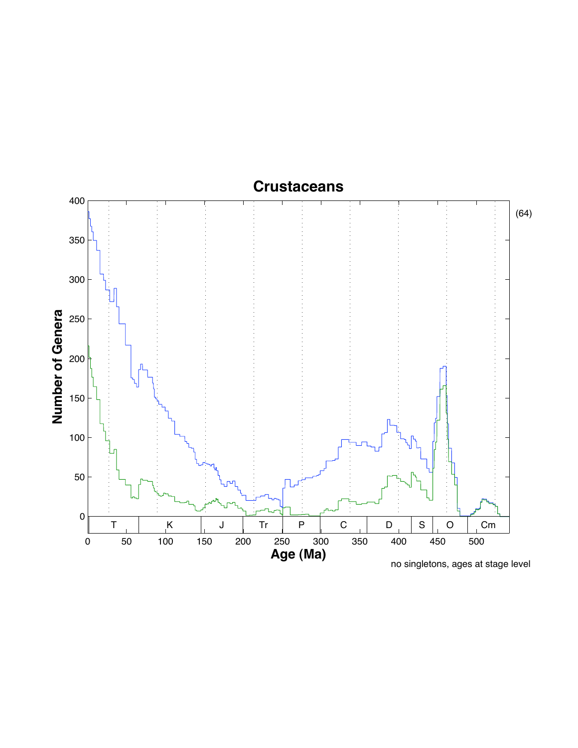### **Crustaceans**

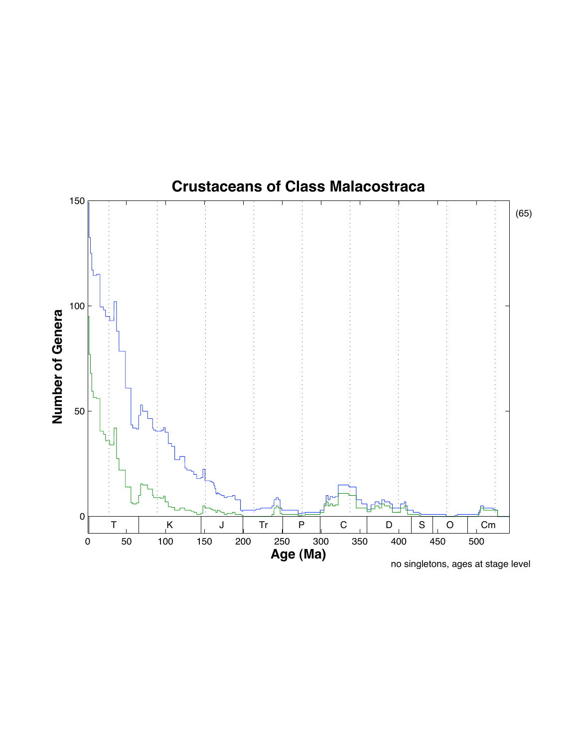

no singletons, ages at stage level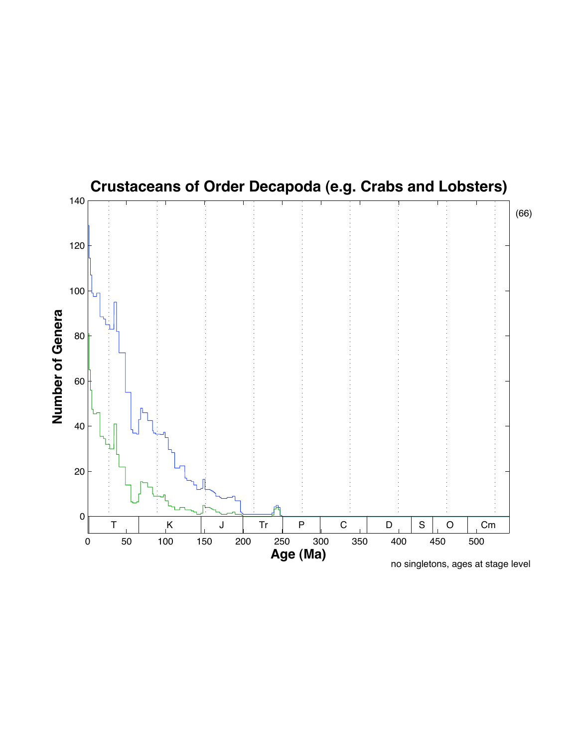

no singletons, ages at stage level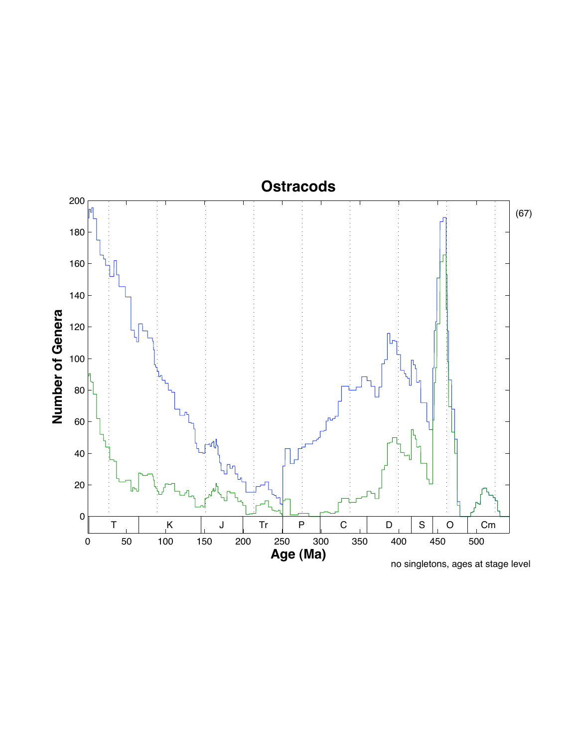### **Ostracods**

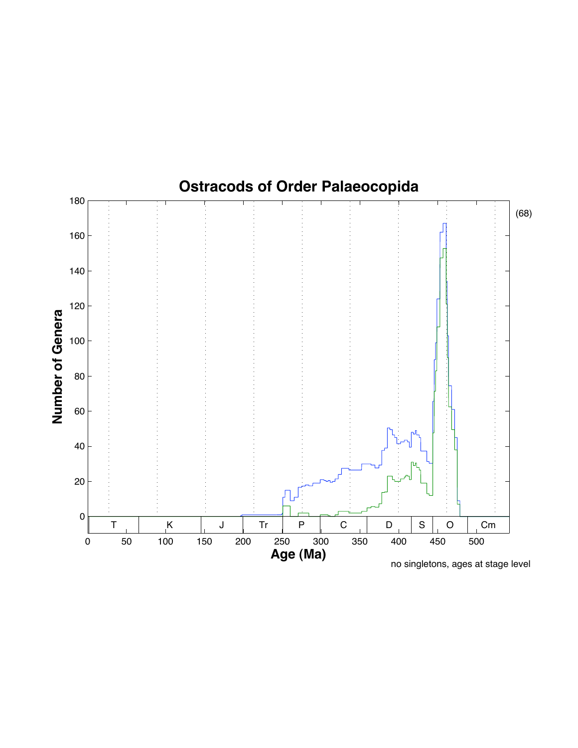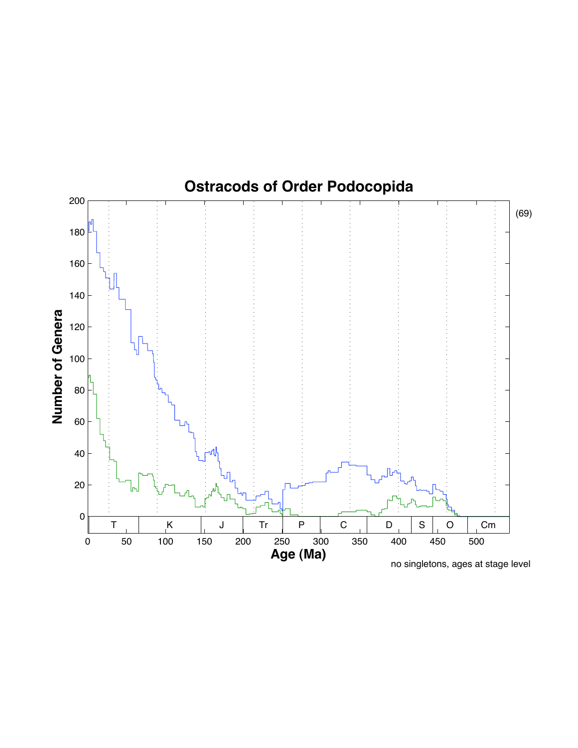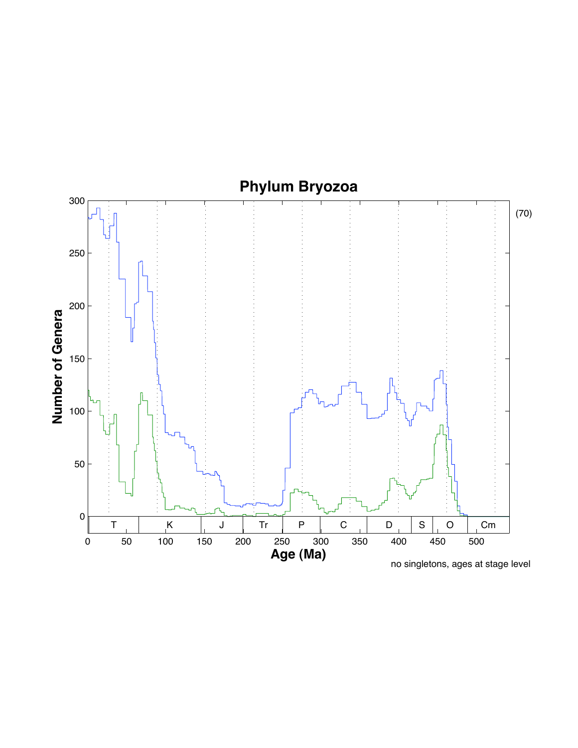# **Phylum Bryozoa**

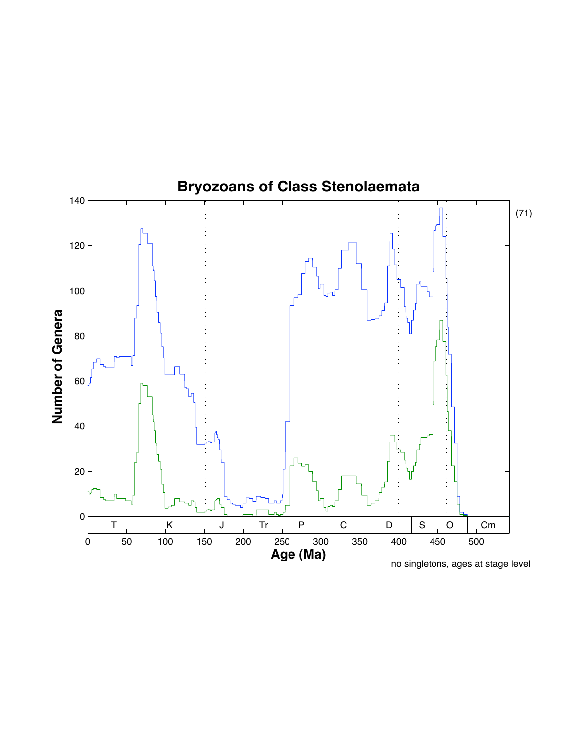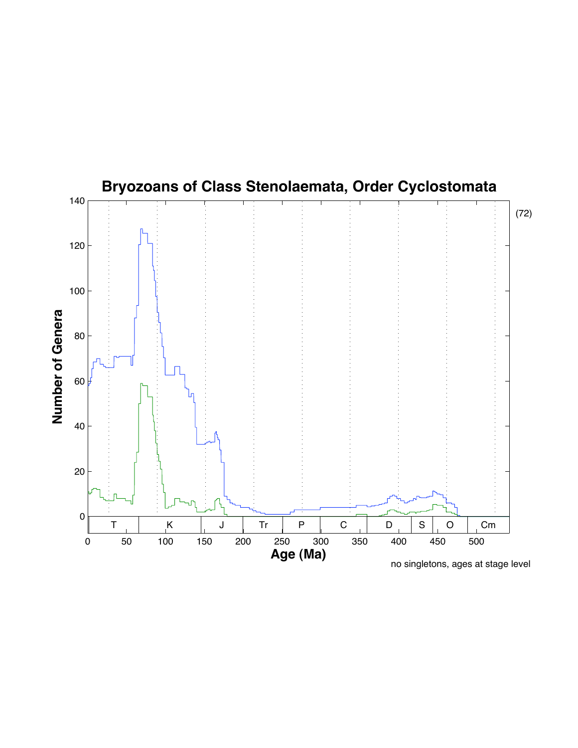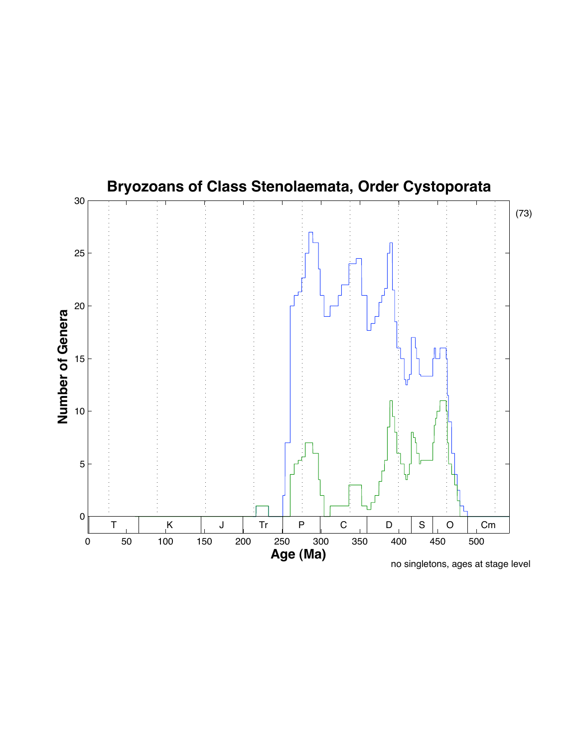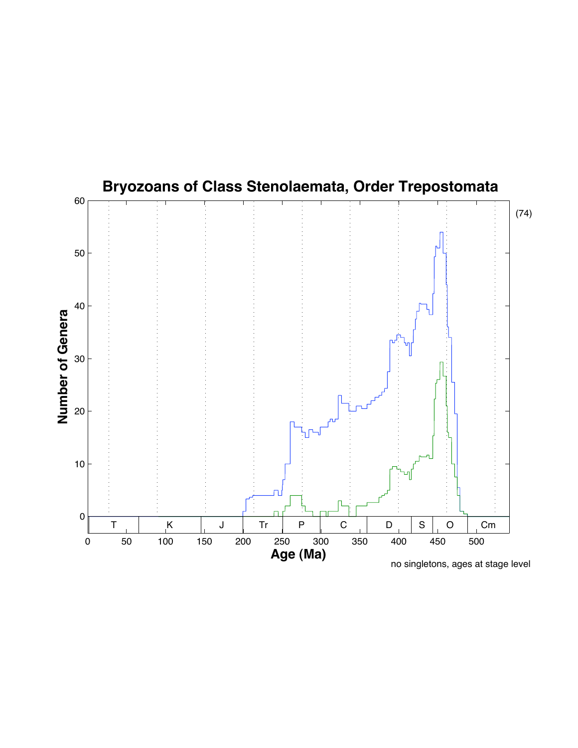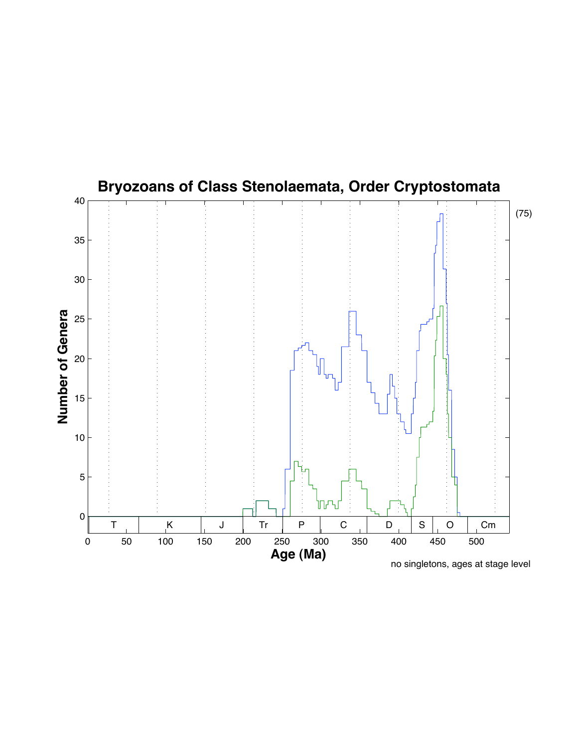

no singletons, ages at stage level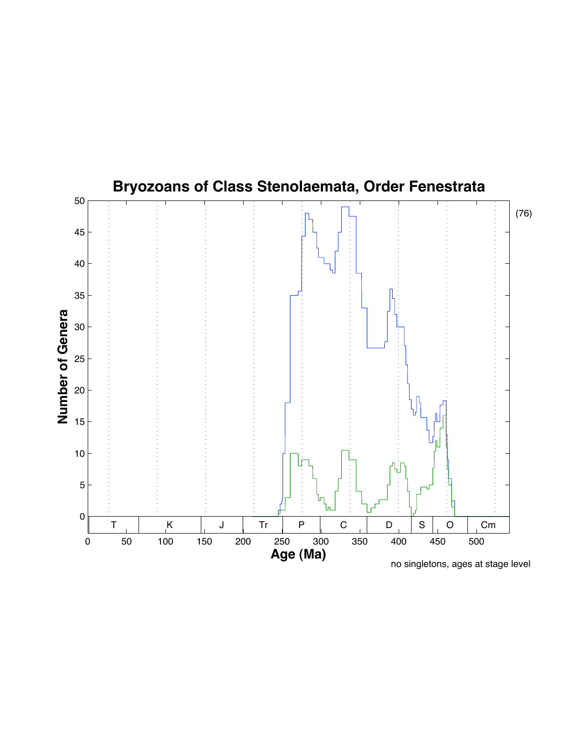

no singletons, ages at stage level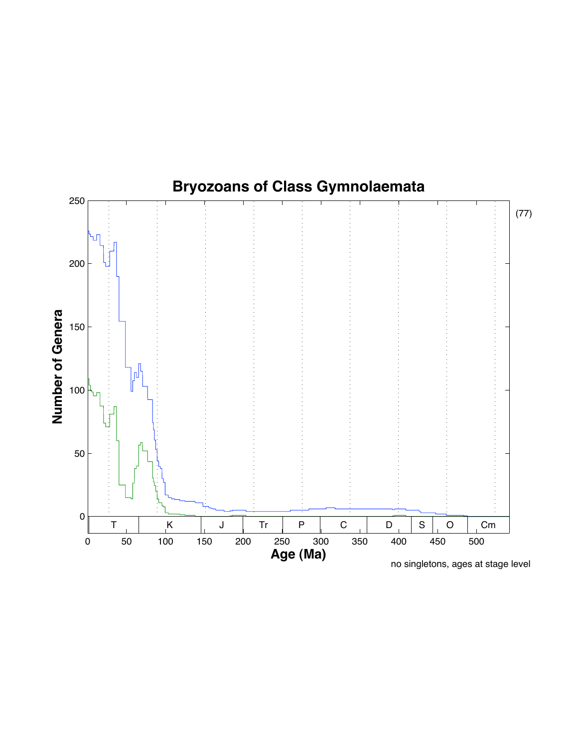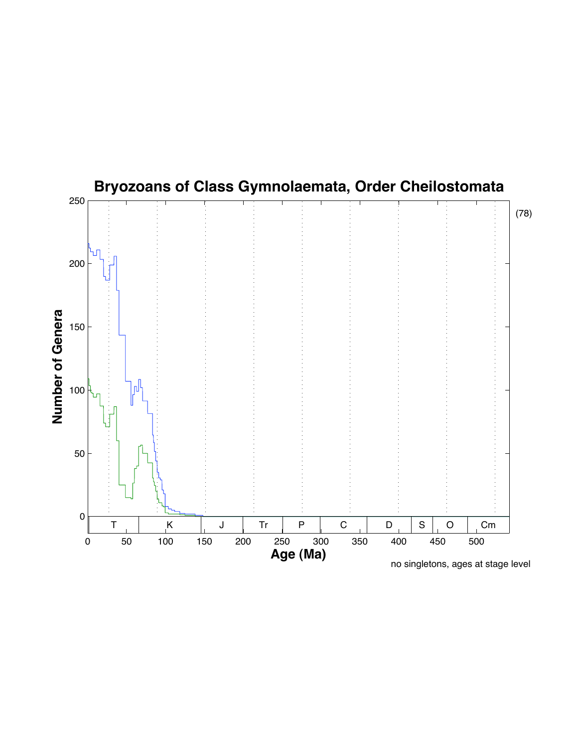

no singletons, ages at stage level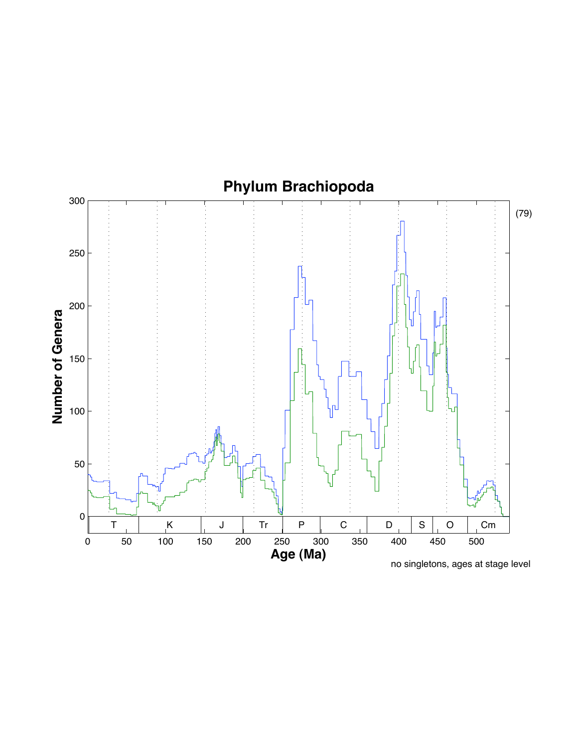

no singletons, ages at stage level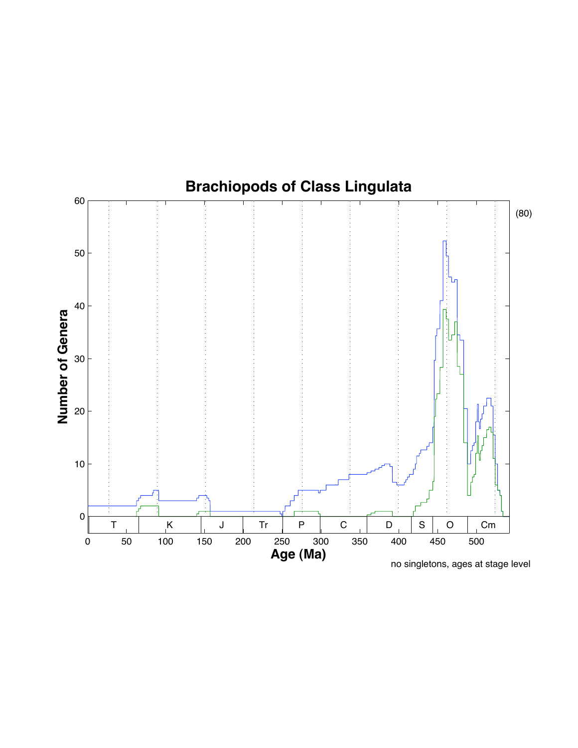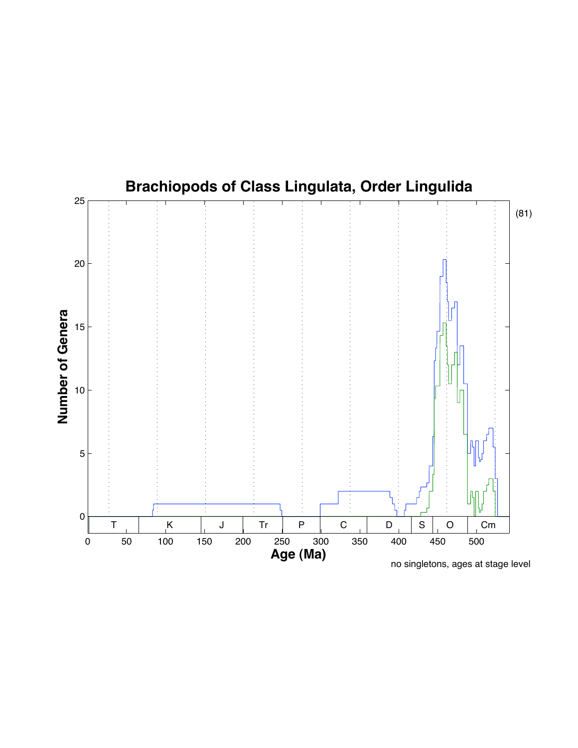

no singletons, ages at stage level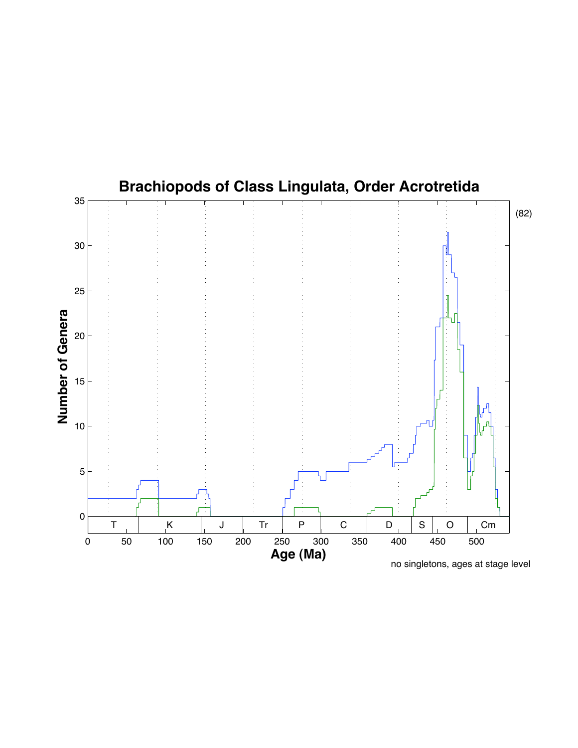# **Brachiopods of Class Lingulata, Order Acrotretida**

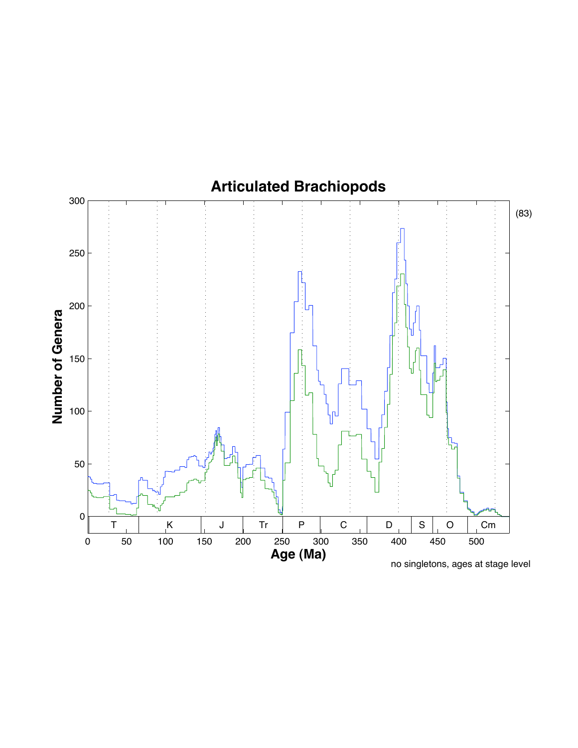

no singletons, ages at stage level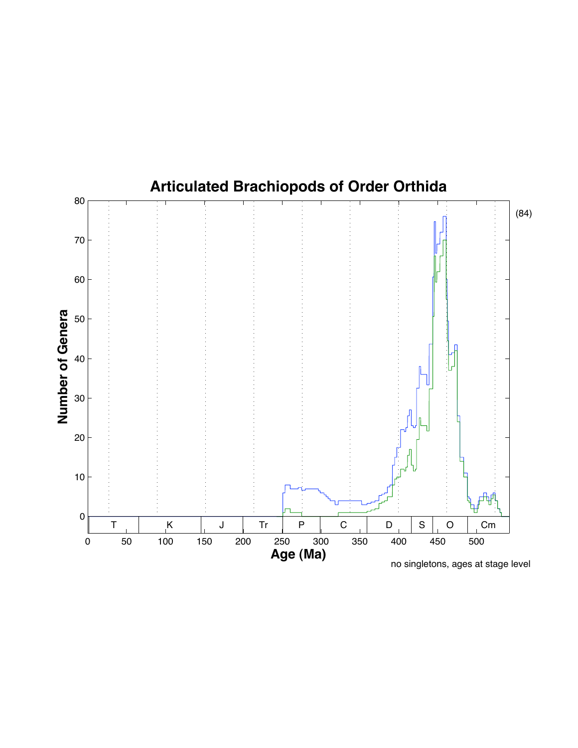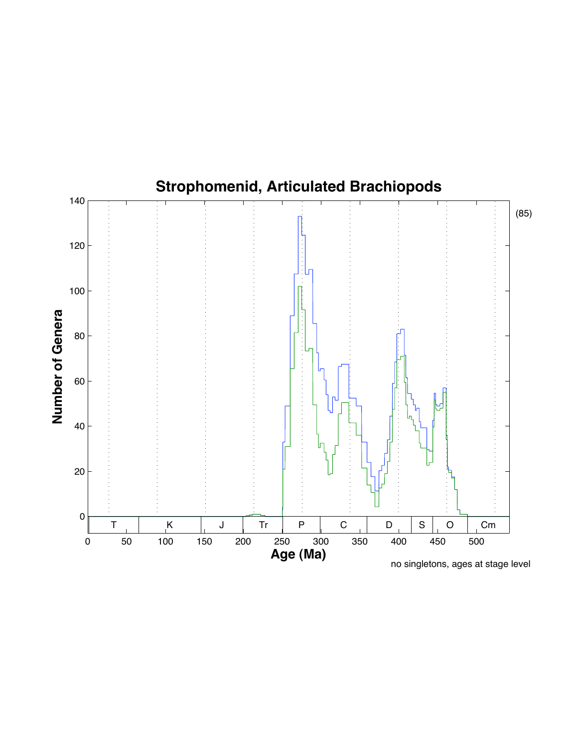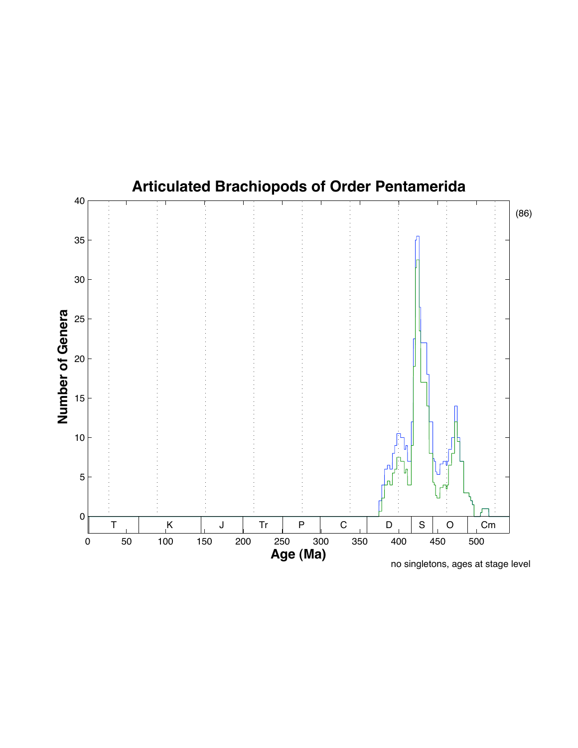### **Articulated Brachiopods of Order Pentamerida**

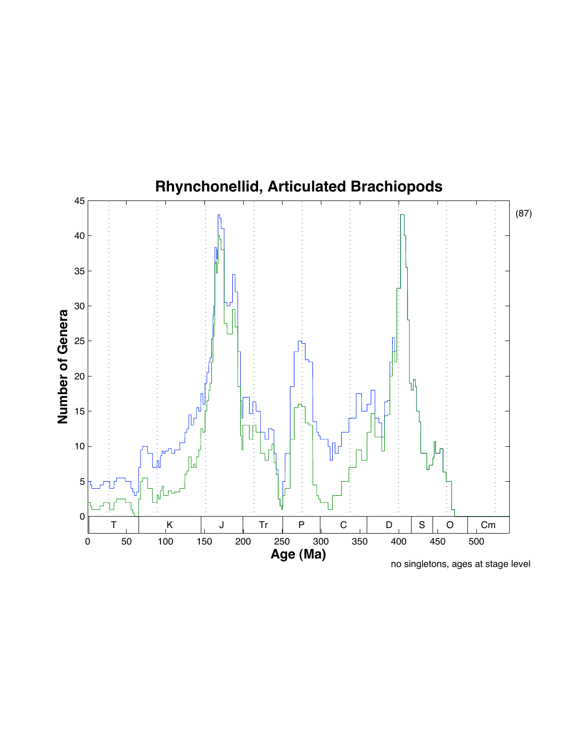

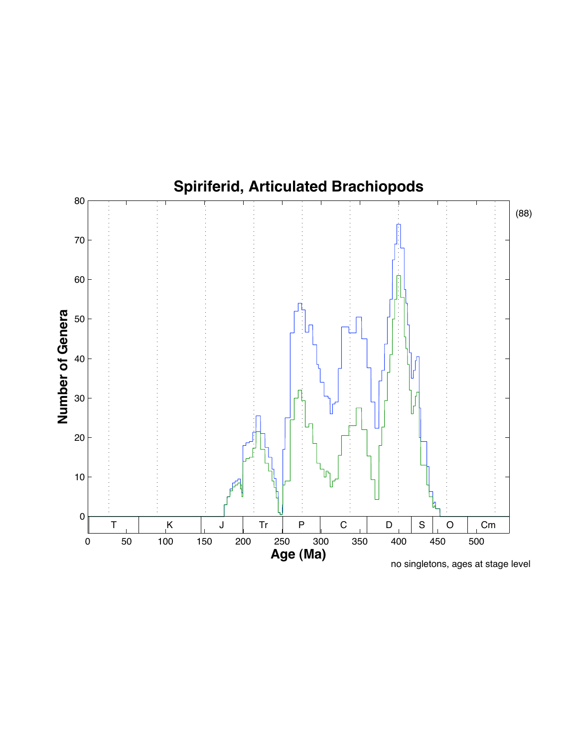

no singletons, ages at stage level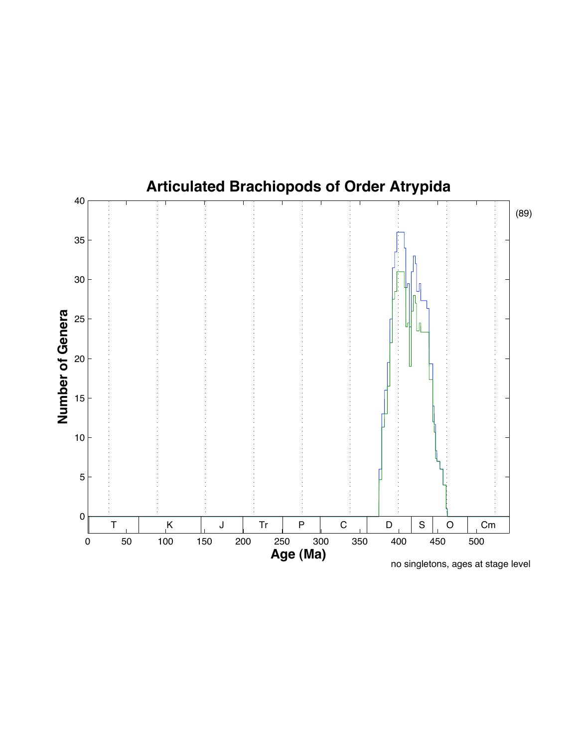

# **Articulated Brachiopods of Order Atrypida**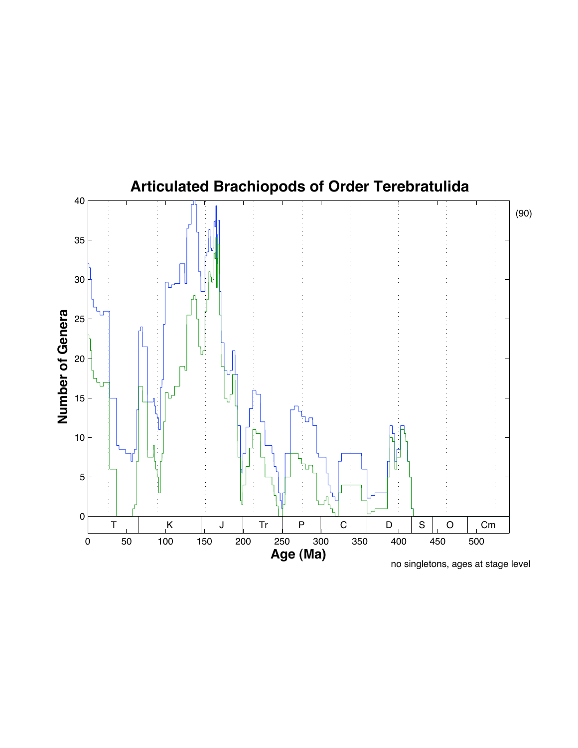### **Articulated Brachiopods of Order Terebratulida**



(90)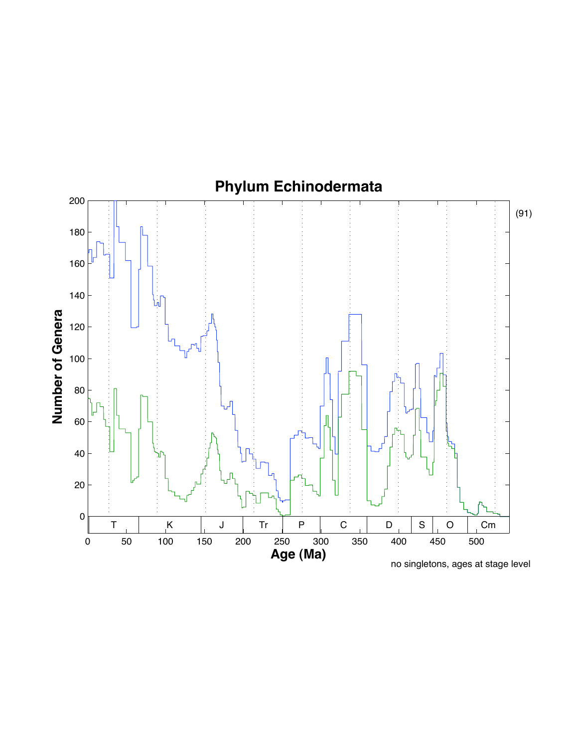

no singletons, ages at stage level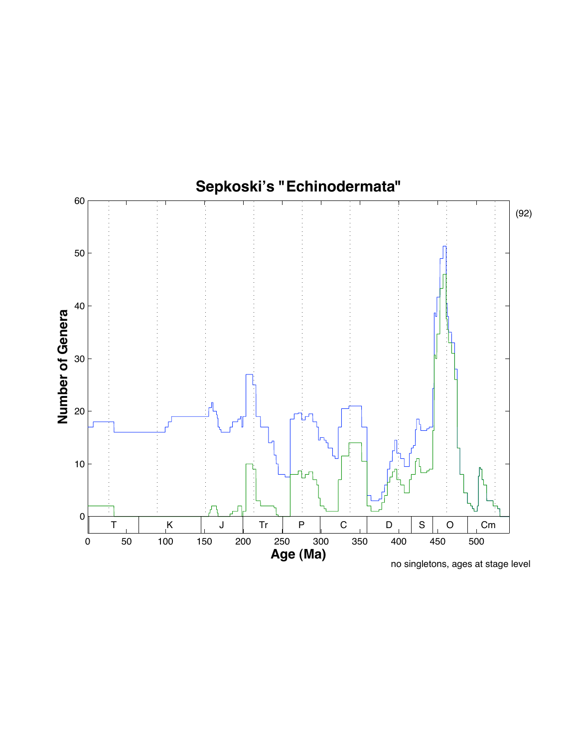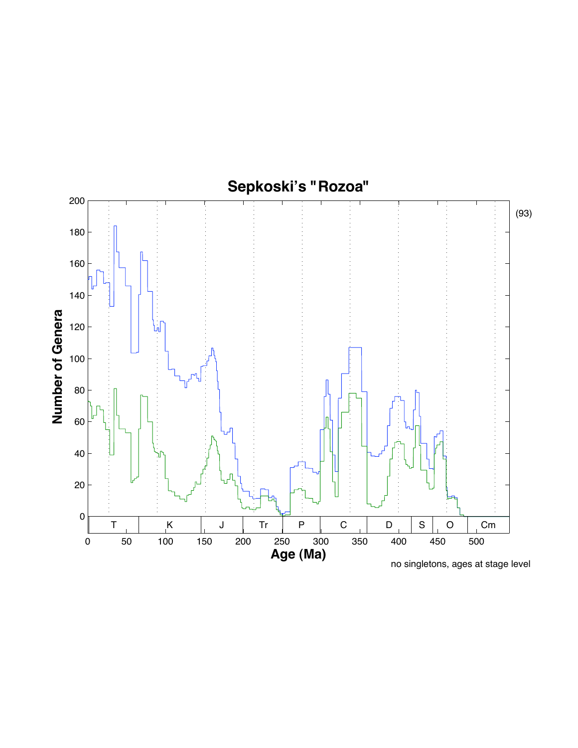

no singletons, ages at stage level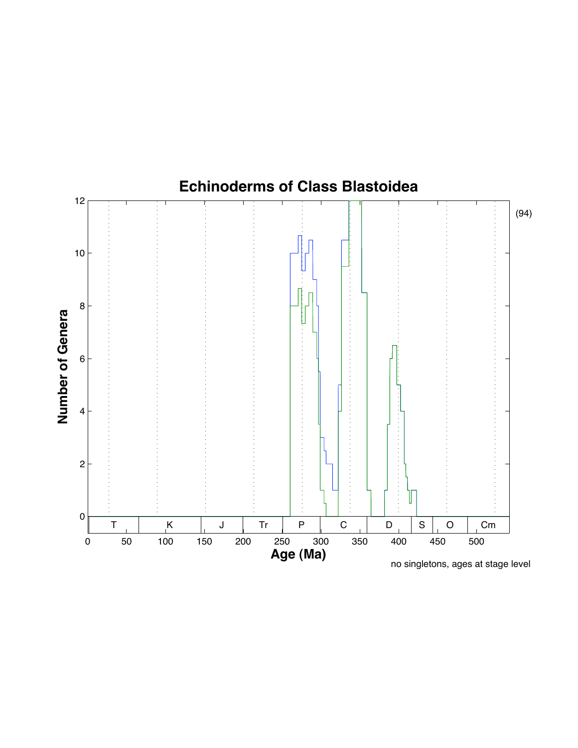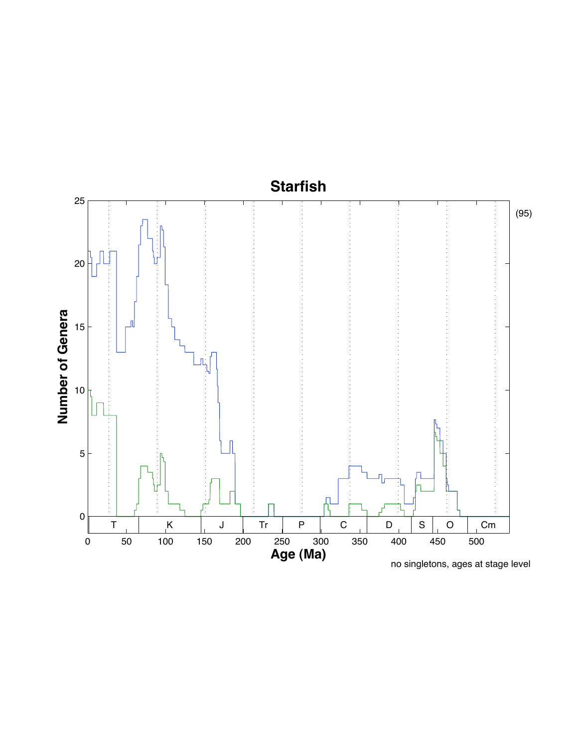## **Starfish**

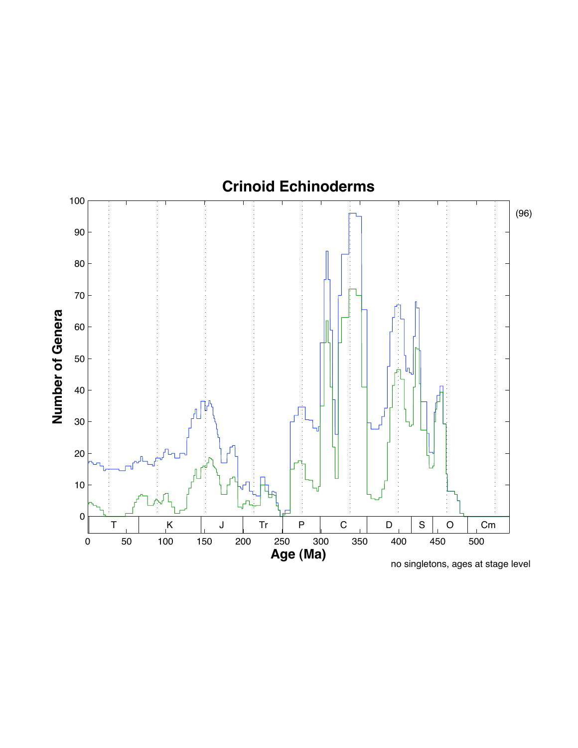

**Number of Genera**

no singletons, ages at stage level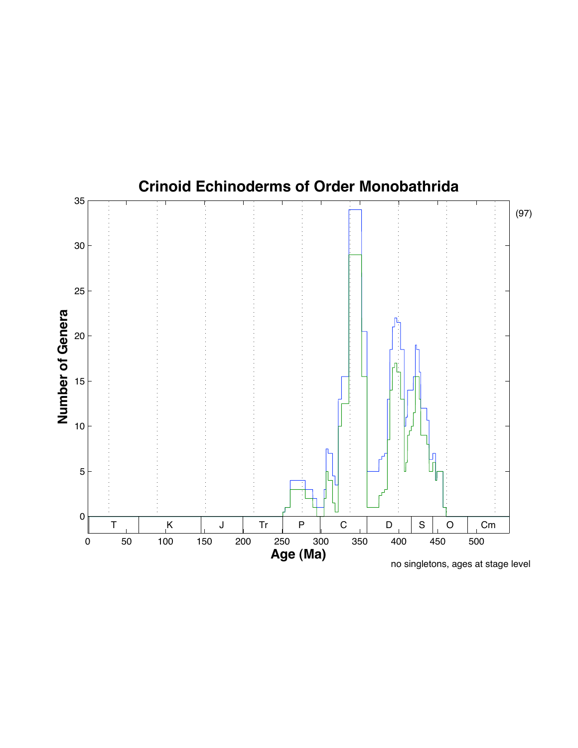#### **Crinoid Echinoderms of Order Monobathrida**

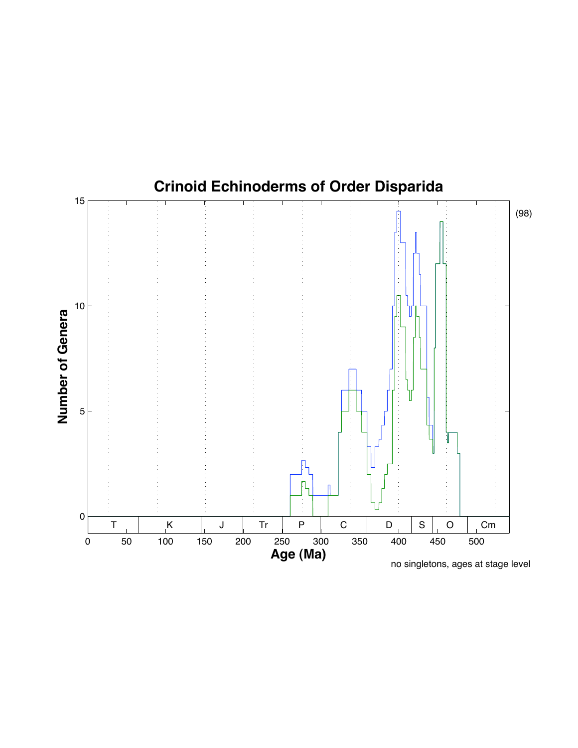

no singletons, ages at stage level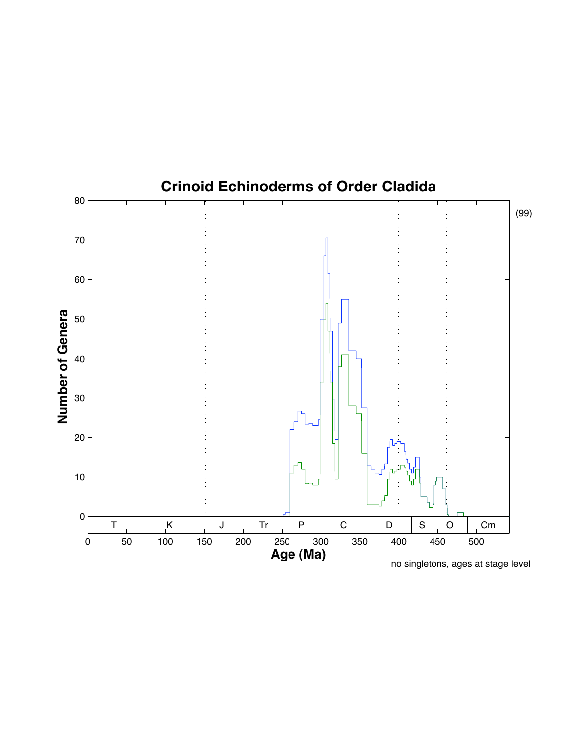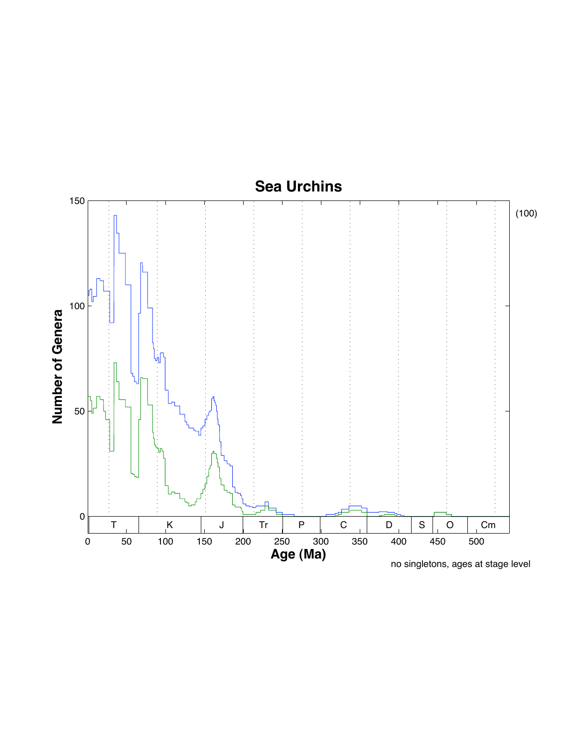

no singletons, ages at stage level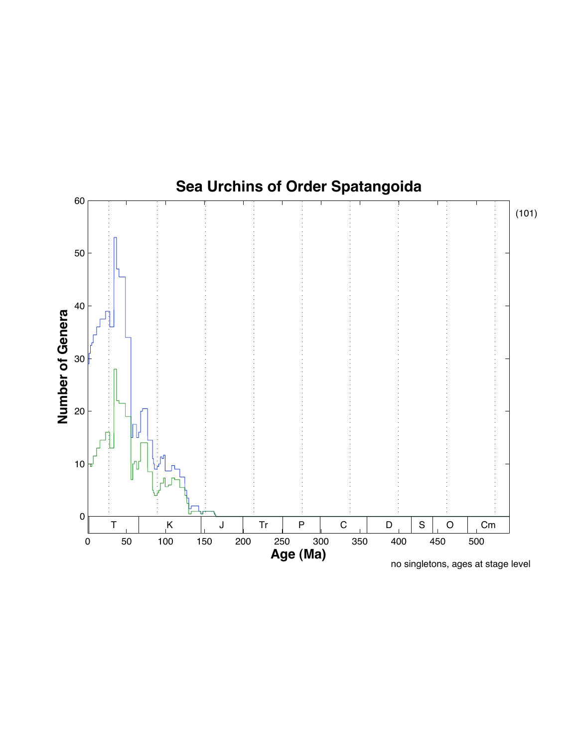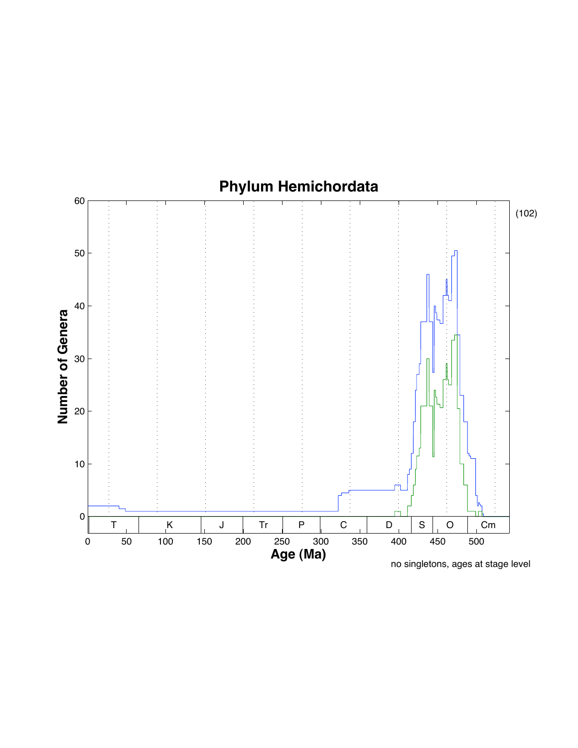

no singletons, ages at stage level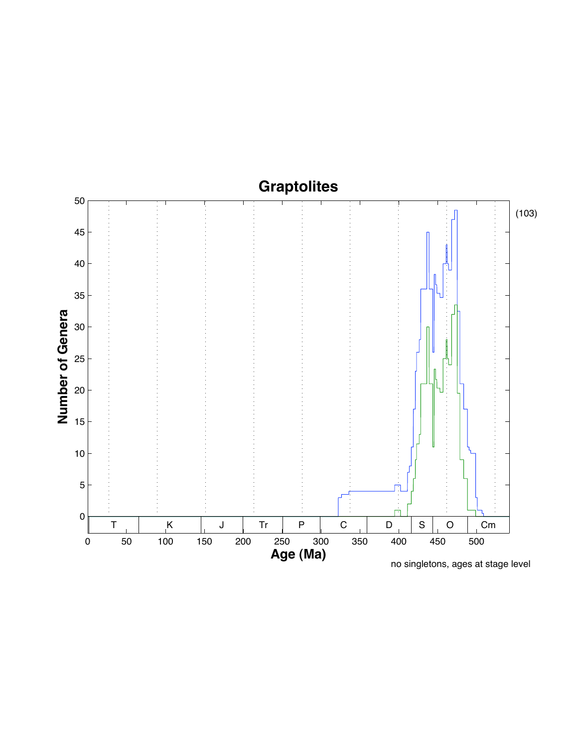# **Graptolites**

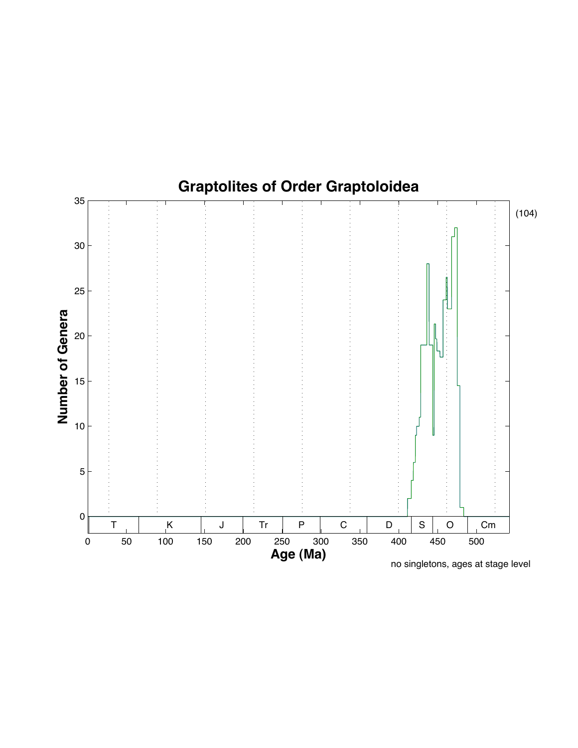

no singletons, ages at stage level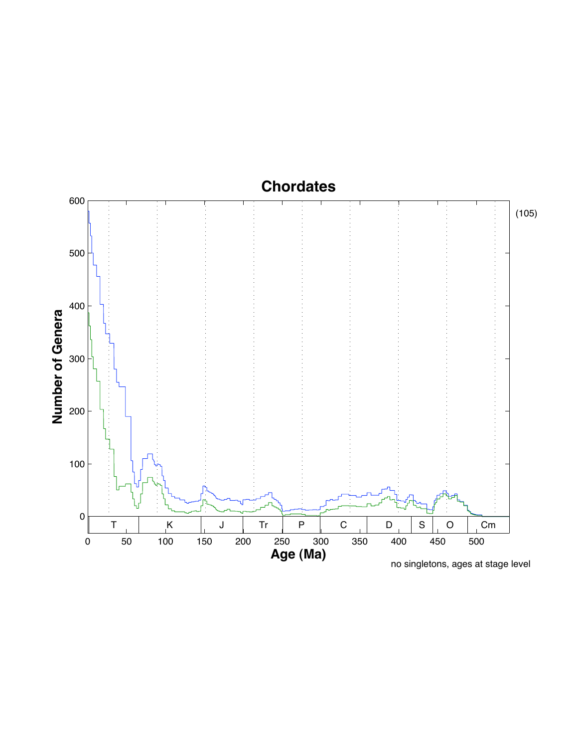## **Chordates**

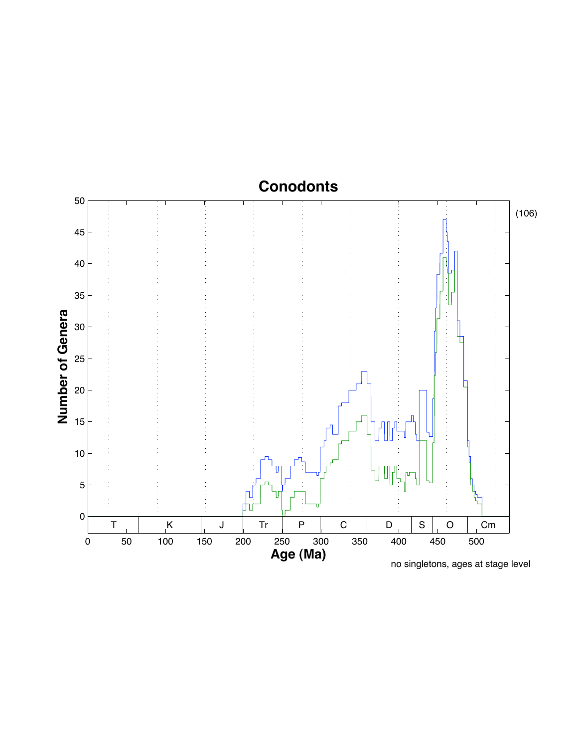## **Conodonts**

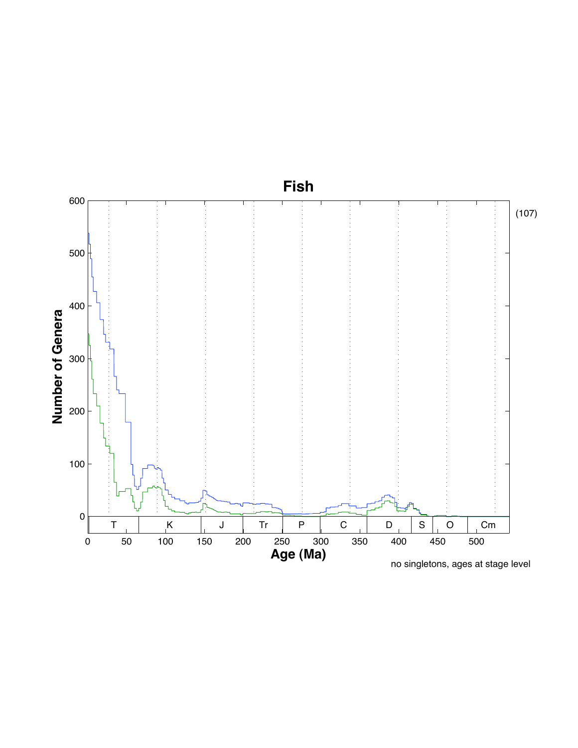# **Fish**

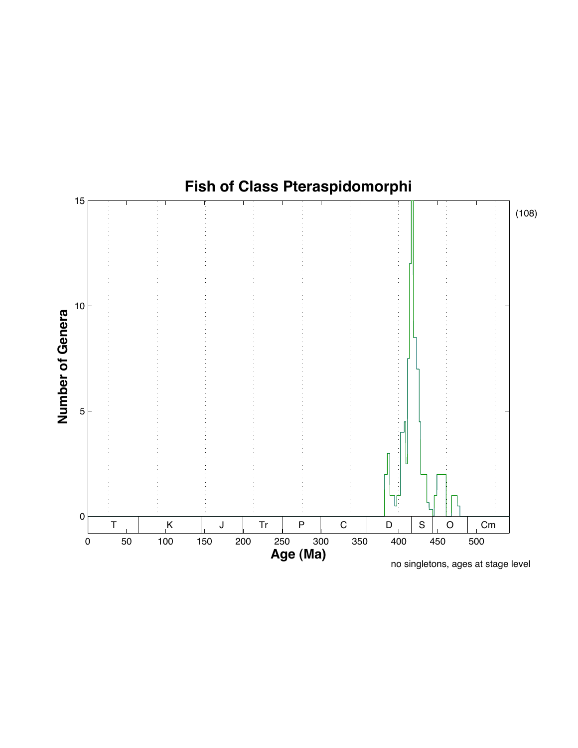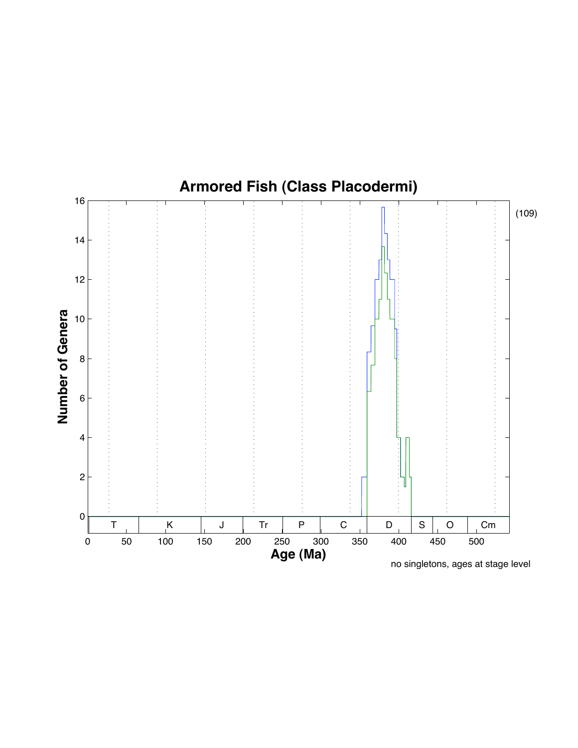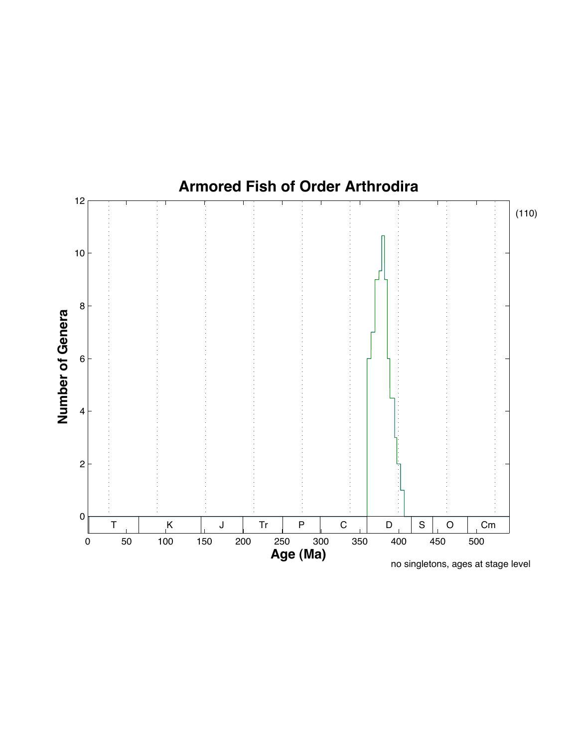

no singletons, ages at stage level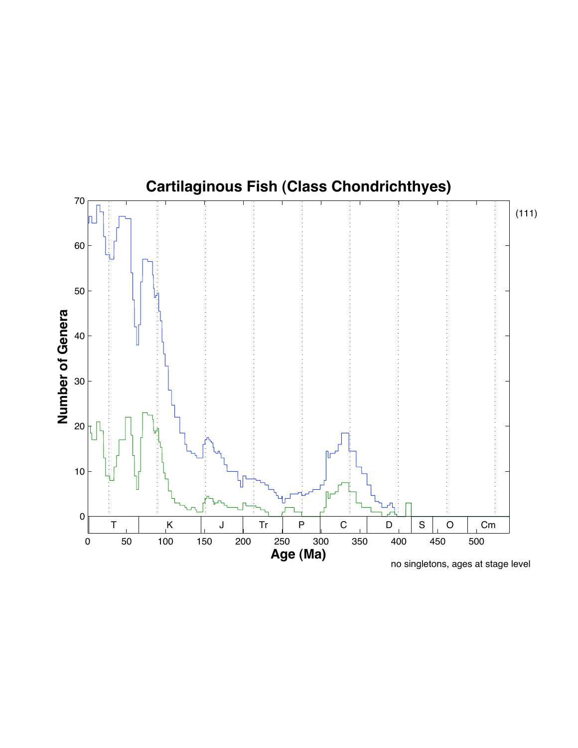# **Cartilaginous Fish (Class Chondrichthyes)**

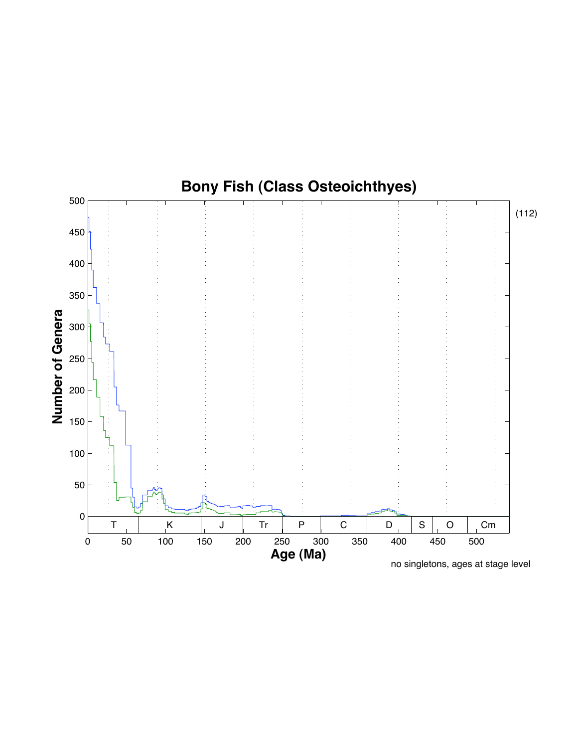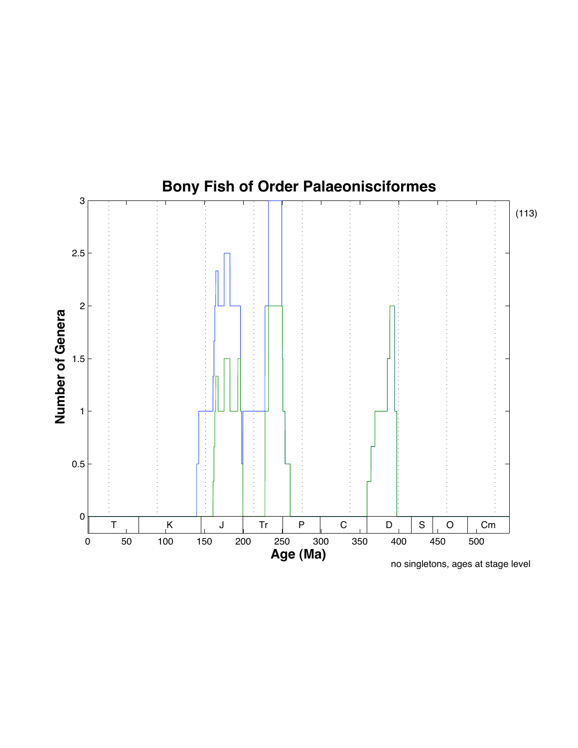

no singletons, ages at stage level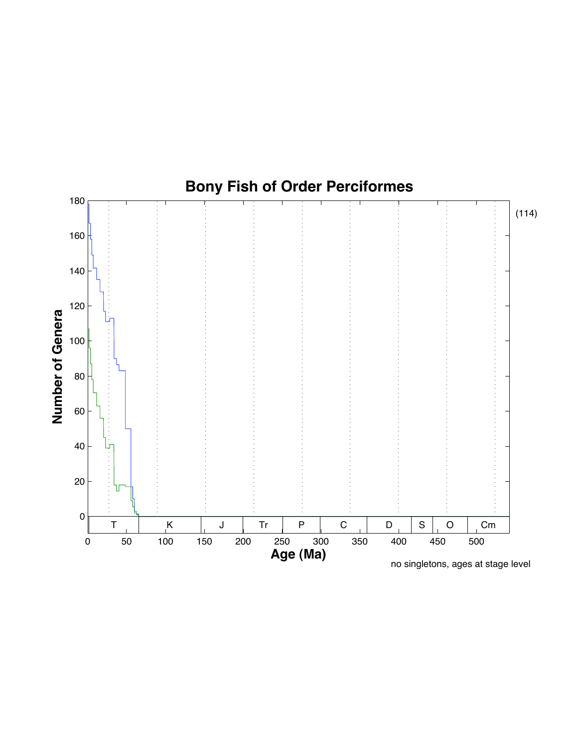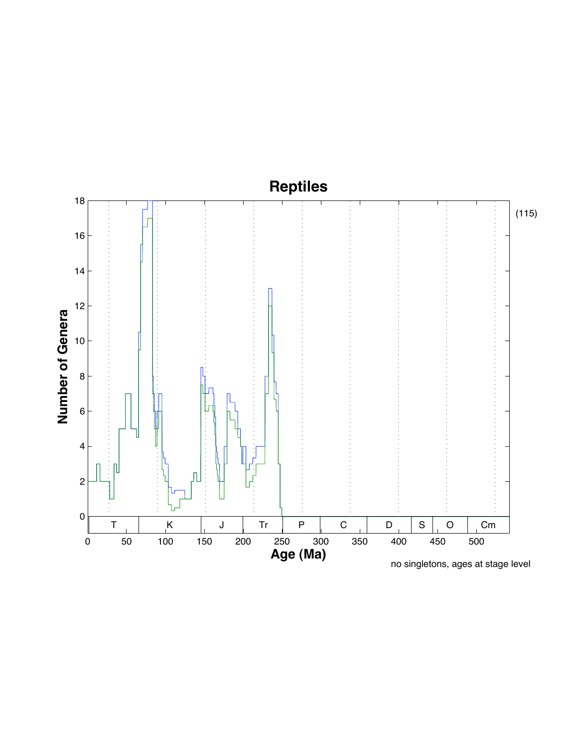# **Reptiles**

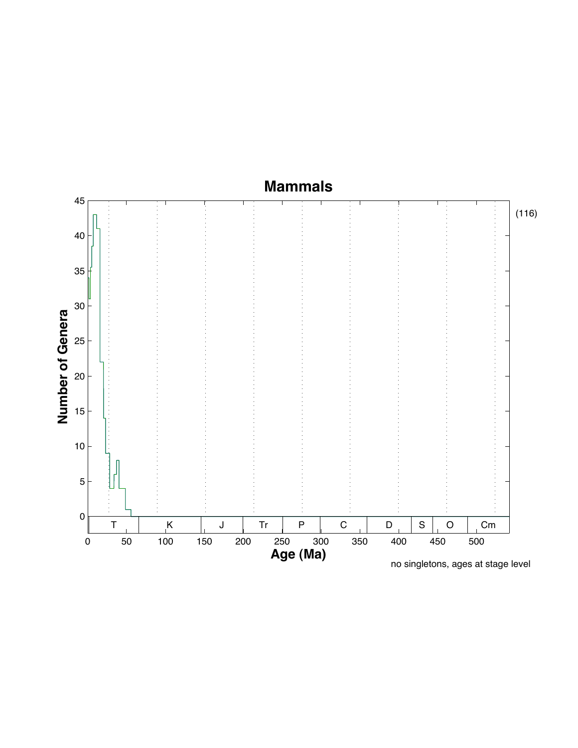### **Mammals**

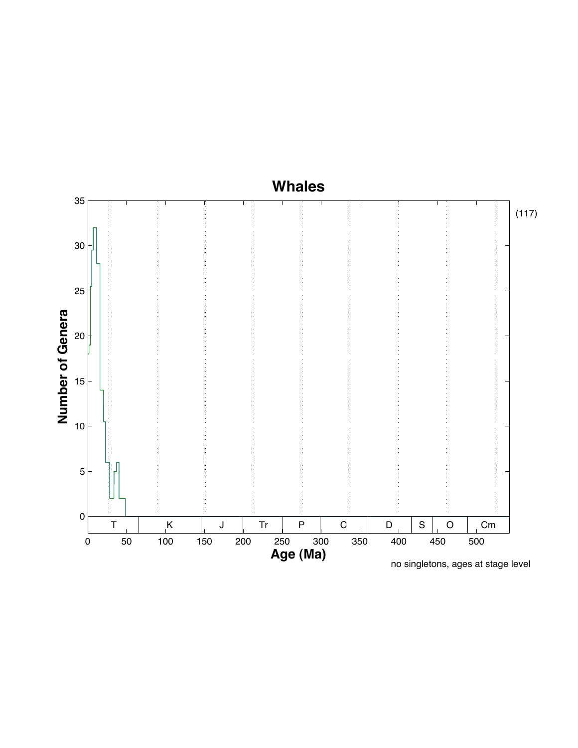## **Whales**

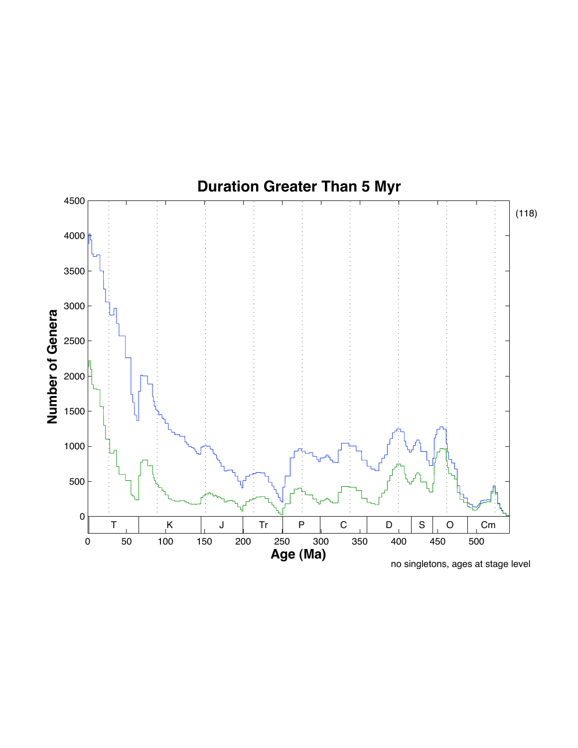

no singletons, ages at stage level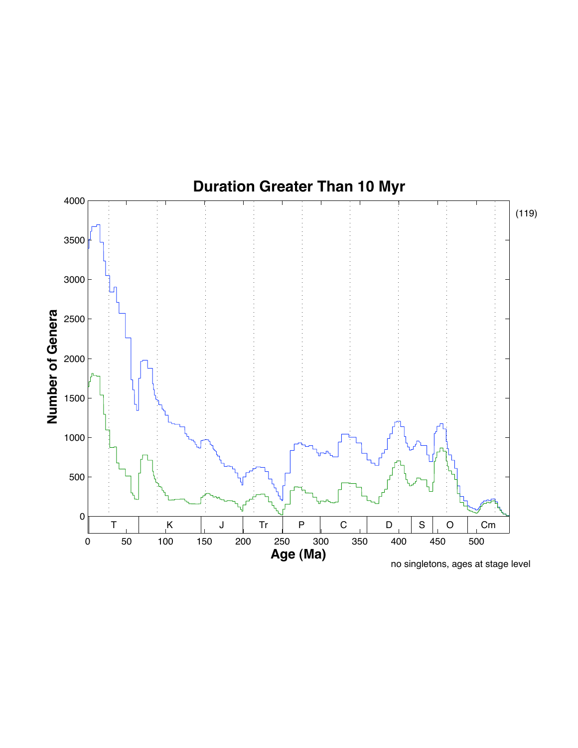

no singletons, ages at stage level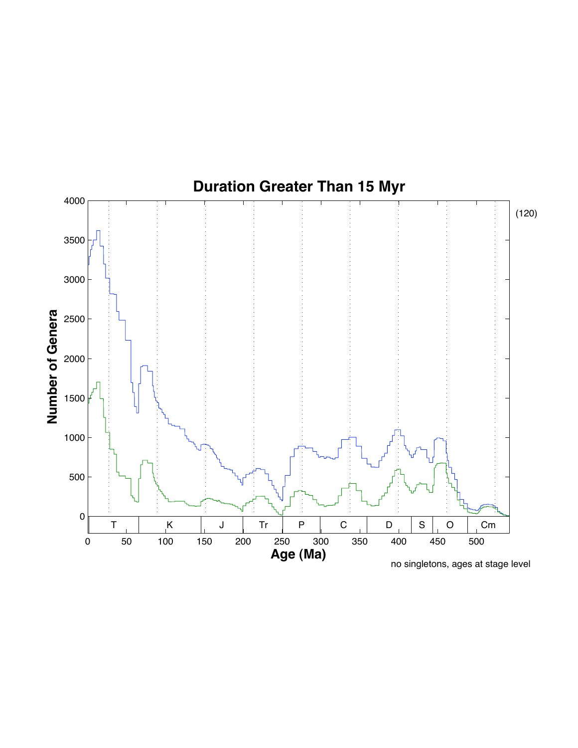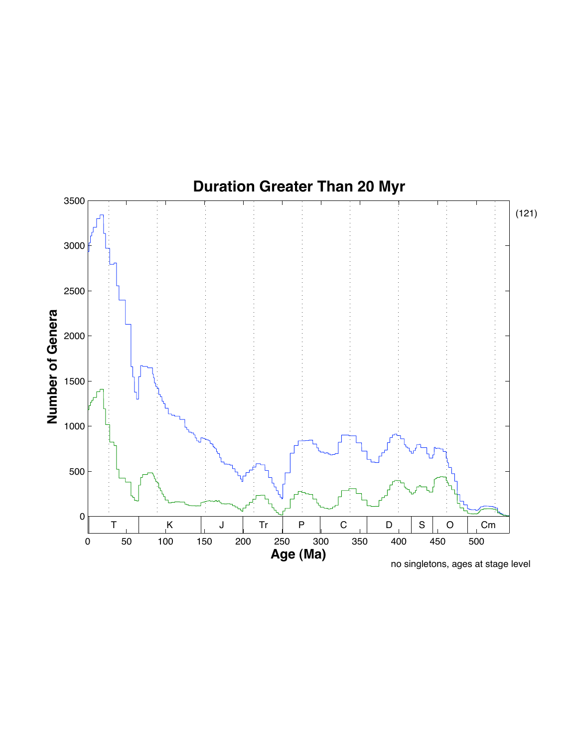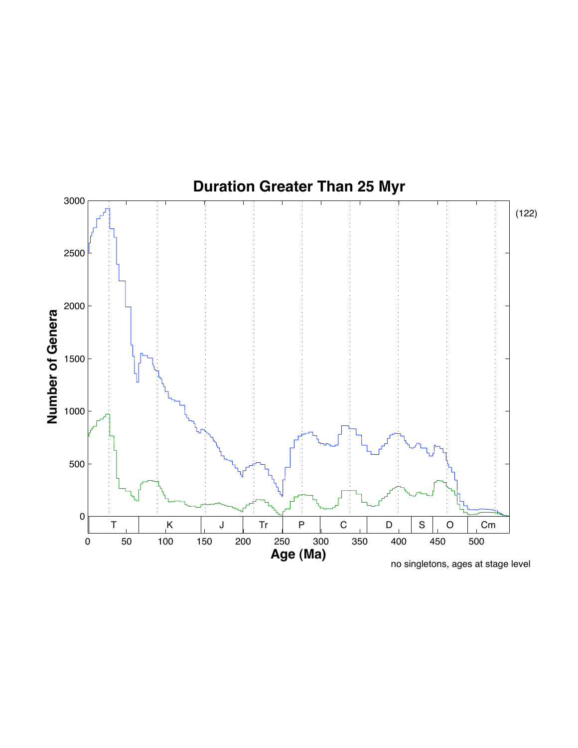

no singletons, ages at stage level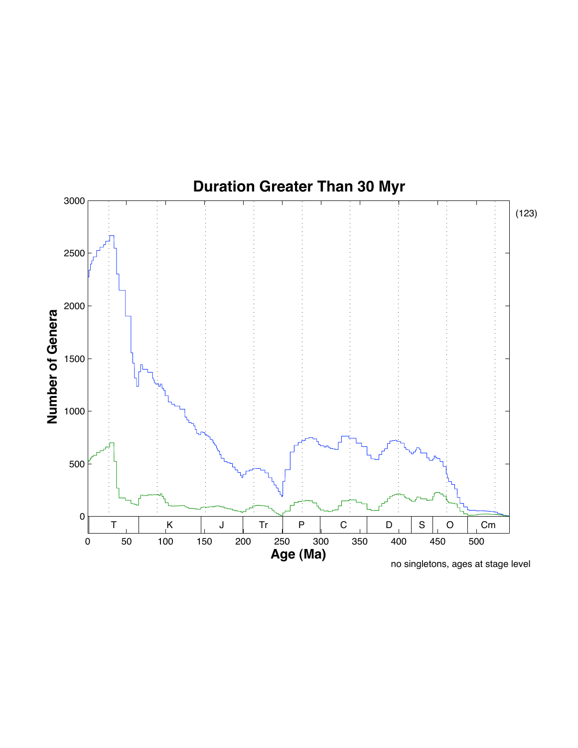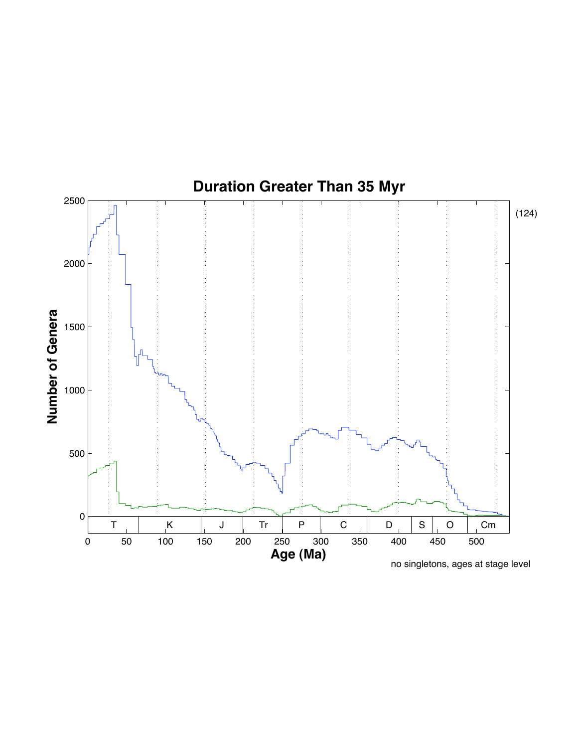

no singletons, ages at stage level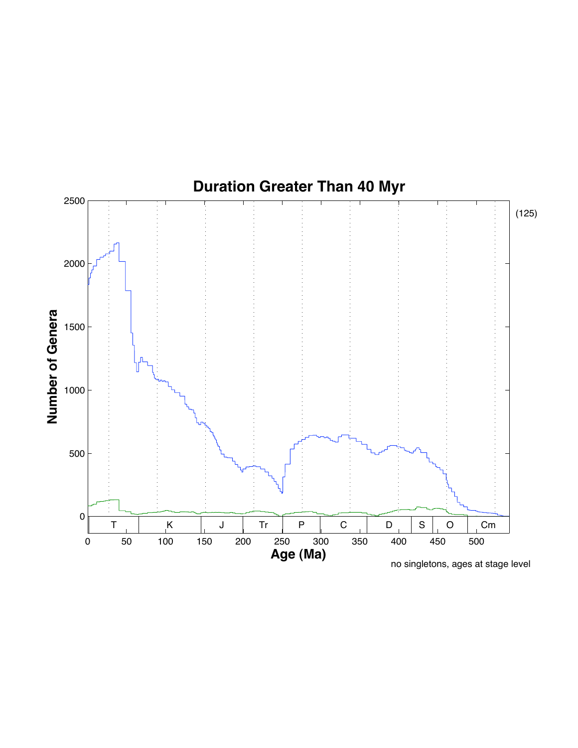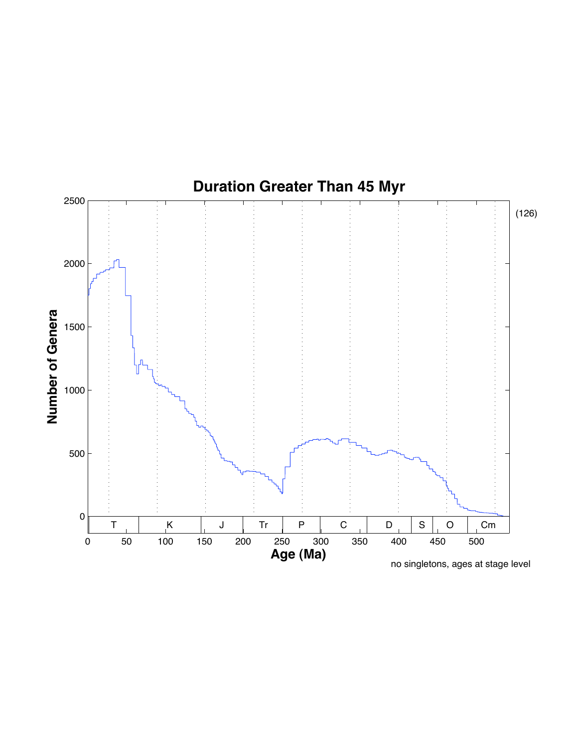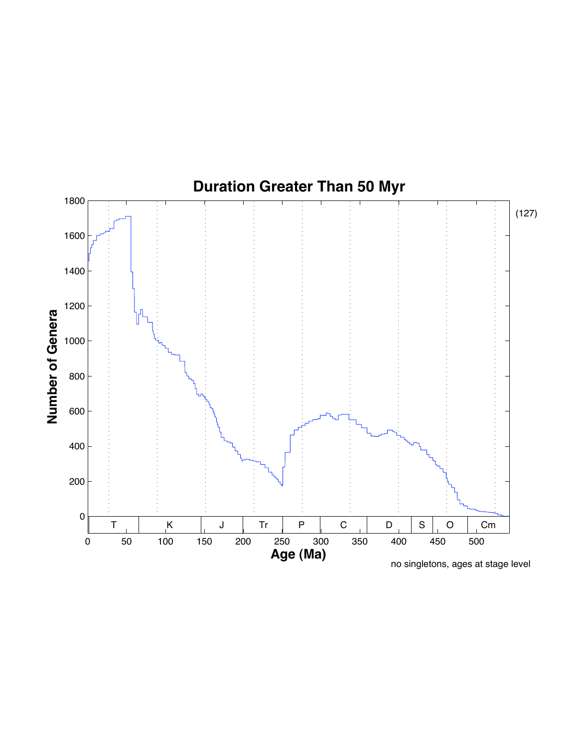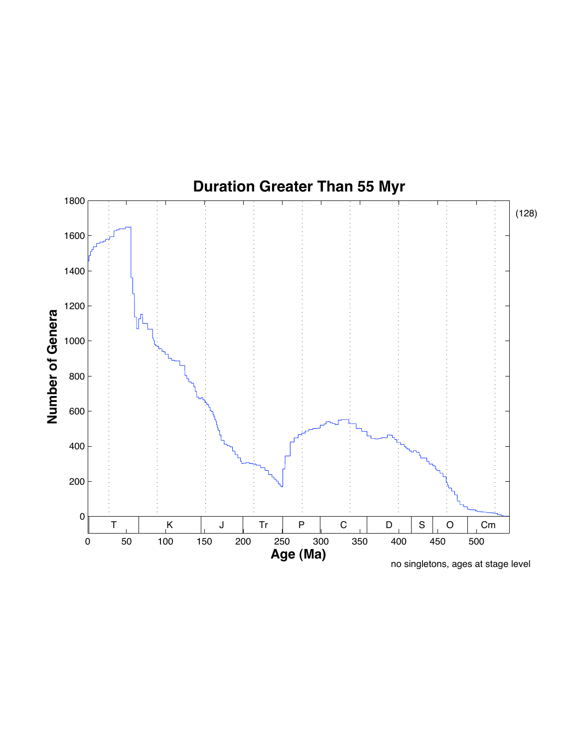

no singletons, ages at stage level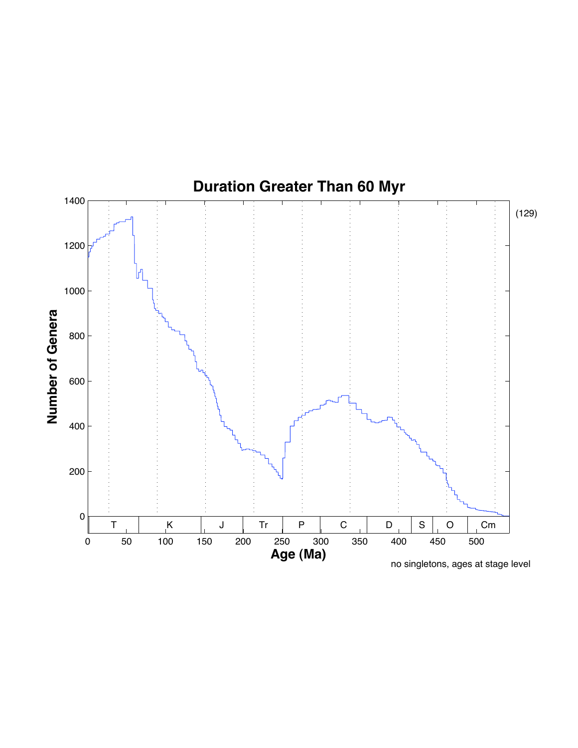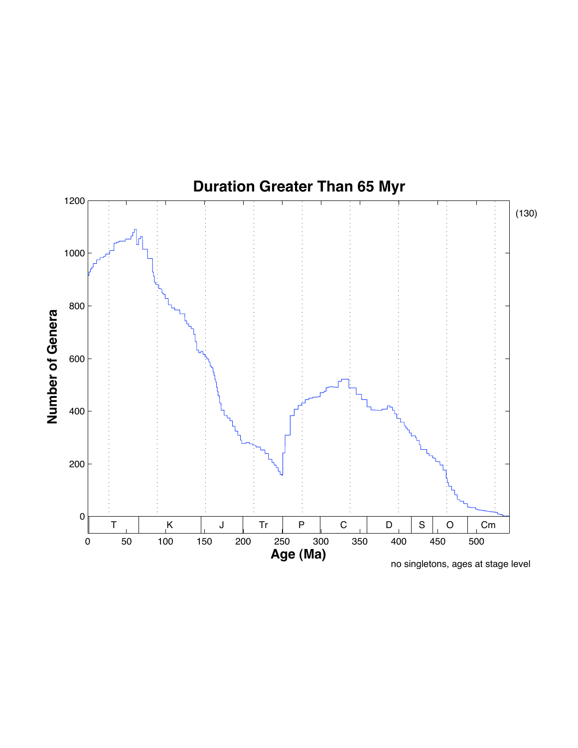

no singletons, ages at stage level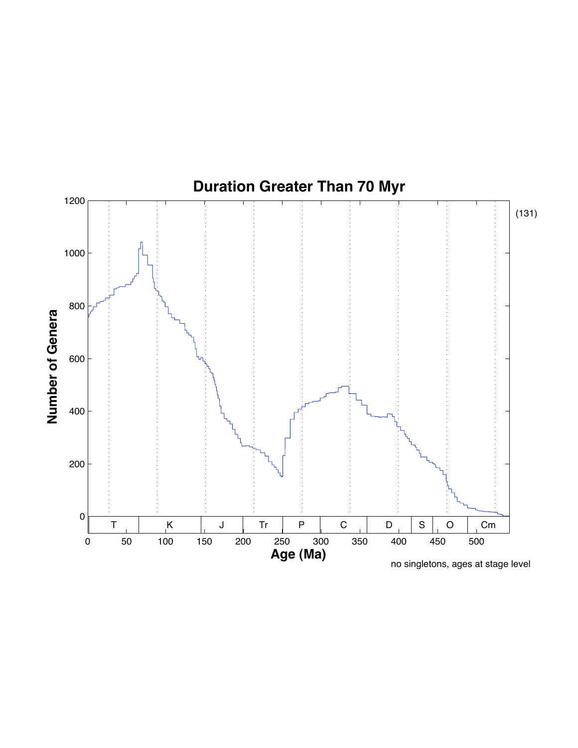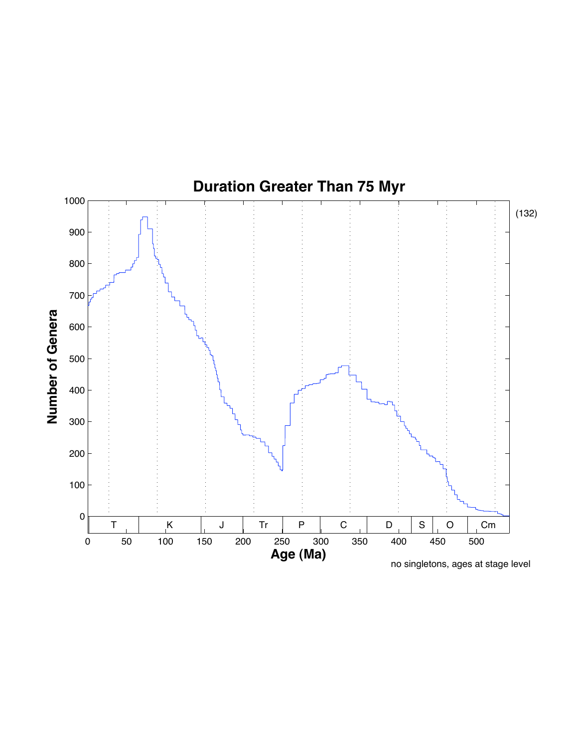

no singletons, ages at stage level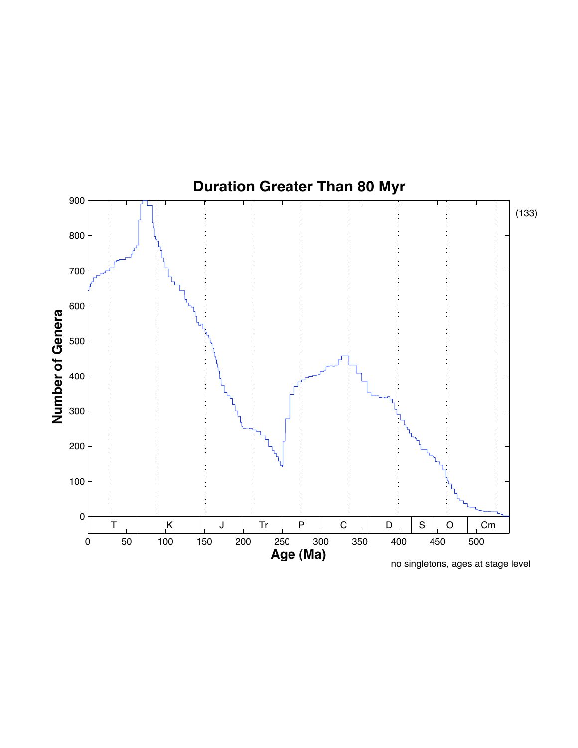

no singletons, ages at stage level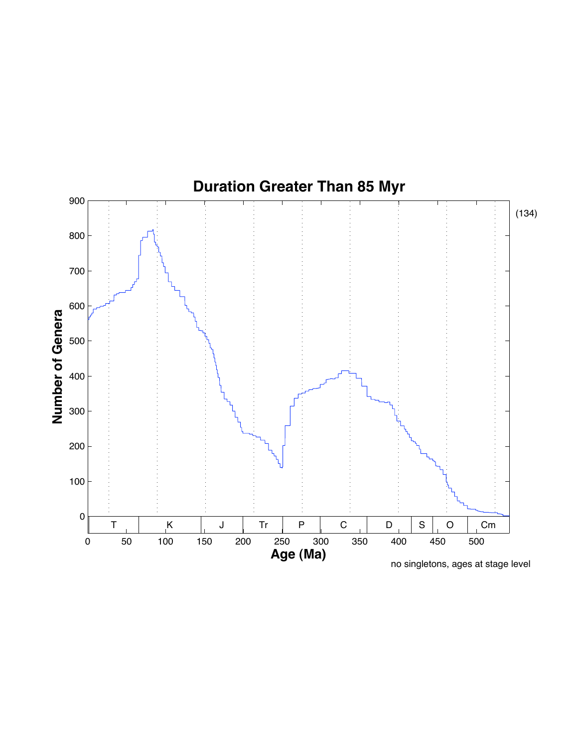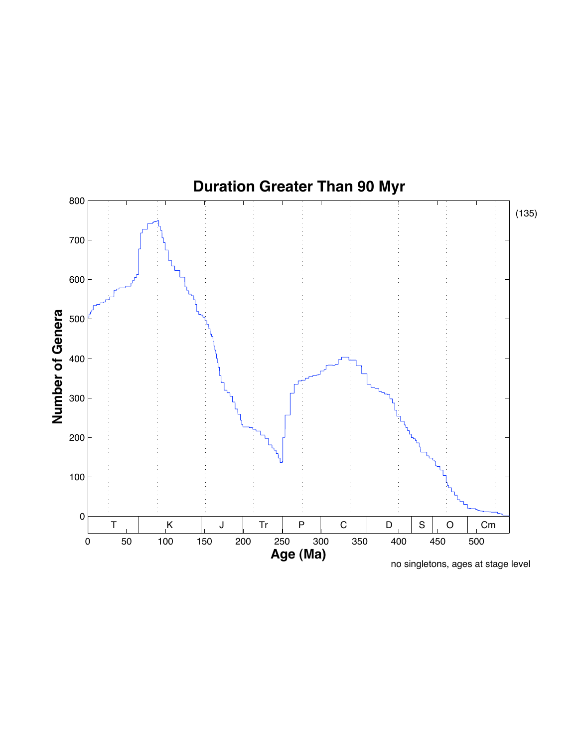

no singletons, ages at stage level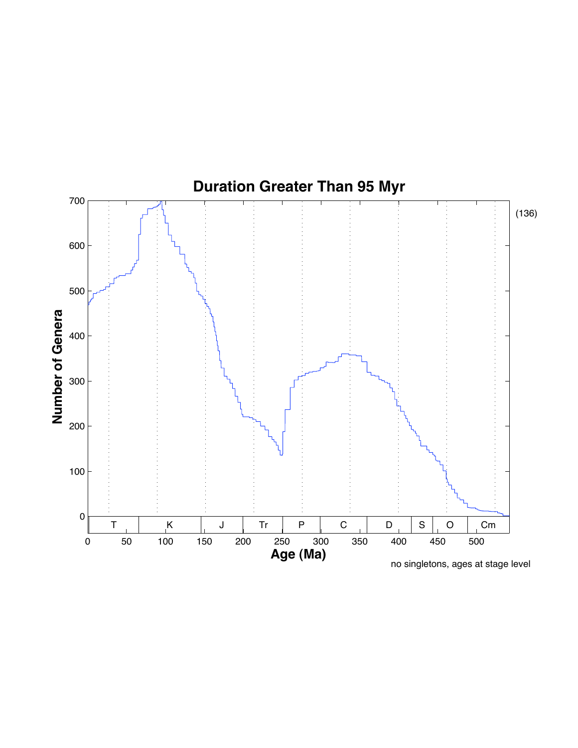

no singletons, ages at stage level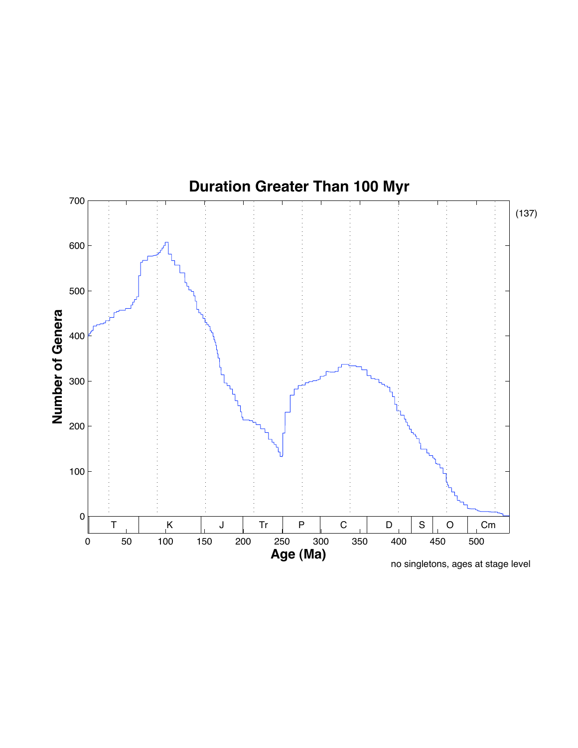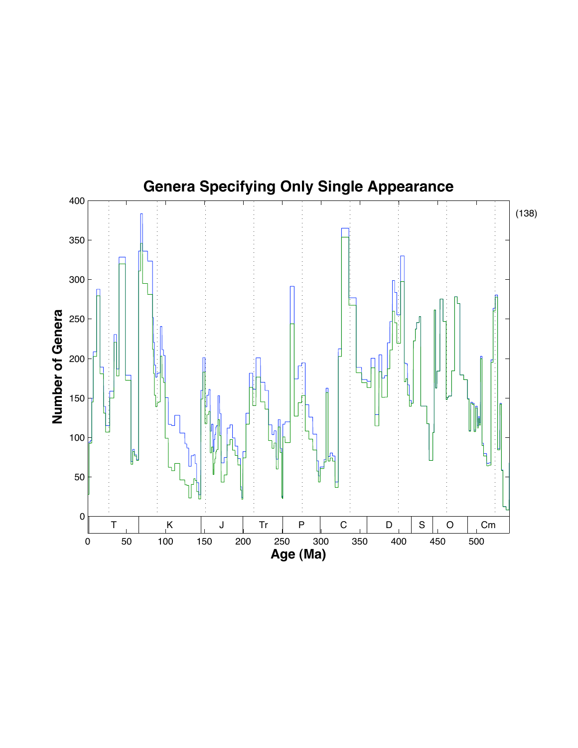# **Genera Specifying Only Single Appearance**

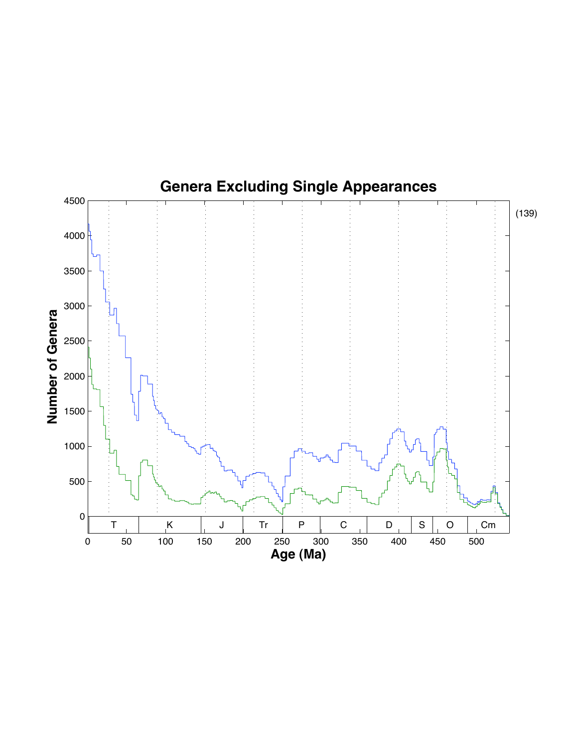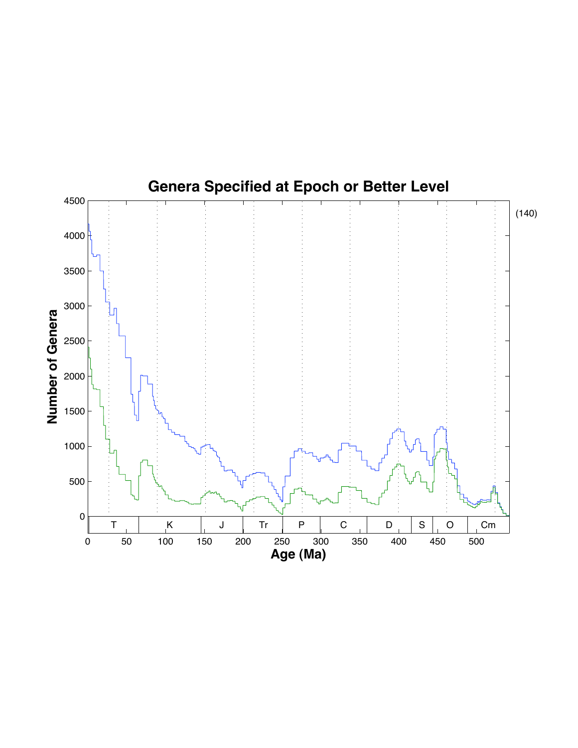# **Genera Specified at Epoch or Better Level**

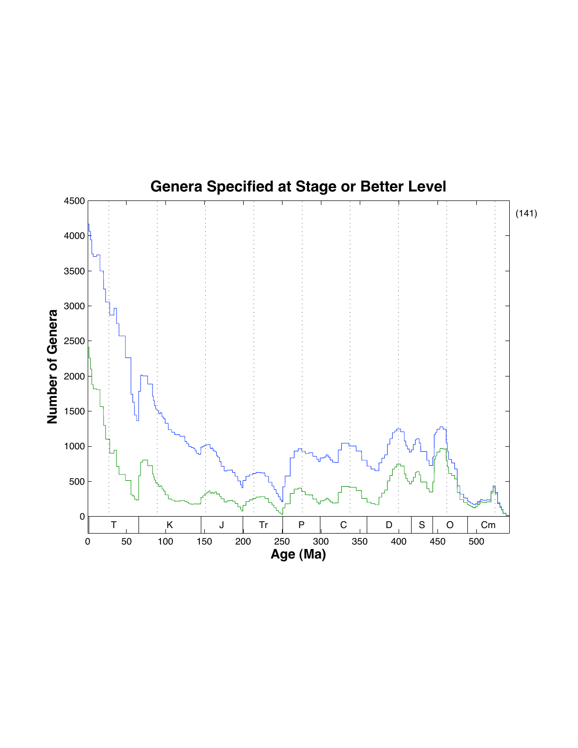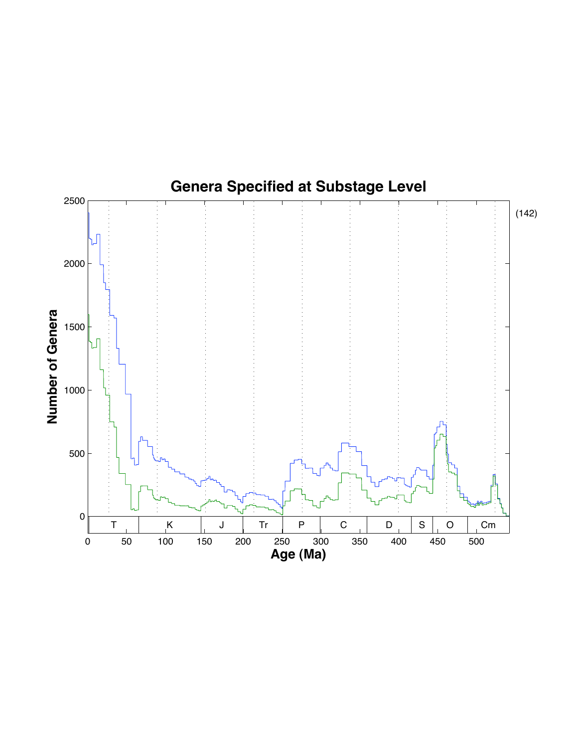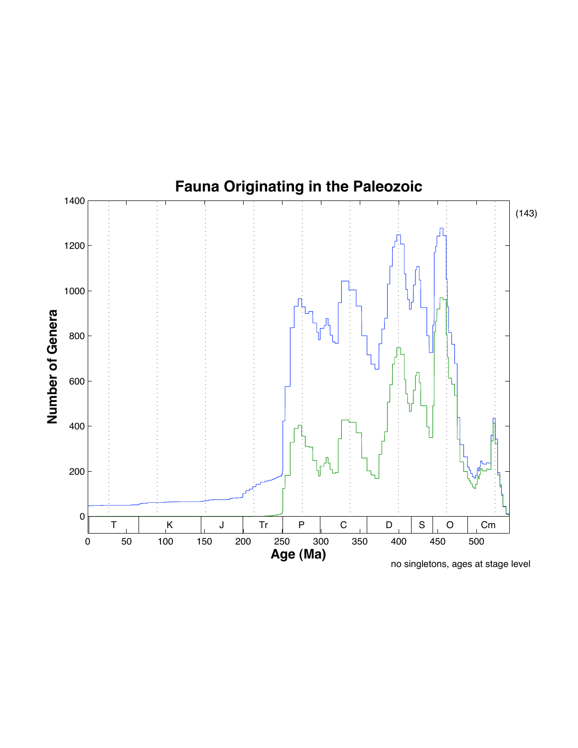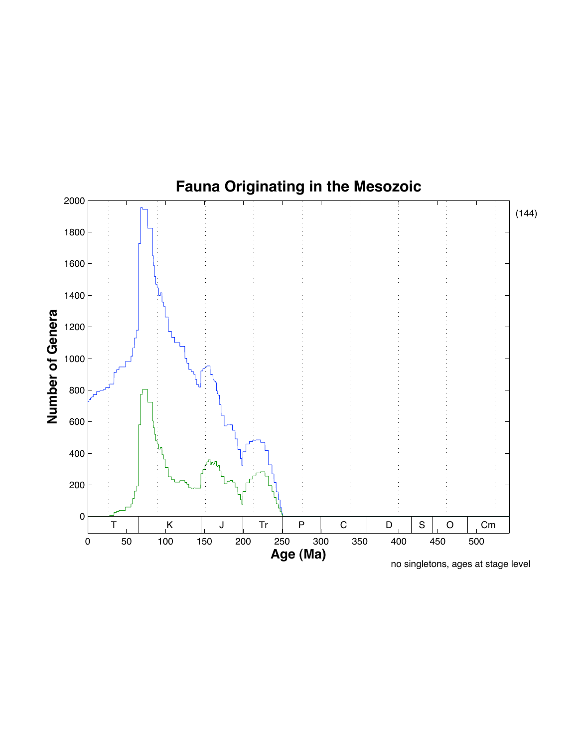

no singletons, ages at stage level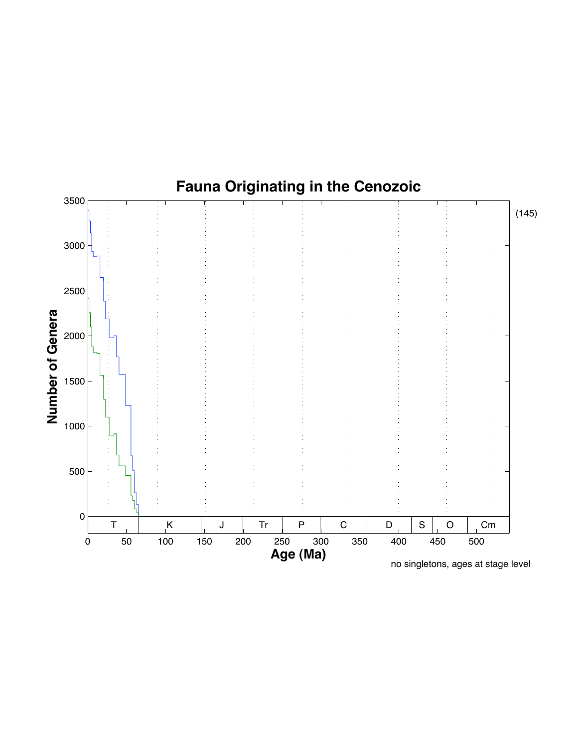

no singletons, ages at stage level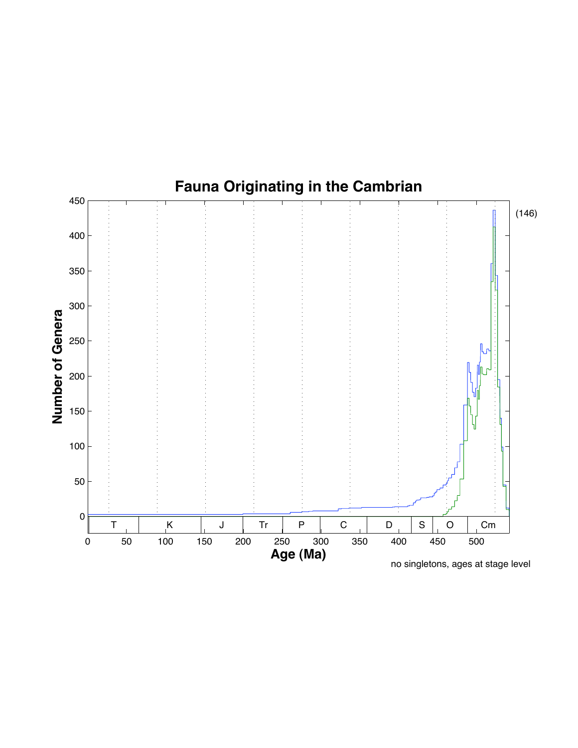

no singletons, ages at stage level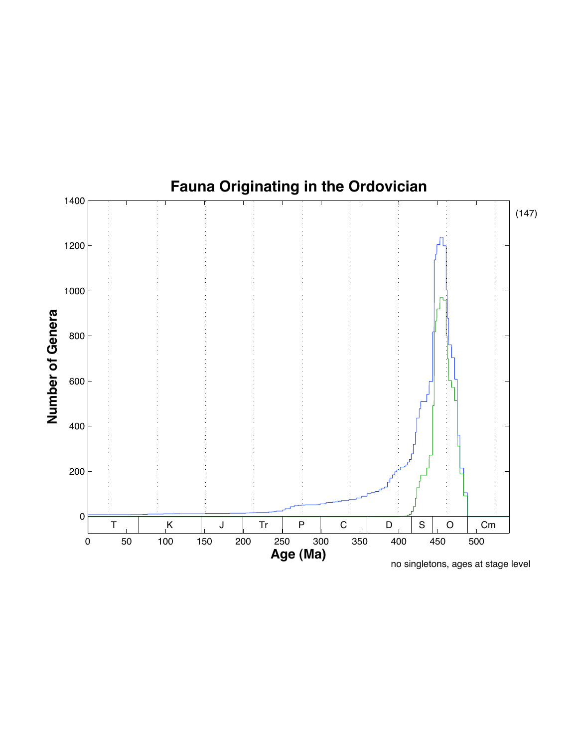

no singletons, ages at stage level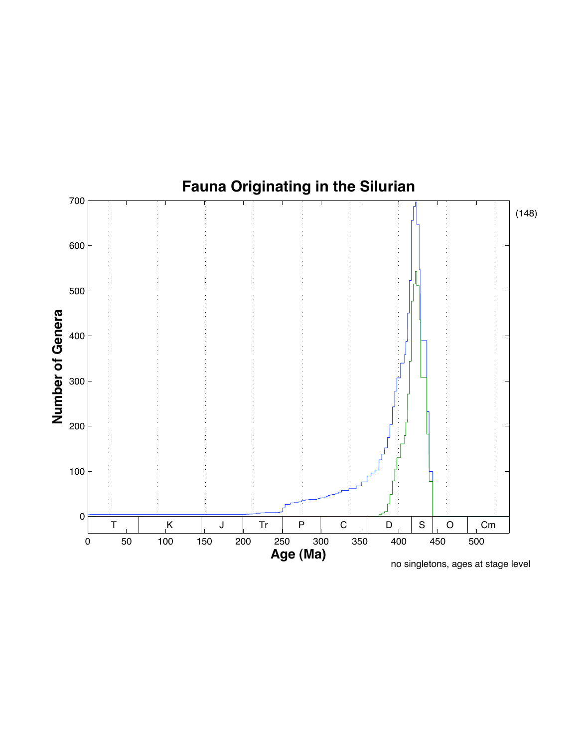

no singletons, ages at stage level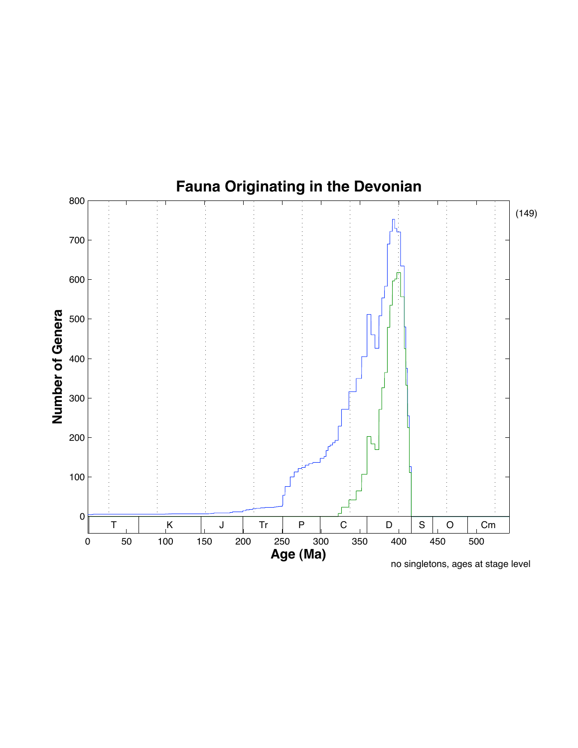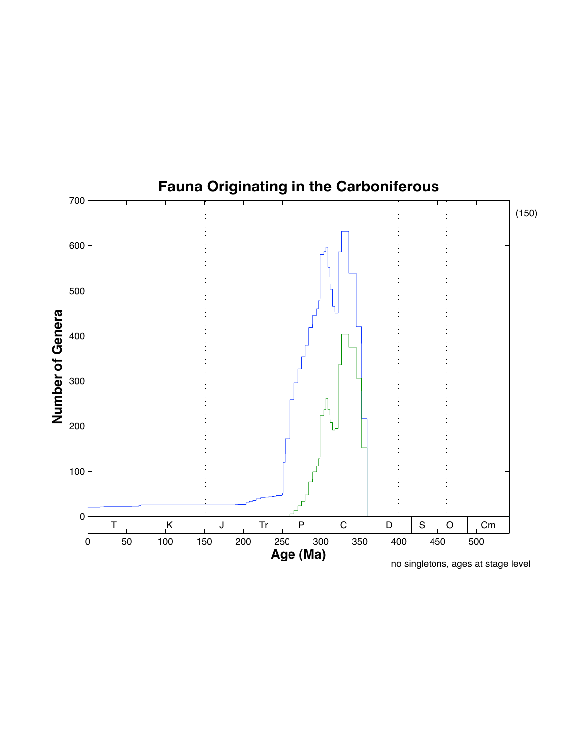

no singletons, ages at stage level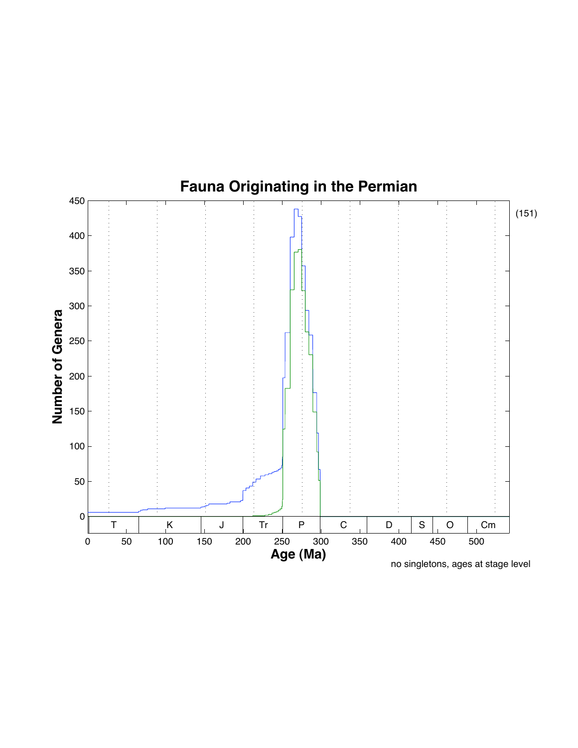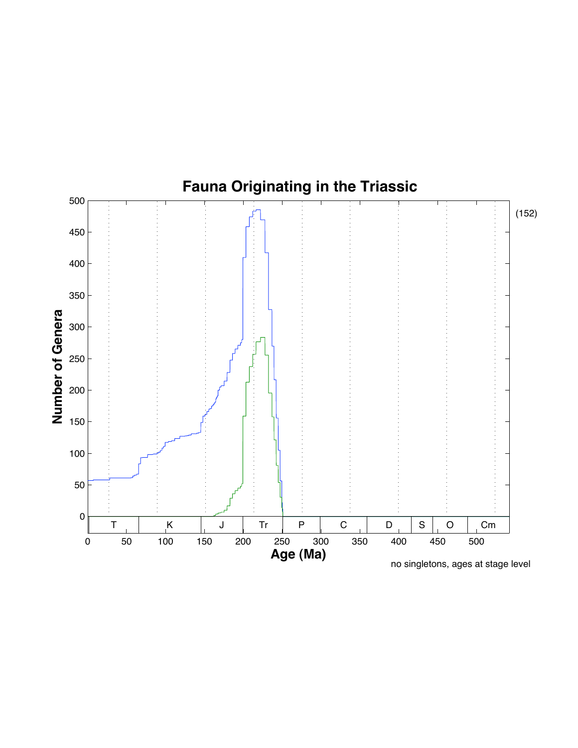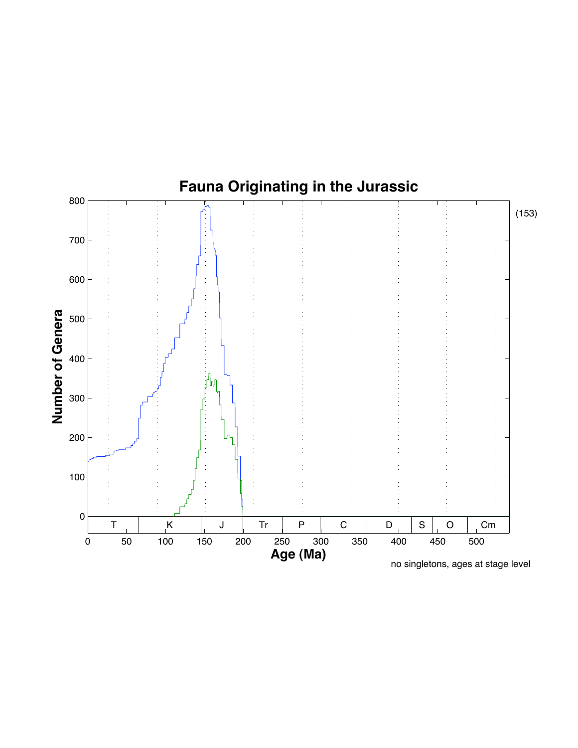

no singletons, ages at stage level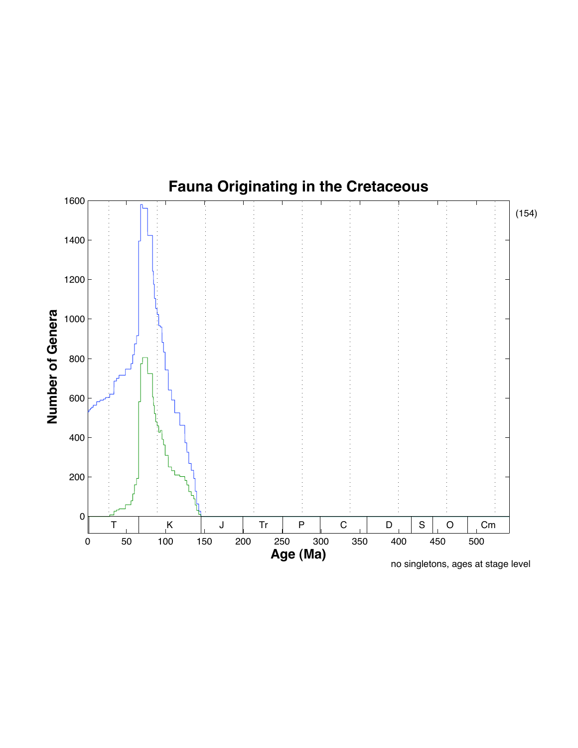

no singletons, ages at stage level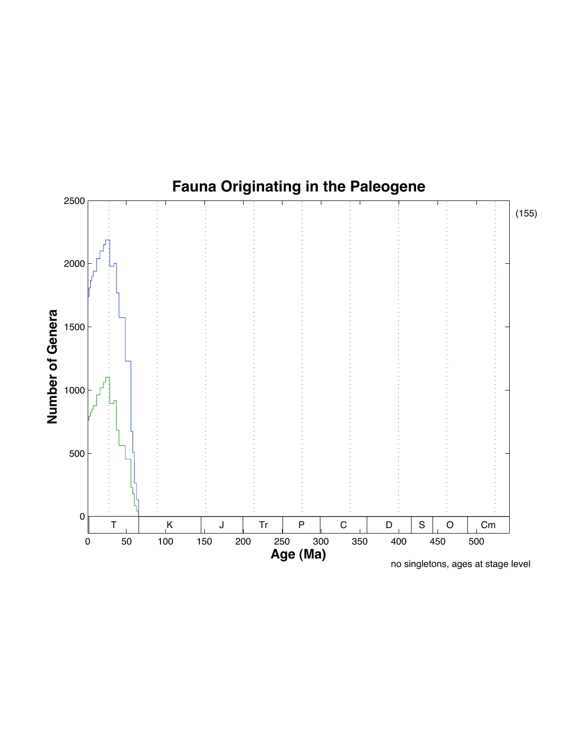

## **Fauna Originating in the Paleogene**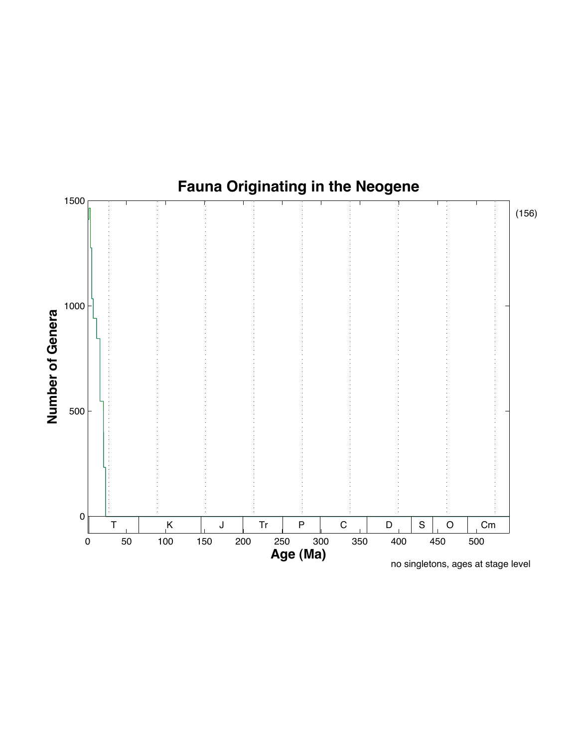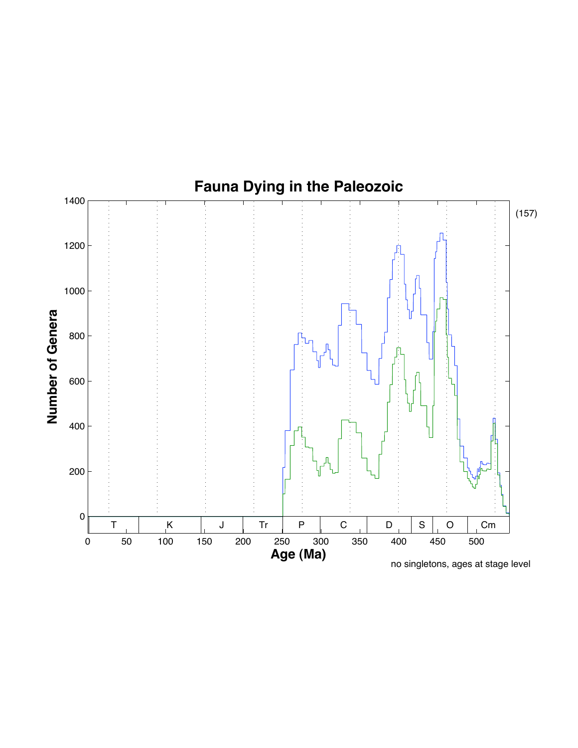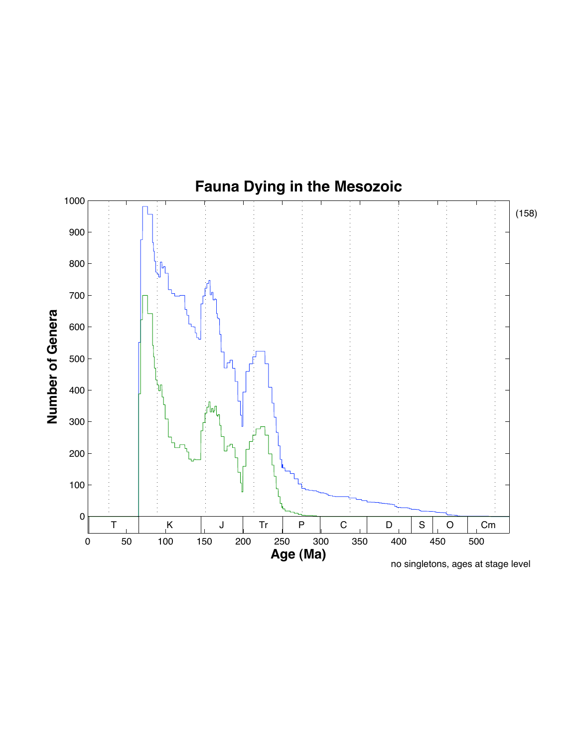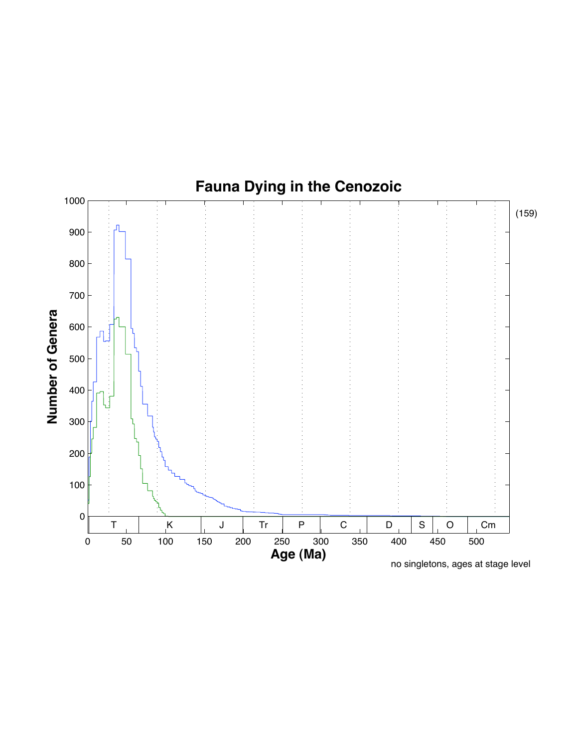

no singletons, ages at stage level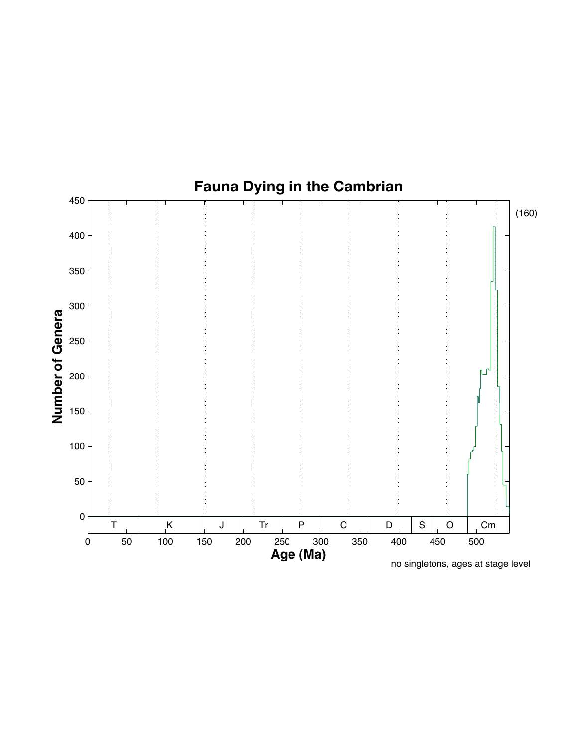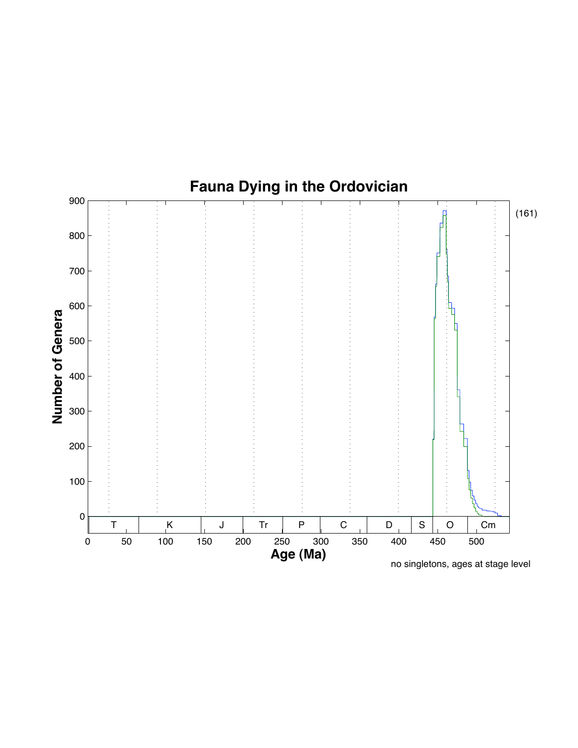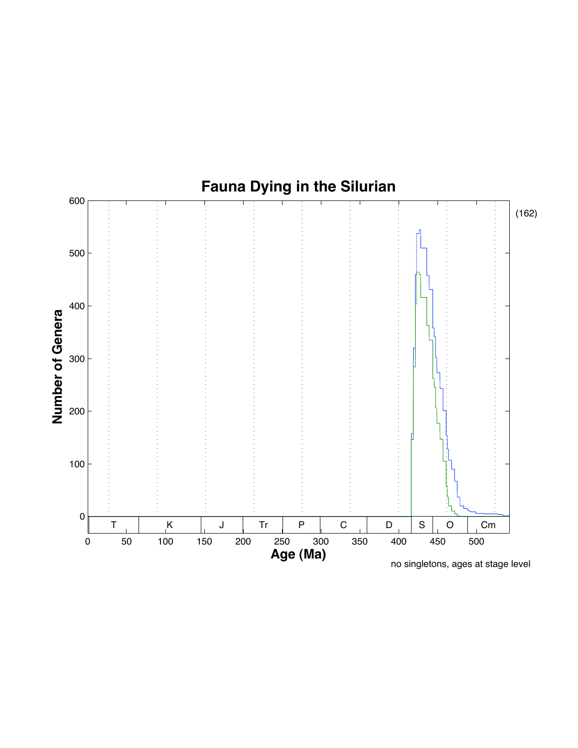

no singletons, ages at stage level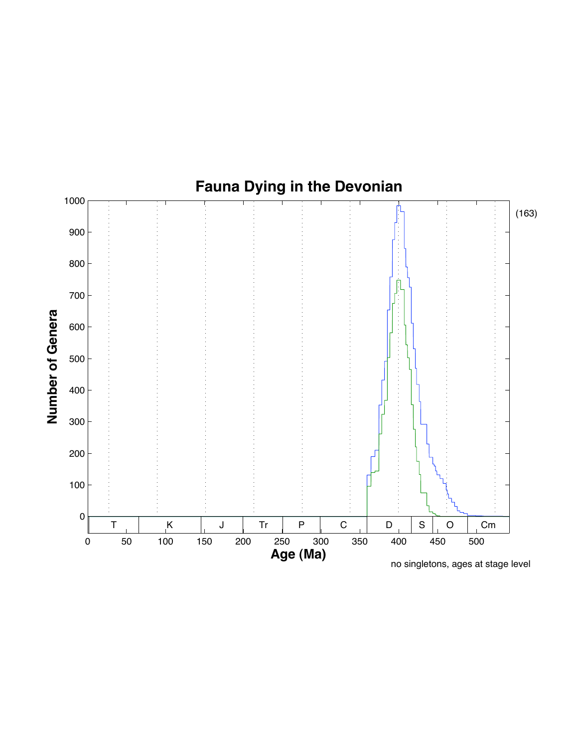

no singletons, ages at stage level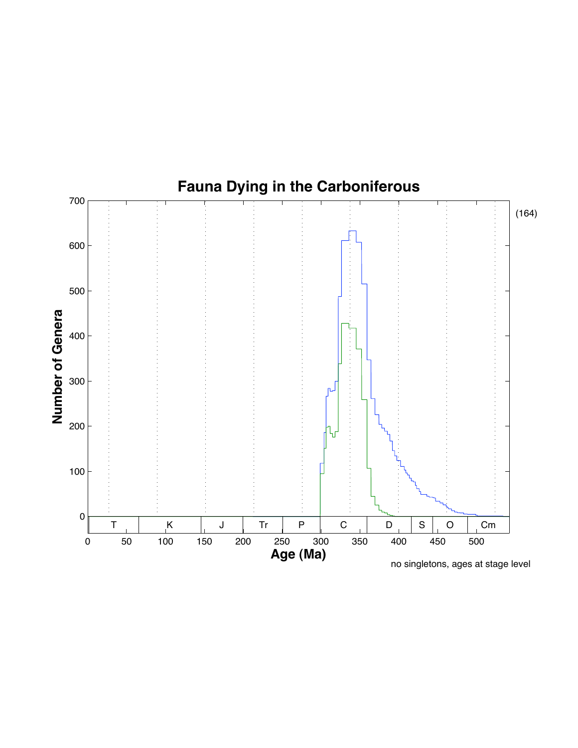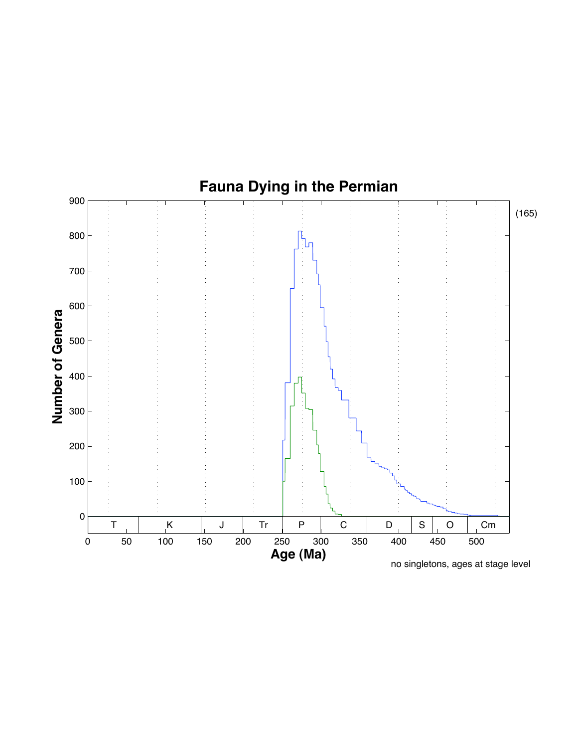

no singletons, ages at stage level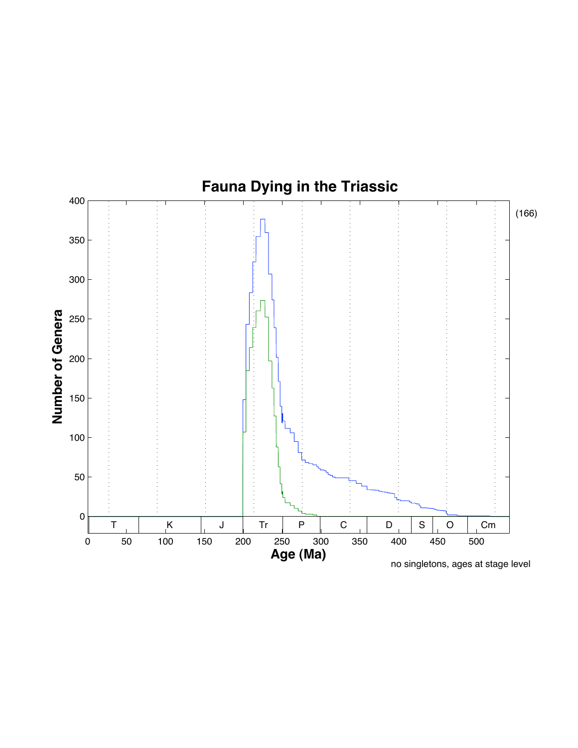

no singletons, ages at stage level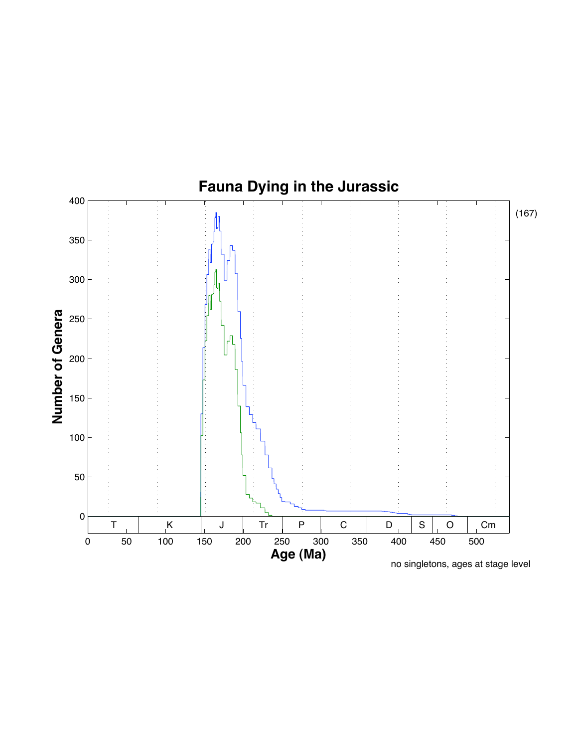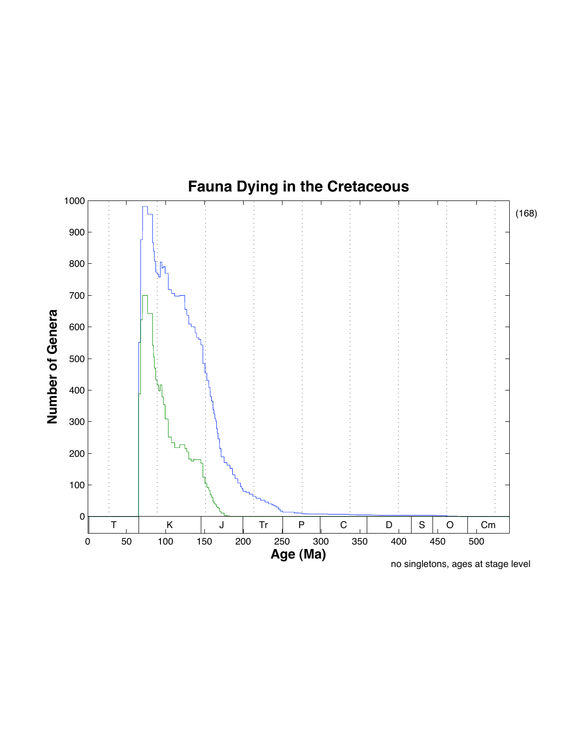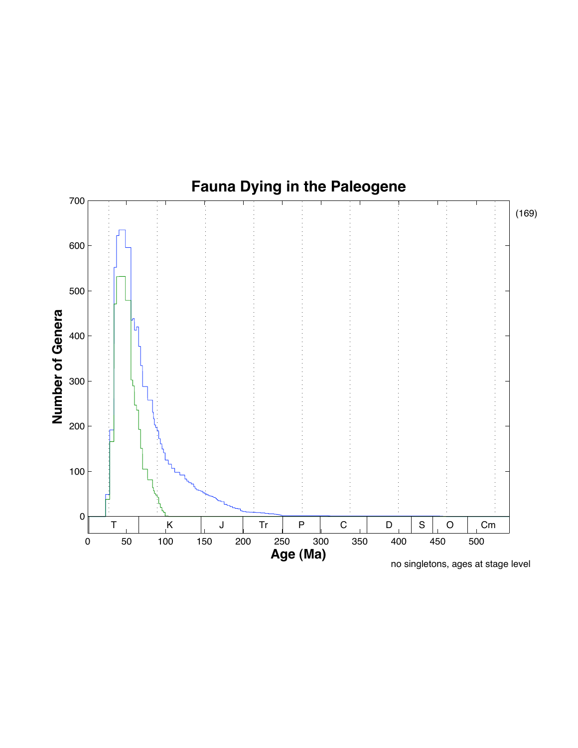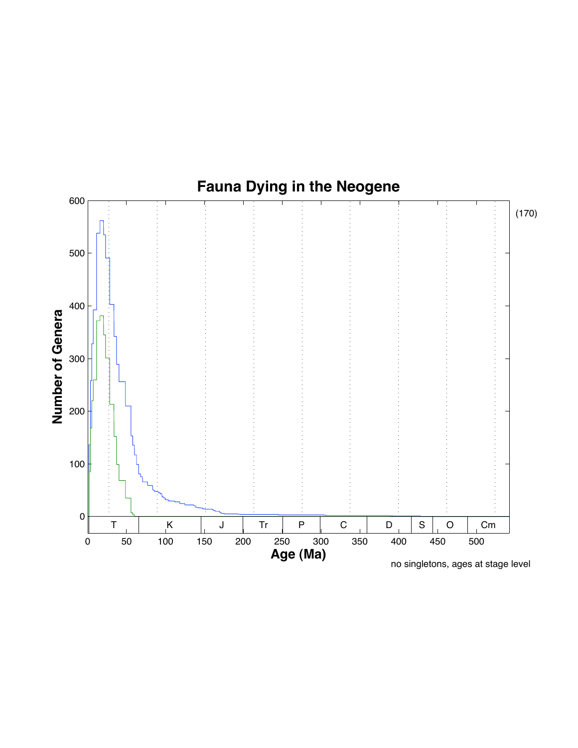